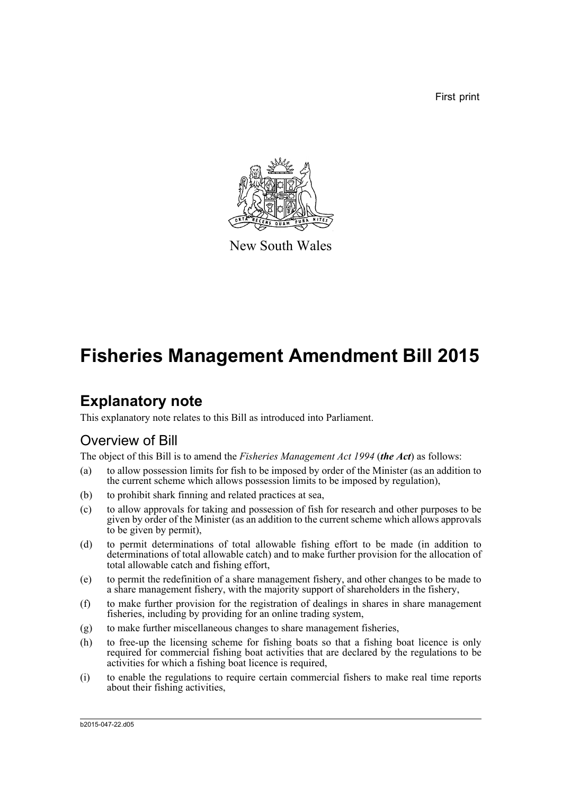First print



New South Wales

# **Fisheries Management Amendment Bill 2015**

# **Explanatory note**

This explanatory note relates to this Bill as introduced into Parliament.

# Overview of Bill

The object of this Bill is to amend the *Fisheries Management Act 1994* (*the Act*) as follows:

- (a) to allow possession limits for fish to be imposed by order of the Minister (as an addition to the current scheme which allows possession limits to be imposed by regulation),
- (b) to prohibit shark finning and related practices at sea,
- (c) to allow approvals for taking and possession of fish for research and other purposes to be given by order of the Minister (as an addition to the current scheme which allows approvals to be given by permit),
- (d) to permit determinations of total allowable fishing effort to be made (in addition to determinations of total allowable catch) and to make further provision for the allocation of total allowable catch and fishing effort,
- (e) to permit the redefinition of a share management fishery, and other changes to be made to a share management fishery, with the majority support of shareholders in the fishery,
- (f) to make further provision for the registration of dealings in shares in share management fisheries, including by providing for an online trading system,
- (g) to make further miscellaneous changes to share management fisheries,
- (h) to free-up the licensing scheme for fishing boats so that a fishing boat licence is only required for commercial fishing boat activities that are declared by the regulations to be activities for which a fishing boat licence is required,
- (i) to enable the regulations to require certain commercial fishers to make real time reports about their fishing activities,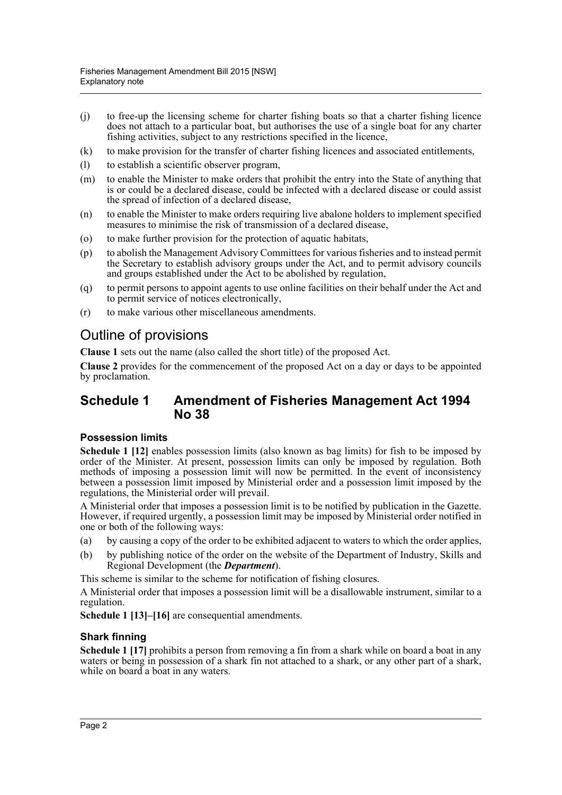- (j) to free-up the licensing scheme for charter fishing boats so that a charter fishing licence does not attach to a particular boat, but authorises the use of a single boat for any charter fishing activities, subject to any restrictions specified in the licence,
- (k) to make provision for the transfer of charter fishing licences and associated entitlements,
- (l) to establish a scientific observer program,
- (m) to enable the Minister to make orders that prohibit the entry into the State of anything that is or could be a declared disease, could be infected with a declared disease or could assist the spread of infection of a declared disease,
- (n) to enable the Minister to make orders requiring live abalone holders to implement specified measures to minimise the risk of transmission of a declared disease,
- (o) to make further provision for the protection of aquatic habitats,
- (p) to abolish the Management Advisory Committees for various fisheries and to instead permit the Secretary to establish advisory groups under the Act, and to permit advisory councils and groups established under the Act to be abolished by regulation,
- (q) to permit persons to appoint agents to use online facilities on their behalf under the Act and to permit service of notices electronically,
- (r) to make various other miscellaneous amendments.

## Outline of provisions

**Clause 1** sets out the name (also called the short title) of the proposed Act.

**Clause 2** provides for the commencement of the proposed Act on a day or days to be appointed by proclamation.

### **Schedule 1 Amendment of Fisheries Management Act 1994 No 38**

#### **Possession limits**

**Schedule 1 [12]** enables possession limits (also known as bag limits) for fish to be imposed by order of the Minister. At present, possession limits can only be imposed by regulation. Both methods of imposing a possession limit will now be permitted. In the event of inconsistency between a possession limit imposed by Ministerial order and a possession limit imposed by the regulations, the Ministerial order will prevail.

A Ministerial order that imposes a possession limit is to be notified by publication in the Gazette. However, if required urgently, a possession limit may be imposed by Ministerial order notified in one or both of the following ways:

- (a) by causing a copy of the order to be exhibited adjacent to waters to which the order applies,
- (b) by publishing notice of the order on the website of the Department of Industry, Skills and Regional Development (the *Department*).

This scheme is similar to the scheme for notification of fishing closures.

A Ministerial order that imposes a possession limit will be a disallowable instrument, similar to a regulation.

**Schedule 1 [13]–[16]** are consequential amendments.

### **Shark finning**

**Schedule 1 [17]** prohibits a person from removing a fin from a shark while on board a boat in any waters or being in possession of a shark fin not attached to a shark, or any other part of a shark, while on board a boat in any waters.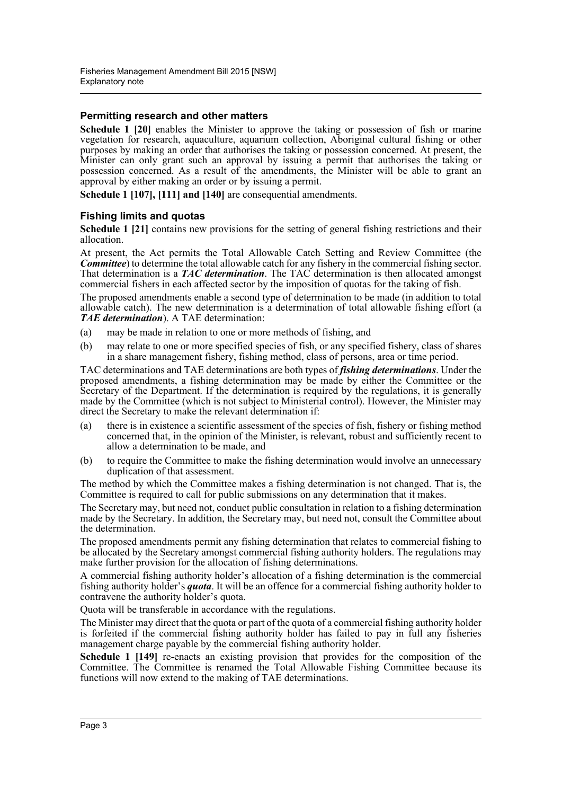#### **Permitting research and other matters**

**Schedule 1 [20]** enables the Minister to approve the taking or possession of fish or marine vegetation for research, aquaculture, aquarium collection, Aboriginal cultural fishing or other purposes by making an order that authorises the taking or possession concerned. At present, the Minister can only grant such an approval by issuing a permit that authorises the taking or possession concerned. As a result of the amendments, the Minister will be able to grant an approval by either making an order or by issuing a permit.

**Schedule 1 [107], [111] and [140]** are consequential amendments.

#### **Fishing limits and quotas**

**Schedule 1 [21]** contains new provisions for the setting of general fishing restrictions and their allocation.

At present, the Act permits the Total Allowable Catch Setting and Review Committee (the *Committee*) to determine the total allowable catch for any fishery in the commercial fishing sector. That determination is a *TAC determination*. The TAC determination is then allocated amongst commercial fishers in each affected sector by the imposition of quotas for the taking of fish.

The proposed amendments enable a second type of determination to be made (in addition to total allowable catch). The new determination is a determination of total allowable fishing effort (a *TAE determination*). A TAE determination:

- (a) may be made in relation to one or more methods of fishing, and
- (b) may relate to one or more specified species of fish, or any specified fishery, class of shares in a share management fishery, fishing method, class of persons, area or time period.

TAC determinations and TAE determinations are both types of *fishing determinations*. Under the proposed amendments, a fishing determination may be made by either the Committee or the Secretary of the Department. If the determination is required by the regulations, it is generally made by the Committee (which is not subject to Ministerial control). However, the Minister may direct the Secretary to make the relevant determination if:

- (a) there is in existence a scientific assessment of the species of fish, fishery or fishing method concerned that, in the opinion of the Minister, is relevant, robust and sufficiently recent to allow a determination to be made, and
- (b) to require the Committee to make the fishing determination would involve an unnecessary duplication of that assessment.

The method by which the Committee makes a fishing determination is not changed. That is, the Committee is required to call for public submissions on any determination that it makes.

The Secretary may, but need not, conduct public consultation in relation to a fishing determination made by the Secretary. In addition, the Secretary may, but need not, consult the Committee about the determination.

The proposed amendments permit any fishing determination that relates to commercial fishing to be allocated by the Secretary amongst commercial fishing authority holders. The regulations may make further provision for the allocation of fishing determinations.

A commercial fishing authority holder's allocation of a fishing determination is the commercial fishing authority holder's *quota*. It will be an offence for a commercial fishing authority holder to contravene the authority holder's quota.

Quota will be transferable in accordance with the regulations.

The Minister may direct that the quota or part of the quota of a commercial fishing authority holder is forfeited if the commercial fishing authority holder has failed to pay in full any fisheries management charge payable by the commercial fishing authority holder.

**Schedule 1 [149]** re-enacts an existing provision that provides for the composition of the Committee. The Committee is renamed the Total Allowable Fishing Committee because its functions will now extend to the making of TAE determinations.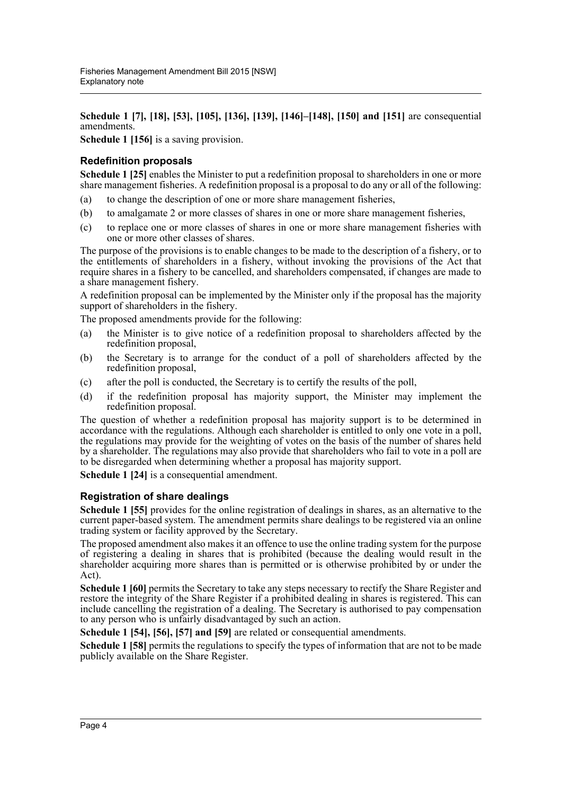**Schedule 1 [7], [18], [53], [105], [136], [139], [146]–[148], [150] and [151]** are consequential amendments.

**Schedule 1 [156]** is a saving provision.

#### **Redefinition proposals**

**Schedule 1 [25]** enables the Minister to put a redefinition proposal to shareholders in one or more share management fisheries. A redefinition proposal is a proposal to do any or all of the following:

- (a) to change the description of one or more share management fisheries,
- (b) to amalgamate 2 or more classes of shares in one or more share management fisheries,
- (c) to replace one or more classes of shares in one or more share management fisheries with one or more other classes of shares.

The purpose of the provisions is to enable changes to be made to the description of a fishery, or to the entitlements of shareholders in a fishery, without invoking the provisions of the Act that require shares in a fishery to be cancelled, and shareholders compensated, if changes are made to a share management fishery.

A redefinition proposal can be implemented by the Minister only if the proposal has the majority support of shareholders in the fishery.

The proposed amendments provide for the following:

- (a) the Minister is to give notice of a redefinition proposal to shareholders affected by the redefinition proposal,
- (b) the Secretary is to arrange for the conduct of a poll of shareholders affected by the redefinition proposal,
- (c) after the poll is conducted, the Secretary is to certify the results of the poll,
- (d) if the redefinition proposal has majority support, the Minister may implement the redefinition proposal.

The question of whether a redefinition proposal has majority support is to be determined in accordance with the regulations. Although each shareholder is entitled to only one vote in a poll, the regulations may provide for the weighting of votes on the basis of the number of shares held by a shareholder. The regulations may also provide that shareholders who fail to vote in a poll are to be disregarded when determining whether a proposal has majority support.

**Schedule 1 [24]** is a consequential amendment.

#### **Registration of share dealings**

**Schedule 1 [55]** provides for the online registration of dealings in shares, as an alternative to the current paper-based system. The amendment permits share dealings to be registered via an online trading system or facility approved by the Secretary.

The proposed amendment also makes it an offence to use the online trading system for the purpose of registering a dealing in shares that is prohibited (because the dealing would result in the shareholder acquiring more shares than is permitted or is otherwise prohibited by or under the Act).

**Schedule 1 [60]** permits the Secretary to take any steps necessary to rectify the Share Register and restore the integrity of the Share Register if a prohibited dealing in shares is registered. This can include cancelling the registration of a dealing. The Secretary is authorised to pay compensation to any person who is unfairly disadvantaged by such an action.

**Schedule 1 [54], [56], [57] and [59]** are related or consequential amendments.

**Schedule 1 [58]** permits the regulations to specify the types of information that are not to be made publicly available on the Share Register.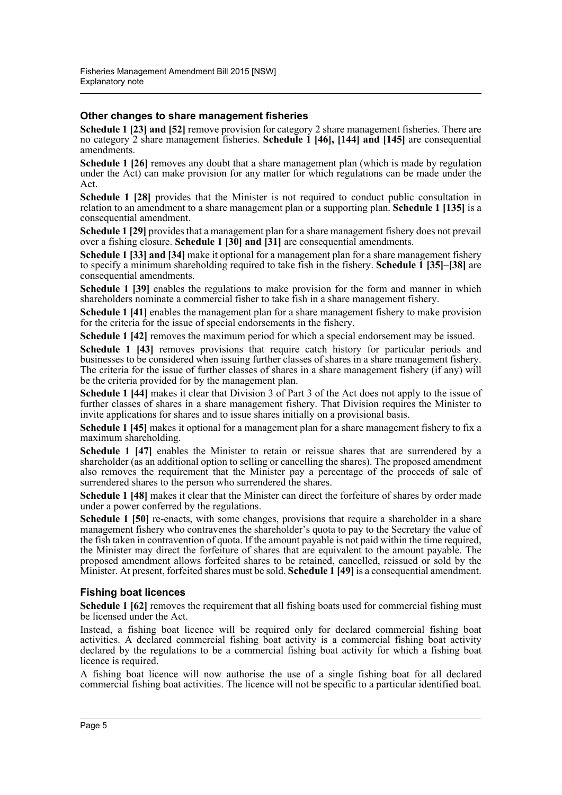#### **Other changes to share management fisheries**

**Schedule 1 [23] and [52]** remove provision for category 2 share management fisheries. There are no category 2 share management fisheries. **Schedule 1 [46], [144] and [145]** are consequential amendments.

**Schedule 1 [26]** removes any doubt that a share management plan (which is made by regulation under the Act) can make provision for any matter for which regulations can be made under the Act.

**Schedule 1 [28]** provides that the Minister is not required to conduct public consultation in relation to an amendment to a share management plan or a supporting plan. **Schedule 1 [135]** is a consequential amendment.

**Schedule 1 [29]** provides that a management plan for a share management fishery does not prevail over a fishing closure. **Schedule 1 [30] and [31]** are consequential amendments.

**Schedule 1 [33] and [34]** make it optional for a management plan for a share management fishery to specify a minimum shareholding required to take fish in the fishery. **Schedule 1 [35]–[38]** are consequential amendments.

**Schedule 1 [39]** enables the regulations to make provision for the form and manner in which shareholders nominate a commercial fisher to take fish in a share management fishery.

**Schedule 1 [41]** enables the management plan for a share management fishery to make provision for the criteria for the issue of special endorsements in the fishery.

**Schedule 1 [42]** removes the maximum period for which a special endorsement may be issued.

**Schedule 1 [43]** removes provisions that require catch history for particular periods and businesses to be considered when issuing further classes of shares in a share management fishery. The criteria for the issue of further classes of shares in a share management fishery (if any) will be the criteria provided for by the management plan.

**Schedule 1 [44]** makes it clear that Division 3 of Part 3 of the Act does not apply to the issue of further classes of shares in a share management fishery. That Division requires the Minister to invite applications for shares and to issue shares initially on a provisional basis.

**Schedule 1 [45]** makes it optional for a management plan for a share management fishery to fix a maximum shareholding.

**Schedule 1 [47]** enables the Minister to retain or reissue shares that are surrendered by a shareholder (as an additional option to selling or cancelling the shares). The proposed amendment also removes the requirement that the Minister pay a percentage of the proceeds of sale of surrendered shares to the person who surrendered the shares.

**Schedule 1 [48]** makes it clear that the Minister can direct the forfeiture of shares by order made under a power conferred by the regulations.

**Schedule 1 [50]** re-enacts, with some changes, provisions that require a shareholder in a share management fishery who contravenes the shareholder's quota to pay to the Secretary the value of the fish taken in contravention of quota. If the amount payable is not paid within the time required, the Minister may direct the forfeiture of shares that are equivalent to the amount payable. The proposed amendment allows forfeited shares to be retained, cancelled, reissued or sold by the Minister. At present, forfeited shares must be sold. **Schedule 1 [49]** is a consequential amendment.

#### **Fishing boat licences**

**Schedule 1 [62]** removes the requirement that all fishing boats used for commercial fishing must be licensed under the Act.

Instead, a fishing boat licence will be required only for declared commercial fishing boat activities. A declared commercial fishing boat activity is a commercial fishing boat activity declared by the regulations to be a commercial fishing boat activity for which a fishing boat licence is required.

A fishing boat licence will now authorise the use of a single fishing boat for all declared commercial fishing boat activities. The licence will not be specific to a particular identified boat.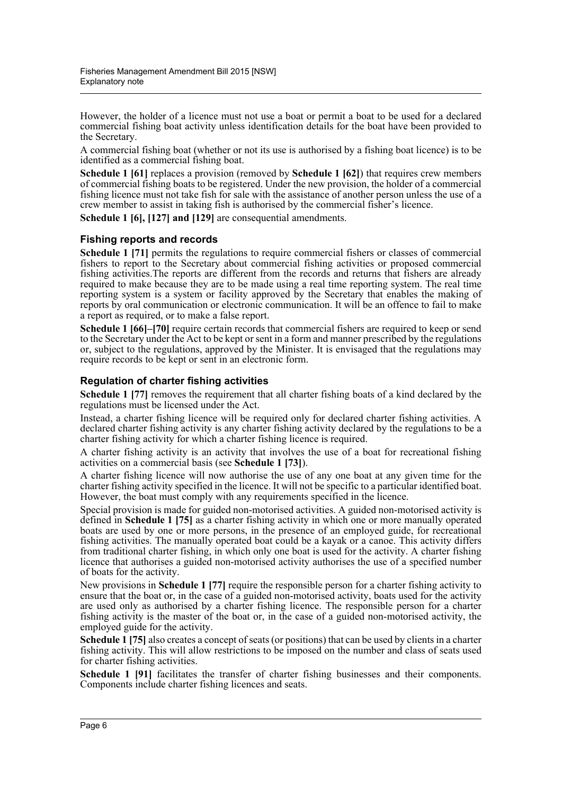However, the holder of a licence must not use a boat or permit a boat to be used for a declared commercial fishing boat activity unless identification details for the boat have been provided to the Secretary.

A commercial fishing boat (whether or not its use is authorised by a fishing boat licence) is to be identified as a commercial fishing boat.

**Schedule 1 [61]** replaces a provision (removed by **Schedule 1 [62]**) that requires crew members of commercial fishing boats to be registered. Under the new provision, the holder of a commercial fishing licence must not take fish for sale with the assistance of another person unless the use of a crew member to assist in taking fish is authorised by the commercial fisher's licence.

**Schedule 1 [6], [127] and [129]** are consequential amendments.

#### **Fishing reports and records**

**Schedule 1 [71]** permits the regulations to require commercial fishers or classes of commercial fishers to report to the Secretary about commercial fishing activities or proposed commercial fishing activities.The reports are different from the records and returns that fishers are already required to make because they are to be made using a real time reporting system. The real time reporting system is a system or facility approved by the Secretary that enables the making of reports by oral communication or electronic communication. It will be an offence to fail to make a report as required, or to make a false report.

**Schedule 1 [66]–[70]** require certain records that commercial fishers are required to keep or send to the Secretary under the Act to be kept or sent in a form and manner prescribed by the regulations or, subject to the regulations, approved by the Minister. It is envisaged that the regulations may require records to be kept or sent in an electronic form.

#### **Regulation of charter fishing activities**

**Schedule 1 [77]** removes the requirement that all charter fishing boats of a kind declared by the regulations must be licensed under the Act.

Instead, a charter fishing licence will be required only for declared charter fishing activities. A declared charter fishing activity is any charter fishing activity declared by the regulations to be a charter fishing activity for which a charter fishing licence is required.

A charter fishing activity is an activity that involves the use of a boat for recreational fishing activities on a commercial basis (see **Schedule 1 [73]**).

A charter fishing licence will now authorise the use of any one boat at any given time for the charter fishing activity specified in the licence. It will not be specific to a particular identified boat. However, the boat must comply with any requirements specified in the licence.

Special provision is made for guided non-motorised activities. A guided non-motorised activity is defined in **Schedule 1 [75]** as a charter fishing activity in which one or more manually operated boats are used by one or more persons, in the presence of an employed guide, for recreational fishing activities. The manually operated boat could be a kayak or a canoe. This activity differs from traditional charter fishing, in which only one boat is used for the activity. A charter fishing licence that authorises a guided non-motorised activity authorises the use of a specified number of boats for the activity.

New provisions in **Schedule 1 [77]** require the responsible person for a charter fishing activity to ensure that the boat or, in the case of a guided non-motorised activity, boats used for the activity are used only as authorised by a charter fishing licence. The responsible person for a charter fishing activity is the master of the boat or, in the case of a guided non-motorised activity, the employed guide for the activity.

**Schedule 1 [75]** also creates a concept of seats (or positions) that can be used by clients in a charter fishing activity. This will allow restrictions to be imposed on the number and class of seats used for charter fishing activities.

**Schedule 1 [91]** facilitates the transfer of charter fishing businesses and their components. Components include charter fishing licences and seats.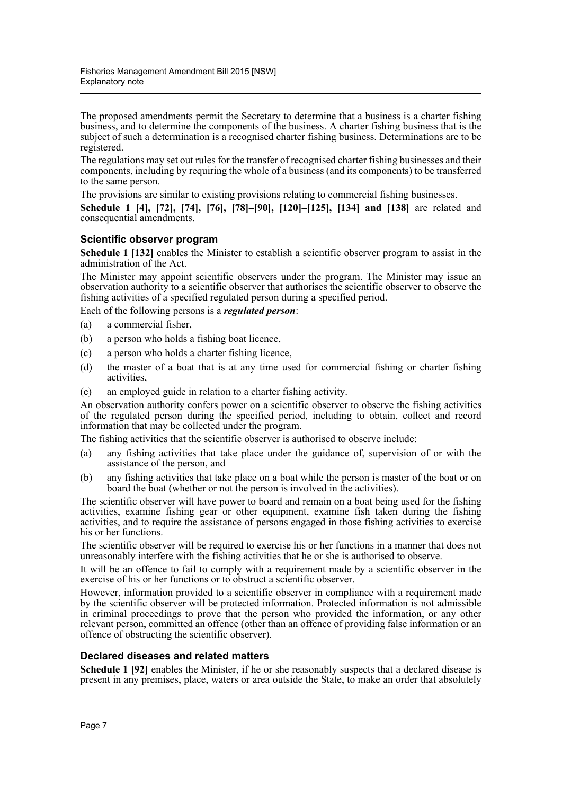The proposed amendments permit the Secretary to determine that a business is a charter fishing business, and to determine the components of the business. A charter fishing business that is the subject of such a determination is a recognised charter fishing business. Determinations are to be registered.

The regulations may set out rules for the transfer of recognised charter fishing businesses and their components, including by requiring the whole of a business (and its components) to be transferred to the same person.

The provisions are similar to existing provisions relating to commercial fishing businesses.

**Schedule 1 [4], [72], [74], [76], [78]–[90], [120]–[125], [134] and [138]** are related and consequential amendments.

#### **Scientific observer program**

**Schedule 1 [132]** enables the Minister to establish a scientific observer program to assist in the administration of the Act.

The Minister may appoint scientific observers under the program. The Minister may issue an observation authority to a scientific observer that authorises the scientific observer to observe the fishing activities of a specified regulated person during a specified period.

Each of the following persons is a *regulated person*:

- (a) a commercial fisher,
- (b) a person who holds a fishing boat licence,
- (c) a person who holds a charter fishing licence,
- (d) the master of a boat that is at any time used for commercial fishing or charter fishing activities,
- (e) an employed guide in relation to a charter fishing activity.

An observation authority confers power on a scientific observer to observe the fishing activities of the regulated person during the specified period, including to obtain, collect and record information that may be collected under the program.

The fishing activities that the scientific observer is authorised to observe include:

- (a) any fishing activities that take place under the guidance of, supervision of or with the assistance of the person, and
- (b) any fishing activities that take place on a boat while the person is master of the boat or on board the boat (whether or not the person is involved in the activities).

The scientific observer will have power to board and remain on a boat being used for the fishing activities, examine fishing gear or other equipment, examine fish taken during the fishing activities, and to require the assistance of persons engaged in those fishing activities to exercise his or her functions.

The scientific observer will be required to exercise his or her functions in a manner that does not unreasonably interfere with the fishing activities that he or she is authorised to observe.

It will be an offence to fail to comply with a requirement made by a scientific observer in the exercise of his or her functions or to obstruct a scientific observer.

However, information provided to a scientific observer in compliance with a requirement made by the scientific observer will be protected information. Protected information is not admissible in criminal proceedings to prove that the person who provided the information, or any other relevant person, committed an offence (other than an offence of providing false information or an offence of obstructing the scientific observer).

#### **Declared diseases and related matters**

**Schedule 1 [92]** enables the Minister, if he or she reasonably suspects that a declared disease is present in any premises, place, waters or area outside the State, to make an order that absolutely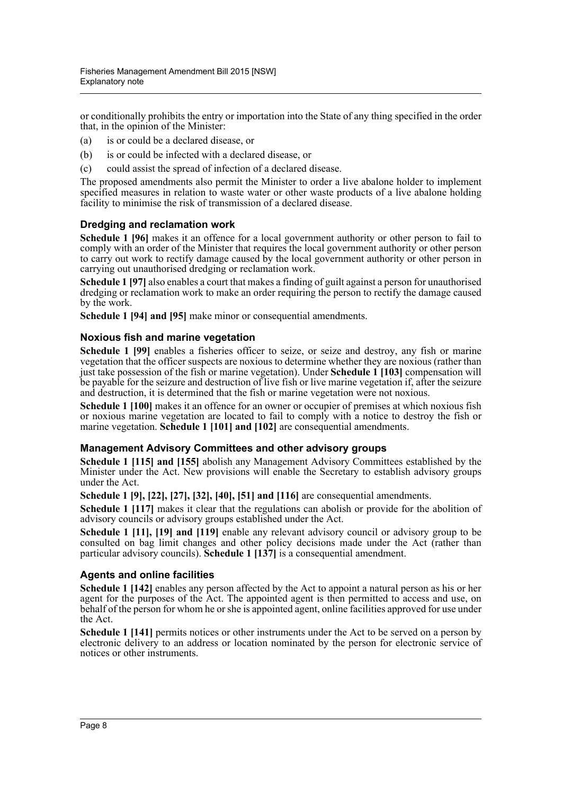or conditionally prohibits the entry or importation into the State of any thing specified in the order that, in the opinion of the Minister:

- (a) is or could be a declared disease, or
- (b) is or could be infected with a declared disease, or
- (c) could assist the spread of infection of a declared disease.

The proposed amendments also permit the Minister to order a live abalone holder to implement specified measures in relation to waste water or other waste products of a live abalone holding facility to minimise the risk of transmission of a declared disease.

#### **Dredging and reclamation work**

**Schedule 1 [96]** makes it an offence for a local government authority or other person to fail to comply with an order of the Minister that requires the local government authority or other person to carry out work to rectify damage caused by the local government authority or other person in carrying out unauthorised dredging or reclamation work.

**Schedule 1 [97]** also enables a court that makes a finding of guilt against a person for unauthorised dredging or reclamation work to make an order requiring the person to rectify the damage caused by the work.

**Schedule 1 [94] and [95]** make minor or consequential amendments.

#### **Noxious fish and marine vegetation**

**Schedule 1 [99]** enables a fisheries officer to seize, or seize and destroy, any fish or marine vegetation that the officer suspects are noxious to determine whether they are noxious (rather than just take possession of the fish or marine vegetation). Under **Schedule 1 [103]** compensation will be payable for the seizure and destruction of live fish or live marine vegetation if, after the seizure and destruction, it is determined that the fish or marine vegetation were not noxious.

**Schedule 1 [100]** makes it an offence for an owner or occupier of premises at which noxious fish or noxious marine vegetation are located to fail to comply with a notice to destroy the fish or marine vegetation. **Schedule 1 [101] and [102]** are consequential amendments.

#### **Management Advisory Committees and other advisory groups**

**Schedule 1 [115] and [155]** abolish any Management Advisory Committees established by the Minister under the Act. New provisions will enable the Secretary to establish advisory groups under the Act.

**Schedule 1 [9], [22], [27], [32], [40], [51] and [116]** are consequential amendments.

**Schedule 1 [117]** makes it clear that the regulations can abolish or provide for the abolition of advisory councils or advisory groups established under the Act.

**Schedule 1 [11], [19] and [119]** enable any relevant advisory council or advisory group to be consulted on bag limit changes and other policy decisions made under the Act (rather than particular advisory councils). **Schedule 1 [137]** is a consequential amendment.

#### **Agents and online facilities**

**Schedule 1 [142]** enables any person affected by the Act to appoint a natural person as his or her agent for the purposes of the Act. The appointed agent is then permitted to access and use, on behalf of the person for whom he or she is appointed agent, online facilities approved for use under the Act.

**Schedule 1 [141]** permits notices or other instruments under the Act to be served on a person by electronic delivery to an address or location nominated by the person for electronic service of notices or other instruments.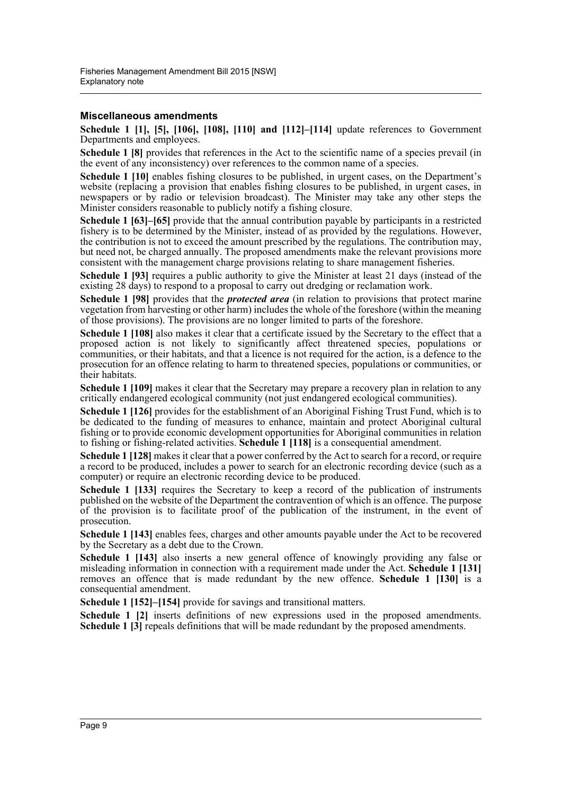#### **Miscellaneous amendments**

**Schedule 1 [1], [5], [106], [108], [110] and [112]–[114]** update references to Government Departments and employees.

**Schedule 1 [8]** provides that references in the Act to the scientific name of a species prevail (in the event of any inconsistency) over references to the common name of a species.

**Schedule 1 [10]** enables fishing closures to be published, in urgent cases, on the Department's website (replacing a provision that enables fishing closures to be published, in urgent cases, in newspapers or by radio or television broadcast). The Minister may take any other steps the Minister considers reasonable to publicly notify a fishing closure.

**Schedule 1 [63]–[65]** provide that the annual contribution payable by participants in a restricted fishery is to be determined by the Minister, instead of as provided by the regulations. However, the contribution is not to exceed the amount prescribed by the regulations. The contribution may, but need not, be charged annually. The proposed amendments make the relevant provisions more consistent with the management charge provisions relating to share management fisheries.

**Schedule 1 [93]** requires a public authority to give the Minister at least 21 days (instead of the existing 28 days) to respond to a proposal to carry out dredging or reclamation work.

**Schedule 1 [98]** provides that the *protected area* (in relation to provisions that protect marine vegetation from harvesting or other harm) includes the whole of the foreshore (within the meaning of those provisions). The provisions are no longer limited to parts of the foreshore.

**Schedule 1 [108]** also makes it clear that a certificate issued by the Secretary to the effect that a proposed action is not likely to significantly affect threatened species, populations or communities, or their habitats, and that a licence is not required for the action, is a defence to the prosecution for an offence relating to harm to threatened species, populations or communities, or their habitats.

**Schedule 1 [109]** makes it clear that the Secretary may prepare a recovery plan in relation to any critically endangered ecological community (not just endangered ecological communities).

**Schedule 1 [126]** provides for the establishment of an Aboriginal Fishing Trust Fund, which is to be dedicated to the funding of measures to enhance, maintain and protect Aboriginal cultural fishing or to provide economic development opportunities for Aboriginal communities in relation to fishing or fishing-related activities. **Schedule 1 [118]** is a consequential amendment.

**Schedule 1 [128]** makes it clear that a power conferred by the Act to search for a record, or require a record to be produced, includes a power to search for an electronic recording device (such as a computer) or require an electronic recording device to be produced.

**Schedule 1 [133]** requires the Secretary to keep a record of the publication of instruments published on the website of the Department the contravention of which is an offence. The purpose of the provision is to facilitate proof of the publication of the instrument, in the event of prosecution.

**Schedule 1 [143]** enables fees, charges and other amounts payable under the Act to be recovered by the Secretary as a debt due to the Crown.

**Schedule 1 [143]** also inserts a new general offence of knowingly providing any false or misleading information in connection with a requirement made under the Act. **Schedule 1 [131]** removes an offence that is made redundant by the new offence. **Schedule 1 [130]** is a consequential amendment.

**Schedule 1 [152]–[154]** provide for savings and transitional matters.

**Schedule 1 [2]** inserts definitions of new expressions used in the proposed amendments. **Schedule 1 [3] repeals definitions that will be made redundant by the proposed amendments.**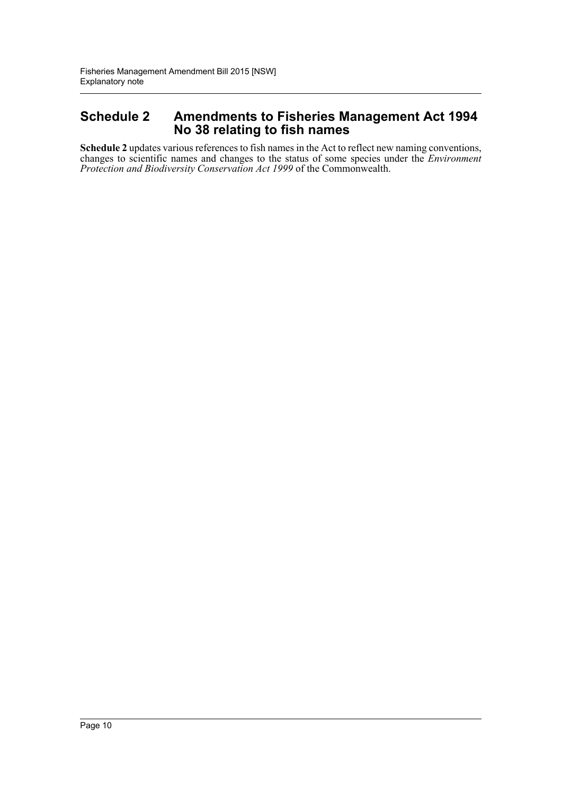## **Schedule 2 Amendments to Fisheries Management Act 1994 No 38 relating to fish names**

**Schedule 2** updates various references to fish names in the Act to reflect new naming conventions, changes to scientific names and changes to the status of some species under the *Environment Protection and Biodiversity Conservation Act 1999* of the Commonwealth.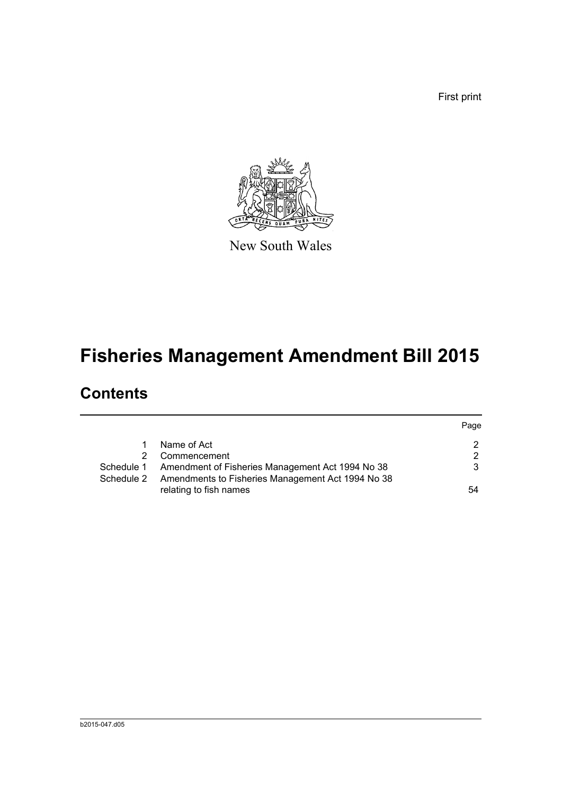First print



New South Wales

# **Fisheries Management Amendment Bill 2015**

# **Contents**

|            |                                                   | Page          |
|------------|---------------------------------------------------|---------------|
|            | Name of Act                                       | $\mathcal{P}$ |
|            | Commencement                                      | 2             |
| Schedule 1 | Amendment of Fisheries Management Act 1994 No 38  | 3             |
| Schedule 2 | Amendments to Fisheries Management Act 1994 No 38 |               |
|            | relating to fish names                            | 54            |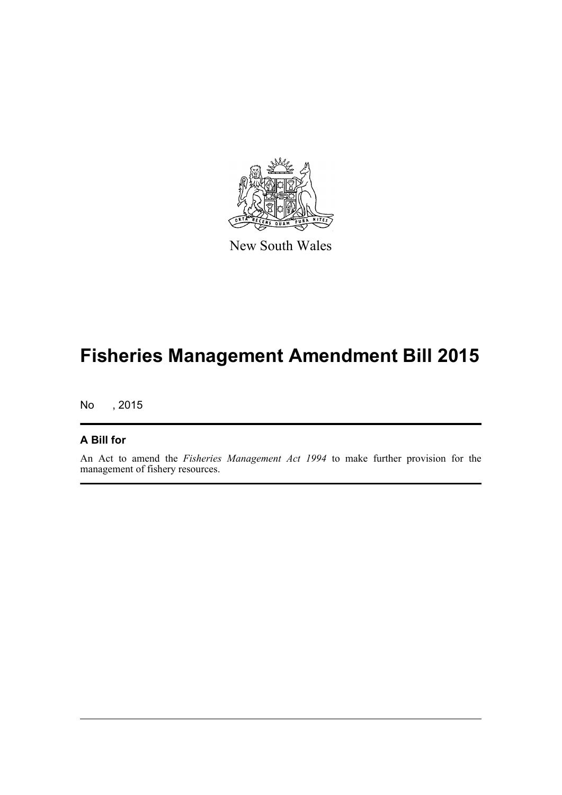

New South Wales

# **Fisheries Management Amendment Bill 2015**

No , 2015

### **A Bill for**

An Act to amend the *Fisheries Management Act 1994* to make further provision for the management of fishery resources.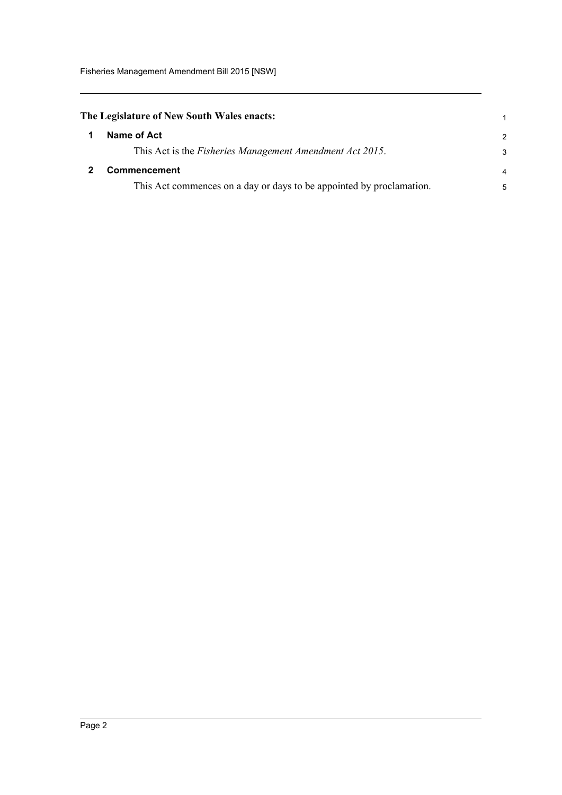<span id="page-12-1"></span><span id="page-12-0"></span>

| The Legislature of New South Wales enacts:                           |                |
|----------------------------------------------------------------------|----------------|
| Name of Act                                                          | 2              |
| This Act is the <i>Fisheries Management Amendment Act 2015</i> .     | 3              |
| <b>Commencement</b>                                                  | $\overline{4}$ |
| This Act commences on a day or days to be appointed by proclamation. | 5              |
|                                                                      |                |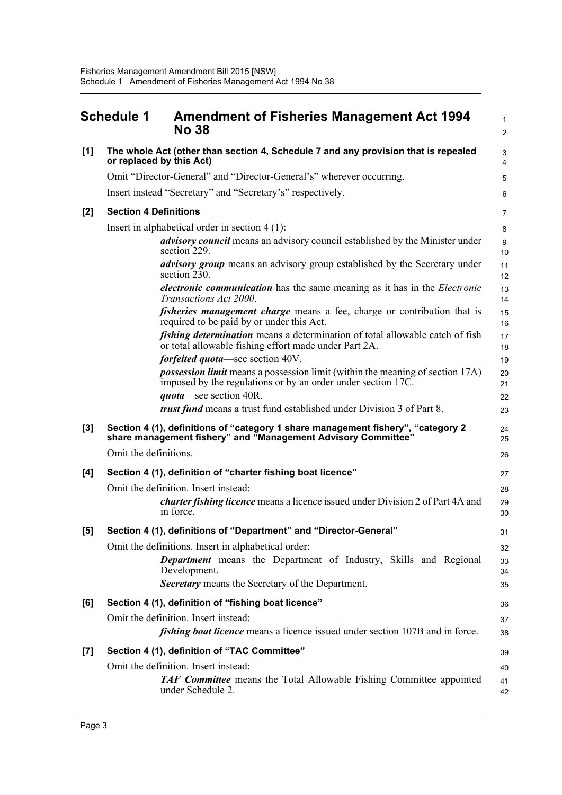<span id="page-13-0"></span>

|       | <b>Schedule 1</b>            | <b>Amendment of Fisheries Management Act 1994</b><br><b>No 38</b>                                                                                    | $\mathbf{1}$<br>$\overline{2}$ |
|-------|------------------------------|------------------------------------------------------------------------------------------------------------------------------------------------------|--------------------------------|
| [1]   | or replaced by this Act)     | The whole Act (other than section 4, Schedule 7 and any provision that is repealed                                                                   | $\sqrt{3}$<br>$\overline{4}$   |
|       |                              | Omit "Director-General" and "Director-General's" wherever occurring.                                                                                 | 5                              |
|       |                              | Insert instead "Secretary" and "Secretary's" respectively.                                                                                           | 6                              |
| $[2]$ | <b>Section 4 Definitions</b> |                                                                                                                                                      | $\overline{7}$                 |
|       |                              | Insert in alphabetical order in section $4(1)$ :                                                                                                     | 8                              |
|       |                              | <i>advisory council</i> means an advisory council established by the Minister under<br>section 229.                                                  | 9<br>10                        |
|       |                              | advisory group means an advisory group established by the Secretary under<br>section 230.                                                            | 11<br>12                       |
|       |                              | <i>electronic communication</i> has the same meaning as it has in the <i>Electronic</i><br>Transactions Act 2000.                                    | 13<br>14                       |
|       |                              | <i>fisheries management charge</i> means a fee, charge or contribution that is<br>required to be paid by or under this Act.                          | 15<br>16                       |
|       |                              | <i>fishing determination</i> means a determination of total allowable catch of fish<br>or total allowable fishing effort made under Part 2A.         | 17<br>18                       |
|       |                              | <i>forfeited quota</i> —see section 40V.                                                                                                             | 19                             |
|       |                              | <i>possession limit</i> means a possession limit (within the meaning of section 17A)<br>imposed by the regulations or by an order under section 17C. | 20<br>21                       |
|       |                              | quota—see section 40R.                                                                                                                               | 22                             |
|       |                              | <i>trust fund</i> means a trust fund established under Division 3 of Part 8.                                                                         | 23                             |
| $[3]$ |                              | Section 4 (1), definitions of "category 1 share management fishery", "category 2<br>share management fishery" and "Management Advisory Committee"    | 24<br>25                       |
|       | Omit the definitions.        |                                                                                                                                                      | 26                             |
| [4]   |                              | Section 4 (1), definition of "charter fishing boat licence"                                                                                          | 27                             |
|       |                              | Omit the definition. Insert instead:                                                                                                                 | 28                             |
|       |                              | <i>charter fishing licence</i> means a licence issued under Division 2 of Part 4A and<br>in force.                                                   | 29<br>30                       |
| [5]   |                              | Section 4 (1), definitions of "Department" and "Director-General"                                                                                    | 31                             |
|       |                              | Omit the definitions. Insert in alphabetical order:                                                                                                  | 32                             |
|       |                              | Department means the Department of Industry, Skills and Regional<br>Development.                                                                     | 33<br>34                       |
|       |                              | Secretary means the Secretary of the Department.                                                                                                     | 35                             |
| [6]   |                              | Section 4 (1), definition of "fishing boat licence"                                                                                                  | 36                             |
|       |                              | Omit the definition. Insert instead:                                                                                                                 | 37                             |
|       |                              | <i>fishing boat licence</i> means a licence issued under section 107B and in force.                                                                  | 38                             |
| $[7]$ |                              | Section 4 (1), definition of "TAC Committee"                                                                                                         | 39                             |
|       |                              | Omit the definition. Insert instead:<br><b>TAF Committee</b> means the Total Allowable Fishing Committee appointed<br>under Schedule 2.              | 40<br>41<br>42                 |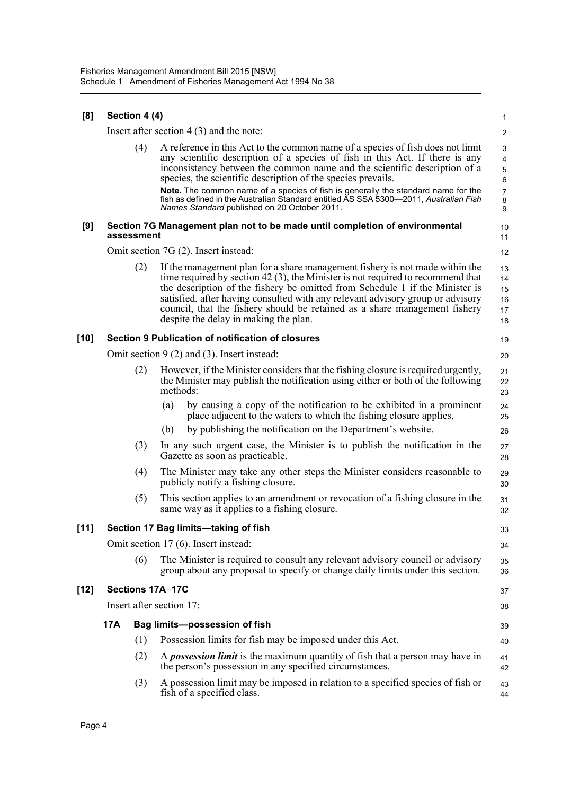| [8]    |     | Section 4 (4)            |          |                                                                                                                                                                                                                                                                                                                                                                                                                                                             | 1                                                    |
|--------|-----|--------------------------|----------|-------------------------------------------------------------------------------------------------------------------------------------------------------------------------------------------------------------------------------------------------------------------------------------------------------------------------------------------------------------------------------------------------------------------------------------------------------------|------------------------------------------------------|
|        |     |                          |          | Insert after section $4(3)$ and the note:                                                                                                                                                                                                                                                                                                                                                                                                                   | $\overline{2}$                                       |
|        |     | (4)                      |          | A reference in this Act to the common name of a species of fish does not limit<br>any scientific description of a species of fish in this Act. If there is any<br>inconsistency between the common name and the scientific description of a<br>species, the scientific description of the species prevails.                                                                                                                                                 | 3<br>$\overline{\mathbf{4}}$<br>$\mathbf 5$<br>$\,6$ |
|        |     |                          |          | Note. The common name of a species of fish is generally the standard name for the<br>fish as defined in the Australian Standard entitled AS SSA 5300-2011, Australian Fish<br>Names Standard published on 20 October 2011.                                                                                                                                                                                                                                  | $\boldsymbol{7}$<br>$\bf 8$<br>9                     |
| [9]    |     | assessment               |          | Section 7G Management plan not to be made until completion of environmental                                                                                                                                                                                                                                                                                                                                                                                 | 10<br>11                                             |
|        |     |                          |          | Omit section 7G (2). Insert instead:                                                                                                                                                                                                                                                                                                                                                                                                                        | 12                                                   |
|        |     | (2)                      |          | If the management plan for a share management fishery is not made within the<br>time required by section 42 $(3)$ , the Minister is not required to recommend that<br>the description of the fishery be omitted from Schedule 1 if the Minister is<br>satisfied, after having consulted with any relevant advisory group or advisory<br>council, that the fishery should be retained as a share management fishery<br>despite the delay in making the plan. | 13<br>14<br>15<br>16<br>17<br>18                     |
| [10]   |     |                          |          | Section 9 Publication of notification of closures                                                                                                                                                                                                                                                                                                                                                                                                           | 19                                                   |
|        |     |                          |          | Omit section $9(2)$ and (3). Insert instead:                                                                                                                                                                                                                                                                                                                                                                                                                | 20                                                   |
|        |     | (2)                      | methods: | However, if the Minister considers that the fishing closure is required urgently,<br>the Minister may publish the notification using either or both of the following                                                                                                                                                                                                                                                                                        | 21<br>22<br>23                                       |
|        |     |                          | (a)      | by causing a copy of the notification to be exhibited in a prominent<br>place adjacent to the waters to which the fishing closure applies,                                                                                                                                                                                                                                                                                                                  | 24<br>25                                             |
|        |     |                          | (b)      | by publishing the notification on the Department's website.                                                                                                                                                                                                                                                                                                                                                                                                 | 26                                                   |
|        |     | (3)                      |          | In any such urgent case, the Minister is to publish the notification in the<br>Gazette as soon as practicable.                                                                                                                                                                                                                                                                                                                                              | 27<br>28                                             |
|        |     | (4)                      |          | The Minister may take any other steps the Minister considers reasonable to<br>publicly notify a fishing closure.                                                                                                                                                                                                                                                                                                                                            | 29<br>30                                             |
|        |     | (5)                      |          | This section applies to an amendment or revocation of a fishing closure in the<br>same way as it applies to a fishing closure.                                                                                                                                                                                                                                                                                                                              | 31<br>32                                             |
| $[11]$ |     |                          |          | Section 17 Bag limits-taking of fish                                                                                                                                                                                                                                                                                                                                                                                                                        | 33                                                   |
|        |     |                          |          | Omit section 17 (6). Insert instead:                                                                                                                                                                                                                                                                                                                                                                                                                        | 34                                                   |
|        |     | (6)                      |          | The Minister is required to consult any relevant advisory council or advisory<br>group about any proposal to specify or change daily limits under this section.                                                                                                                                                                                                                                                                                             | 35<br>36                                             |
| [12]   |     | Sections 17A-17C         |          |                                                                                                                                                                                                                                                                                                                                                                                                                                                             | 37                                                   |
|        |     | Insert after section 17: |          |                                                                                                                                                                                                                                                                                                                                                                                                                                                             | 38                                                   |
|        | 17A |                          |          | <b>Bag limits-possession of fish</b>                                                                                                                                                                                                                                                                                                                                                                                                                        | 39                                                   |
|        |     | (1)                      |          | Possession limits for fish may be imposed under this Act.                                                                                                                                                                                                                                                                                                                                                                                                   | 40                                                   |
|        |     | (2)                      |          | A <i>possession limit</i> is the maximum quantity of fish that a person may have in<br>the person's possession in any specified circumstances.                                                                                                                                                                                                                                                                                                              | 41<br>42                                             |
|        |     | (3)                      |          | A possession limit may be imposed in relation to a specified species of fish or<br>fish of a specified class.                                                                                                                                                                                                                                                                                                                                               | 43<br>44                                             |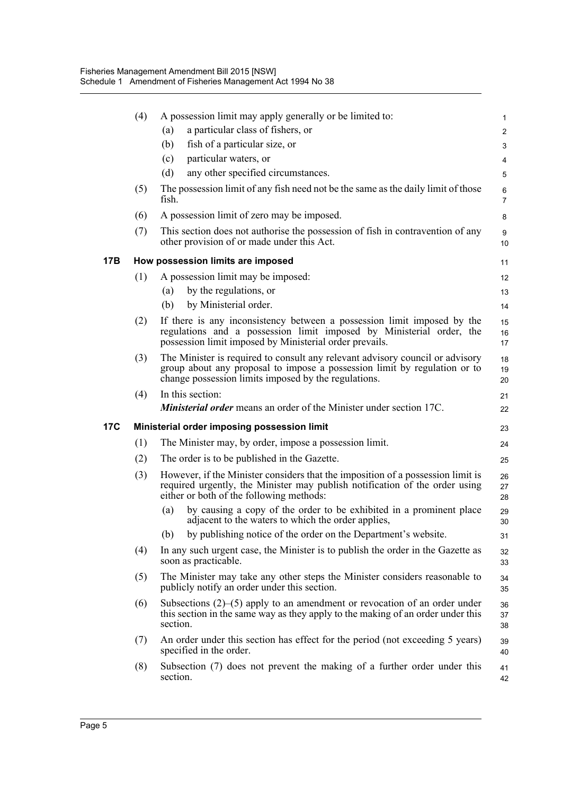|            | (4) | A possession limit may apply generally or be limited to:                                                                                                                                                           | $\mathbf{1}$        |
|------------|-----|--------------------------------------------------------------------------------------------------------------------------------------------------------------------------------------------------------------------|---------------------|
|            |     | a particular class of fishers, or<br>(a)                                                                                                                                                                           | $\overline{2}$      |
|            |     | fish of a particular size, or<br>(b)                                                                                                                                                                               | 3                   |
|            |     | particular waters, or<br>(c)                                                                                                                                                                                       | 4                   |
|            |     | (d)<br>any other specified circumstances.                                                                                                                                                                          | 5                   |
|            | (5) | The possession limit of any fish need not be the same as the daily limit of those<br>fish.                                                                                                                         | 6<br>$\overline{7}$ |
|            | (6) | A possession limit of zero may be imposed.                                                                                                                                                                         | 8                   |
|            | (7) | This section does not authorise the possession of fish in contravention of any<br>other provision of or made under this Act.                                                                                       | 9<br>10             |
| 17B        |     | How possession limits are imposed                                                                                                                                                                                  | 11                  |
|            | (1) | A possession limit may be imposed:                                                                                                                                                                                 | 12                  |
|            |     | by the regulations, or<br>(a)                                                                                                                                                                                      | 13                  |
|            |     | by Ministerial order.<br>(b)                                                                                                                                                                                       | 14                  |
|            | (2) | If there is any inconsistency between a possession limit imposed by the<br>regulations and a possession limit imposed by Ministerial order, the<br>possession limit imposed by Ministerial order prevails.         | 15<br>16<br>17      |
|            | (3) | The Minister is required to consult any relevant advisory council or advisory<br>group about any proposal to impose a possession limit by regulation or to<br>change possession limits imposed by the regulations. | 18<br>19<br>20      |
|            | (4) | In this section:                                                                                                                                                                                                   | 21                  |
|            |     | <b>Ministerial order</b> means an order of the Minister under section 17C.                                                                                                                                         | 22                  |
| <b>17C</b> |     | Ministerial order imposing possession limit                                                                                                                                                                        | 23                  |
|            | (1) | The Minister may, by order, impose a possession limit.                                                                                                                                                             | 24                  |
|            | (2) | The order is to be published in the Gazette.                                                                                                                                                                       | 25                  |
|            | (3) | However, if the Minister considers that the imposition of a possession limit is<br>required urgently, the Minister may publish notification of the order using<br>either or both of the following methods:         | 26<br>27<br>28      |
|            |     | by causing a copy of the order to be exhibited in a prominent place<br>(a)<br>adjacent to the waters to which the order applies,                                                                                   | 29<br>30            |
|            |     | by publishing notice of the order on the Department's website.<br>(b)                                                                                                                                              | 31                  |
|            | (4) | In any such urgent case, the Minister is to publish the order in the Gazette as<br>soon as practicable.                                                                                                            | 32<br>33            |
|            | (5) | The Minister may take any other steps the Minister considers reasonable to<br>publicly notify an order under this section.                                                                                         | 34<br>35            |
|            | (6) | Subsections $(2)$ – $(5)$ apply to an amendment or revocation of an order under<br>this section in the same way as they apply to the making of an order under this<br>section.                                     | 36<br>37<br>38      |
|            | (7) | An order under this section has effect for the period (not exceeding 5 years)<br>specified in the order.                                                                                                           | 39<br>40            |
|            | (8) | Subsection (7) does not prevent the making of a further order under this<br>section.                                                                                                                               | 41<br>42            |
|            |     |                                                                                                                                                                                                                    |                     |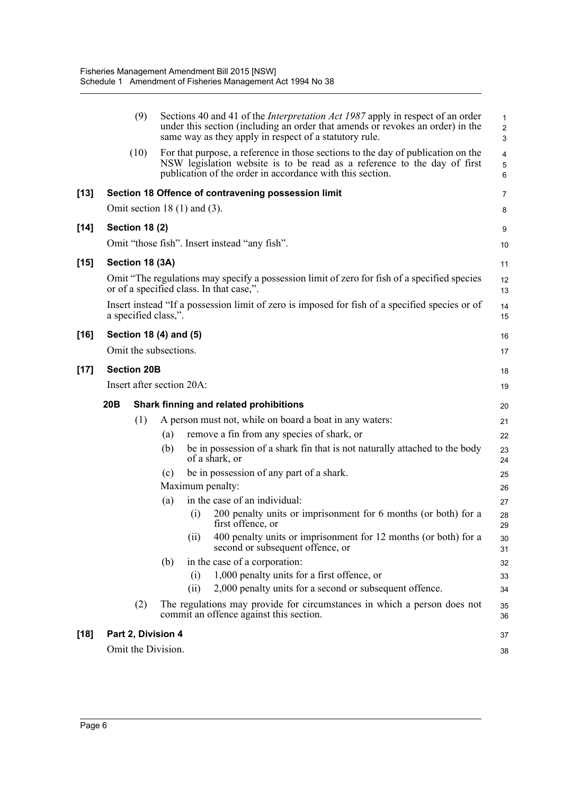|        |     | (9)                    |     |                                   | Sections 40 and 41 of the <i>Interpretation Act 1987</i> apply in respect of an order<br>under this section (including an order that amends or revokes an order) in the<br>same way as they apply in respect of a statutory rule. | $\mathbf{1}$<br>$\overline{c}$<br>$\mathsf 3$ |
|--------|-----|------------------------|-----|-----------------------------------|-----------------------------------------------------------------------------------------------------------------------------------------------------------------------------------------------------------------------------------|-----------------------------------------------|
|        |     | (10)                   |     |                                   | For that purpose, a reference in those sections to the day of publication on the<br>NSW legislation website is to be read as a reference to the day of first<br>publication of the order in accordance with this section.         | $\overline{4}$<br>$\sqrt{5}$<br>6             |
| [13]   |     |                        |     |                                   | Section 18 Offence of contravening possession limit                                                                                                                                                                               | 7                                             |
|        |     |                        |     | Omit section 18 $(1)$ and $(3)$ . |                                                                                                                                                                                                                                   | 8                                             |
| [14]   |     | <b>Section 18 (2)</b>  |     |                                   |                                                                                                                                                                                                                                   | 9                                             |
|        |     |                        |     |                                   | Omit "those fish". Insert instead "any fish".                                                                                                                                                                                     | 10                                            |
| $[15]$ |     | Section 18 (3A)        |     |                                   |                                                                                                                                                                                                                                   | 11                                            |
|        |     |                        |     |                                   | Omit "The regulations may specify a possession limit of zero for fish of a specified species<br>or of a specified class. In that case,".                                                                                          | 12<br>13                                      |
|        |     | a specified class,".   |     |                                   | Insert instead "If a possession limit of zero is imposed for fish of a specified species or of                                                                                                                                    | 14<br>15                                      |
| [16]   |     | Section 18 (4) and (5) |     |                                   |                                                                                                                                                                                                                                   | 16                                            |
|        |     | Omit the subsections.  |     |                                   |                                                                                                                                                                                                                                   | 17                                            |
| $[17]$ |     | <b>Section 20B</b>     |     |                                   |                                                                                                                                                                                                                                   | 18                                            |
|        |     |                        |     | Insert after section 20A:         |                                                                                                                                                                                                                                   | 19                                            |
|        | 20B |                        |     |                                   | Shark finning and related prohibitions                                                                                                                                                                                            | 20                                            |
|        |     | (1)                    |     |                                   | A person must not, while on board a boat in any waters:                                                                                                                                                                           | 21                                            |
|        |     |                        | (a) |                                   | remove a fin from any species of shark, or                                                                                                                                                                                        | 22                                            |
|        |     |                        | (b) |                                   | be in possession of a shark fin that is not naturally attached to the body<br>of a shark, or                                                                                                                                      | 23<br>24                                      |
|        |     |                        | (c) |                                   | be in possession of any part of a shark.                                                                                                                                                                                          | 25                                            |
|        |     |                        |     | Maximum penalty:                  |                                                                                                                                                                                                                                   | 26                                            |
|        |     |                        | (a) |                                   | in the case of an individual:                                                                                                                                                                                                     | 27                                            |
|        |     |                        |     | (i)                               | 200 penalty units or imprisonment for 6 months (or both) for a<br>first offence, or                                                                                                                                               | 28<br>29                                      |
|        |     |                        |     | (ii)                              | 400 penalty units or imprisonment for 12 months (or both) for a<br>second or subsequent offence, or                                                                                                                               | 30<br>31                                      |
|        |     |                        | (b) |                                   | in the case of a corporation:                                                                                                                                                                                                     | 32                                            |
|        |     |                        |     | (i)<br>(ii)                       | 1,000 penalty units for a first offence, or<br>2,000 penalty units for a second or subsequent offence.                                                                                                                            | 33                                            |
|        |     |                        |     |                                   |                                                                                                                                                                                                                                   | 34                                            |
|        |     | (2)                    |     |                                   | The regulations may provide for circumstances in which a person does not<br>commit an offence against this section.                                                                                                               | 35<br>36                                      |
| [18]   |     | Part 2, Division 4     |     |                                   |                                                                                                                                                                                                                                   | 37                                            |
|        |     | Omit the Division.     |     |                                   |                                                                                                                                                                                                                                   | 38                                            |
|        |     |                        |     |                                   |                                                                                                                                                                                                                                   |                                               |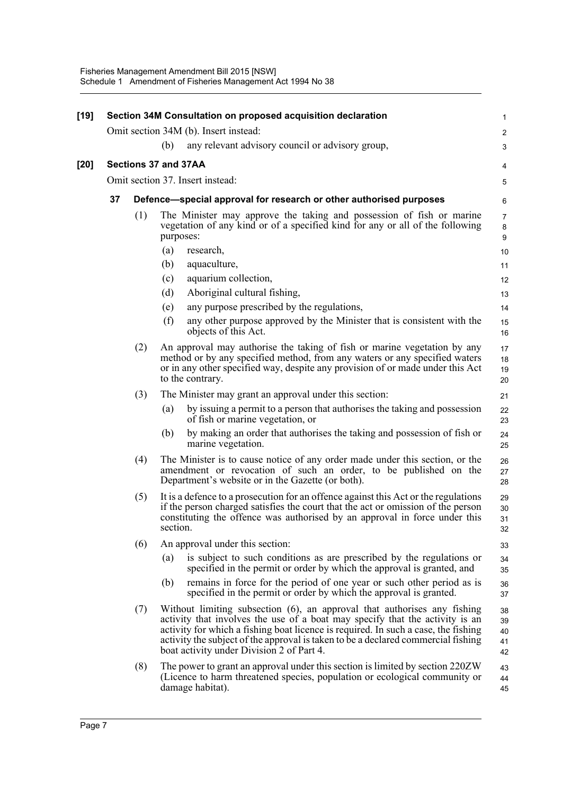| [19] |    |                      |          | Section 34M Consultation on proposed acquisition declaration                                                                                                                                                                                                                                                                                                                     | $\mathbf{1}$                   |
|------|----|----------------------|----------|----------------------------------------------------------------------------------------------------------------------------------------------------------------------------------------------------------------------------------------------------------------------------------------------------------------------------------------------------------------------------------|--------------------------------|
|      |    |                      |          | Omit section 34M (b). Insert instead:                                                                                                                                                                                                                                                                                                                                            | $\overline{c}$                 |
|      |    |                      | (b)      | any relevant advisory council or advisory group,                                                                                                                                                                                                                                                                                                                                 | 3                              |
| [20] |    | Sections 37 and 37AA |          |                                                                                                                                                                                                                                                                                                                                                                                  | 4                              |
|      |    |                      |          | Omit section 37. Insert instead:                                                                                                                                                                                                                                                                                                                                                 | 5                              |
|      | 37 |                      |          | Defence—special approval for research or other authorised purposes                                                                                                                                                                                                                                                                                                               | 6                              |
|      |    | (1)                  |          | The Minister may approve the taking and possession of fish or marine<br>vegetation of any kind or of a specified kind for any or all of the following<br>purposes:                                                                                                                                                                                                               | $\overline{7}$<br>$\bf 8$<br>9 |
|      |    |                      | (a)      | research,                                                                                                                                                                                                                                                                                                                                                                        | 10                             |
|      |    |                      | (b)      | aquaculture,                                                                                                                                                                                                                                                                                                                                                                     | 11                             |
|      |    |                      | (c)      | aquarium collection,                                                                                                                                                                                                                                                                                                                                                             | 12                             |
|      |    |                      | (d)      | Aboriginal cultural fishing,                                                                                                                                                                                                                                                                                                                                                     | 13                             |
|      |    |                      | (e)      | any purpose prescribed by the regulations,                                                                                                                                                                                                                                                                                                                                       | 14                             |
|      |    |                      | (f)      | any other purpose approved by the Minister that is consistent with the<br>objects of this Act.                                                                                                                                                                                                                                                                                   | 15<br>16                       |
|      |    | (2)                  |          | An approval may authorise the taking of fish or marine vegetation by any<br>method or by any specified method, from any waters or any specified waters<br>or in any other specified way, despite any provision of or made under this Act<br>to the contrary.                                                                                                                     | 17<br>18<br>19<br>20           |
|      |    | (3)                  |          | The Minister may grant an approval under this section:                                                                                                                                                                                                                                                                                                                           | 21                             |
|      |    |                      | (a)      | by issuing a permit to a person that authorises the taking and possession<br>of fish or marine vegetation, or                                                                                                                                                                                                                                                                    | 22<br>23                       |
|      |    |                      | (b)      | by making an order that authorises the taking and possession of fish or<br>marine vegetation.                                                                                                                                                                                                                                                                                    | 24<br>25                       |
|      |    | (4)                  |          | The Minister is to cause notice of any order made under this section, or the<br>amendment or revocation of such an order, to be published on the<br>Department's website or in the Gazette (or both).                                                                                                                                                                            | 26<br>27<br>28                 |
|      |    | (5)                  | section. | It is a defence to a prosecution for an offence against this Act or the regulations<br>if the person charged satisfies the court that the act or omission of the person<br>constituting the offence was authorised by an approval in force under this                                                                                                                            | 29<br>30<br>31<br>32           |
|      |    | (6)                  |          | An approval under this section:                                                                                                                                                                                                                                                                                                                                                  | 33                             |
|      |    |                      | (a)      | is subject to such conditions as are prescribed by the regulations or<br>specified in the permit or order by which the approval is granted, and                                                                                                                                                                                                                                  | 34<br>35                       |
|      |    |                      | (b)      | remains in force for the period of one year or such other period as is<br>specified in the permit or order by which the approval is granted.                                                                                                                                                                                                                                     | 36<br>37                       |
|      |    | (7)                  |          | Without limiting subsection (6), an approval that authorises any fishing<br>activity that involves the use of a boat may specify that the activity is an<br>activity for which a fishing boat licence is required. In such a case, the fishing<br>activity the subject of the approval is taken to be a declared commercial fishing<br>boat activity under Division 2 of Part 4. | 38<br>39<br>40<br>41<br>42     |
|      |    | (8)                  |          | The power to grant an approval under this section is limited by section 220ZW<br>(Licence to harm threatened species, population or ecological community or<br>damage habitat).                                                                                                                                                                                                  | 43<br>44<br>45                 |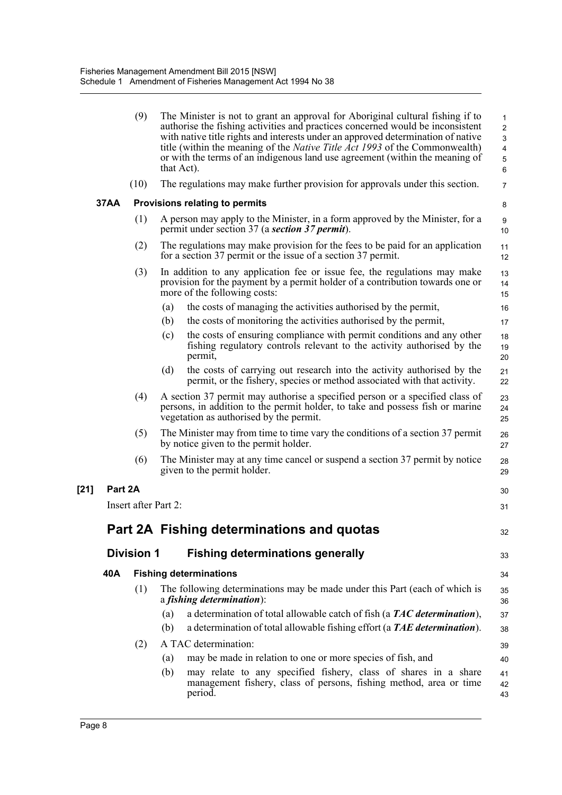|      | (9)                  | The Minister is not to grant an approval for Aboriginal cultural fishing if to<br>authorise the fishing activities and practices concerned would be inconsistent<br>with native title rights and interests under an approved determination of native<br>title (within the meaning of the <i>Native Title Act 1993</i> of the Commonwealth)<br>or with the terms of an indigenous land use agreement (within the meaning of<br>that Act). | $\mathbf{1}$<br>$\overline{2}$<br>3<br>$\overline{4}$<br>5<br>$\,6\,$ |
|------|----------------------|------------------------------------------------------------------------------------------------------------------------------------------------------------------------------------------------------------------------------------------------------------------------------------------------------------------------------------------------------------------------------------------------------------------------------------------|-----------------------------------------------------------------------|
|      | (10)                 | The regulations may make further provision for approvals under this section.                                                                                                                                                                                                                                                                                                                                                             | 7                                                                     |
| 37AA |                      | Provisions relating to permits                                                                                                                                                                                                                                                                                                                                                                                                           | 8                                                                     |
|      | (1)                  | A person may apply to the Minister, in a form approved by the Minister, for a<br>permit under section 37 (a section 37 permit).                                                                                                                                                                                                                                                                                                          | 9<br>10                                                               |
|      | (2)                  | The regulations may make provision for the fees to be paid for an application<br>for a section 37 permit or the issue of a section 37 permit.                                                                                                                                                                                                                                                                                            | 11<br>12                                                              |
|      | (3)                  | In addition to any application fee or issue fee, the regulations may make<br>provision for the payment by a permit holder of a contribution towards one or<br>more of the following costs:                                                                                                                                                                                                                                               | 13<br>14<br>15                                                        |
|      |                      | the costs of managing the activities authorised by the permit,<br>(a)                                                                                                                                                                                                                                                                                                                                                                    | 16                                                                    |
|      |                      | the costs of monitoring the activities authorised by the permit,<br>(b)                                                                                                                                                                                                                                                                                                                                                                  | 17                                                                    |
|      |                      | the costs of ensuring compliance with permit conditions and any other<br>(c)<br>fishing regulatory controls relevant to the activity authorised by the<br>permit,                                                                                                                                                                                                                                                                        | 18<br>19<br>20                                                        |
|      |                      | the costs of carrying out research into the activity authorised by the<br>(d)<br>permit, or the fishery, species or method associated with that activity.                                                                                                                                                                                                                                                                                | 21<br>22                                                              |
|      | (4)                  | A section 37 permit may authorise a specified person or a specified class of<br>persons, in addition to the permit holder, to take and possess fish or marine<br>vegetation as authorised by the permit.                                                                                                                                                                                                                                 | 23<br>24<br>25                                                        |
|      | (5)                  | The Minister may from time to time vary the conditions of a section 37 permit<br>by notice given to the permit holder.                                                                                                                                                                                                                                                                                                                   | 26<br>27                                                              |
|      | (6)                  | The Minister may at any time cancel or suspend a section 37 permit by notice<br>given to the permit holder.                                                                                                                                                                                                                                                                                                                              | 28<br>29                                                              |
|      | Part 2A              |                                                                                                                                                                                                                                                                                                                                                                                                                                          | 30                                                                    |
|      | Insert after Part 2: |                                                                                                                                                                                                                                                                                                                                                                                                                                          | 31                                                                    |
|      |                      | Part 2A Fishing determinations and quotas                                                                                                                                                                                                                                                                                                                                                                                                | 32                                                                    |
|      | <b>Division 1</b>    | <b>Fishing determinations generally</b>                                                                                                                                                                                                                                                                                                                                                                                                  | 33                                                                    |
| 40A  |                      | <b>Fishing determinations</b>                                                                                                                                                                                                                                                                                                                                                                                                            | 34                                                                    |
|      | (1)                  | The following determinations may be made under this Part (each of which is<br>$a$ fishing determination):                                                                                                                                                                                                                                                                                                                                | 35<br>36                                                              |
|      |                      | a determination of total allowable catch of fish (a TAC determination),<br>(a)                                                                                                                                                                                                                                                                                                                                                           | 37                                                                    |
|      |                      | (b)<br>a determination of total allowable fishing effort (a TAE determination).                                                                                                                                                                                                                                                                                                                                                          | 38                                                                    |
|      | (2)                  | A TAC determination:                                                                                                                                                                                                                                                                                                                                                                                                                     | 39                                                                    |
|      |                      | may be made in relation to one or more species of fish, and<br>(a)                                                                                                                                                                                                                                                                                                                                                                       | 40                                                                    |
|      |                      | may relate to any specified fishery, class of shares in a share<br>(b)<br>management fishery, class of persons, fishing method, area or time<br>period.                                                                                                                                                                                                                                                                                  | 41<br>42<br>43                                                        |
|      |                      |                                                                                                                                                                                                                                                                                                                                                                                                                                          |                                                                       |

**[21]**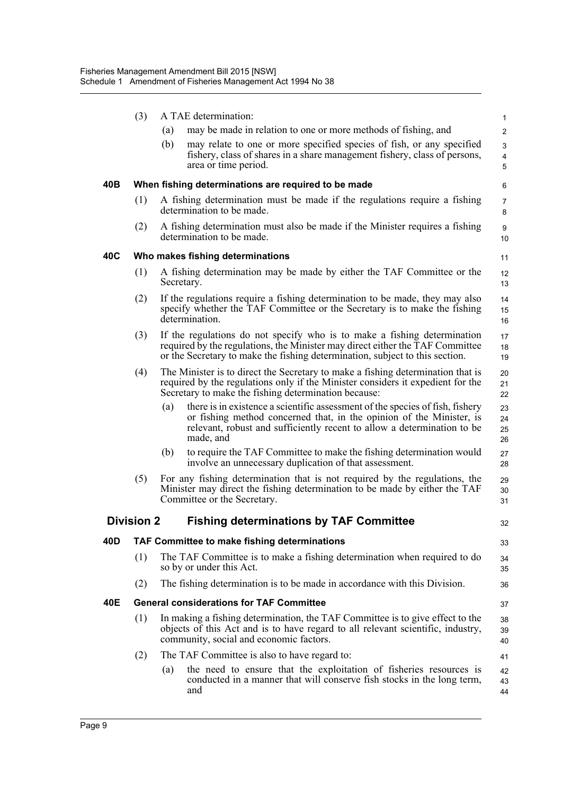|     | (3)               | A TAE determination:                                                                                                                                                                                                                                 | $\mathbf{1}$         |
|-----|-------------------|------------------------------------------------------------------------------------------------------------------------------------------------------------------------------------------------------------------------------------------------------|----------------------|
|     |                   | may be made in relation to one or more methods of fishing, and<br>(a)                                                                                                                                                                                | $\overline{2}$       |
|     |                   | may relate to one or more specified species of fish, or any specified<br>(b)<br>fishery, class of shares in a share management fishery, class of persons,<br>area or time period.                                                                    | 3<br>4<br>5          |
| 40B |                   | When fishing determinations are required to be made                                                                                                                                                                                                  | 6                    |
|     | (1)               | A fishing determination must be made if the regulations require a fishing<br>determination to be made.                                                                                                                                               | 7<br>8               |
|     | (2)               | A fishing determination must also be made if the Minister requires a fishing<br>determination to be made.                                                                                                                                            | 9<br>10              |
| 40C |                   | Who makes fishing determinations                                                                                                                                                                                                                     | 11                   |
|     | (1)               | A fishing determination may be made by either the TAF Committee or the<br>Secretary.                                                                                                                                                                 | 12<br>13             |
|     | (2)               | If the regulations require a fishing determination to be made, they may also<br>specify whether the TAF Committee or the Secretary is to make the fishing<br>determination.                                                                          | 14<br>15<br>16       |
|     | (3)               | If the regulations do not specify who is to make a fishing determination<br>required by the regulations, the Minister may direct either the TAF Committee<br>or the Secretary to make the fishing determination, subject to this section.            | 17<br>18<br>19       |
|     | (4)               | The Minister is to direct the Secretary to make a fishing determination that is<br>required by the regulations only if the Minister considers it expedient for the<br>Secretary to make the fishing determination because:                           | 20<br>21<br>22       |
|     |                   | there is in existence a scientific assessment of the species of fish, fishery<br>(a)<br>or fishing method concerned that, in the opinion of the Minister, is<br>relevant, robust and sufficiently recent to allow a determination to be<br>made, and | 23<br>24<br>25<br>26 |
|     |                   | to require the TAF Committee to make the fishing determination would<br>(b)<br>involve an unnecessary duplication of that assessment.                                                                                                                | 27<br>28             |
|     | (5)               | For any fishing determination that is not required by the regulations, the<br>Minister may direct the fishing determination to be made by either the TAF<br>Committee or the Secretary.                                                              | 29<br>30<br>31       |
|     | <b>Division 2</b> | <b>Fishing determinations by TAF Committee</b>                                                                                                                                                                                                       | 32                   |
| 40D |                   | <b>TAF Committee to make fishing determinations</b>                                                                                                                                                                                                  | 33                   |
|     | (1)               | The TAF Committee is to make a fishing determination when required to do<br>so by or under this Act.                                                                                                                                                 | 34<br>35             |
|     | (2)               | The fishing determination is to be made in accordance with this Division.                                                                                                                                                                            | 36                   |
| 40E |                   | <b>General considerations for TAF Committee</b>                                                                                                                                                                                                      | 37                   |
|     | (1)               | In making a fishing determination, the TAF Committee is to give effect to the<br>objects of this Act and is to have regard to all relevant scientific, industry,<br>community, social and economic factors.                                          | 38<br>39<br>40       |
|     | (2)               | The TAF Committee is also to have regard to:                                                                                                                                                                                                         | 41                   |
|     |                   | the need to ensure that the exploitation of fisheries resources is<br>(a)<br>conducted in a manner that will conserve fish stocks in the long term,<br>and                                                                                           | 42<br>43<br>44       |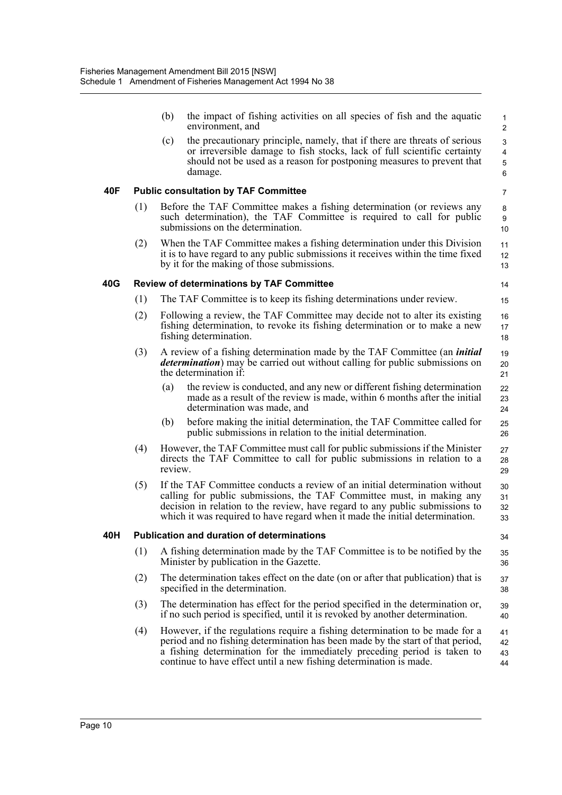|     |     | (b)     | the impact of fishing activities on all species of fish and the aquatic<br>environment, and                                                                                                                                                                                                                         | 1<br>$\overline{2}$                                 |
|-----|-----|---------|---------------------------------------------------------------------------------------------------------------------------------------------------------------------------------------------------------------------------------------------------------------------------------------------------------------------|-----------------------------------------------------|
|     |     | (c)     | the precautionary principle, namely, that if there are threats of serious<br>or irreversible damage to fish stocks, lack of full scientific certainty<br>should not be used as a reason for postponing measures to prevent that<br>damage.                                                                          | $\mathfrak{S}$<br>$\overline{\mathbf{4}}$<br>5<br>6 |
| 40F |     |         | <b>Public consultation by TAF Committee</b>                                                                                                                                                                                                                                                                         | 7                                                   |
|     | (1) |         | Before the TAF Committee makes a fishing determination (or reviews any<br>such determination), the TAF Committee is required to call for public<br>submissions on the determination.                                                                                                                                | 8<br>9<br>10                                        |
|     | (2) |         | When the TAF Committee makes a fishing determination under this Division<br>it is to have regard to any public submissions it receives within the time fixed<br>by it for the making of those submissions.                                                                                                          | 11<br>12<br>13                                      |
| 40G |     |         | <b>Review of determinations by TAF Committee</b>                                                                                                                                                                                                                                                                    | 14                                                  |
|     | (1) |         | The TAF Committee is to keep its fishing determinations under review.                                                                                                                                                                                                                                               | 15                                                  |
|     | (2) |         | Following a review, the TAF Committee may decide not to alter its existing<br>fishing determination, to revoke its fishing determination or to make a new<br>fishing determination.                                                                                                                                 | 16<br>17<br>18                                      |
|     | (3) |         | A review of a fishing determination made by the TAF Committee (an <i>initial</i><br><i>determination</i> ) may be carried out without calling for public submissions on<br>the determination if:                                                                                                                    | 19<br>20<br>21                                      |
|     |     | (a)     | the review is conducted, and any new or different fishing determination<br>made as a result of the review is made, within 6 months after the initial<br>determination was made, and                                                                                                                                 | 22<br>23<br>24                                      |
|     |     | (b)     | before making the initial determination, the TAF Committee called for<br>public submissions in relation to the initial determination.                                                                                                                                                                               | 25<br>26                                            |
|     | (4) | review. | However, the TAF Committee must call for public submissions if the Minister<br>directs the TAF Committee to call for public submissions in relation to a                                                                                                                                                            | 27<br>28<br>29                                      |
|     | (5) |         | If the TAF Committee conducts a review of an initial determination without<br>calling for public submissions, the TAF Committee must, in making any<br>decision in relation to the review, have regard to any public submissions to<br>which it was required to have regard when it made the initial determination. | 30<br>31<br>32<br>33                                |
| 40H |     |         | <b>Publication and duration of determinations</b>                                                                                                                                                                                                                                                                   | 34                                                  |
|     | (1) |         | A fishing determination made by the TAF Committee is to be notified by the<br>Minister by publication in the Gazette.                                                                                                                                                                                               | 35<br>36                                            |
|     | (2) |         | The determination takes effect on the date (on or after that publication) that is<br>specified in the determination.                                                                                                                                                                                                | 37<br>38                                            |
|     | (3) |         | The determination has effect for the period specified in the determination or,<br>if no such period is specified, until it is revoked by another determination.                                                                                                                                                     | 39<br>40                                            |
|     | (4) |         | However, if the regulations require a fishing determination to be made for a<br>period and no fishing determination has been made by the start of that period,<br>a fishing determination for the immediately preceding period is taken to<br>continue to have effect until a new fishing determination is made.    | 41<br>42<br>43<br>44                                |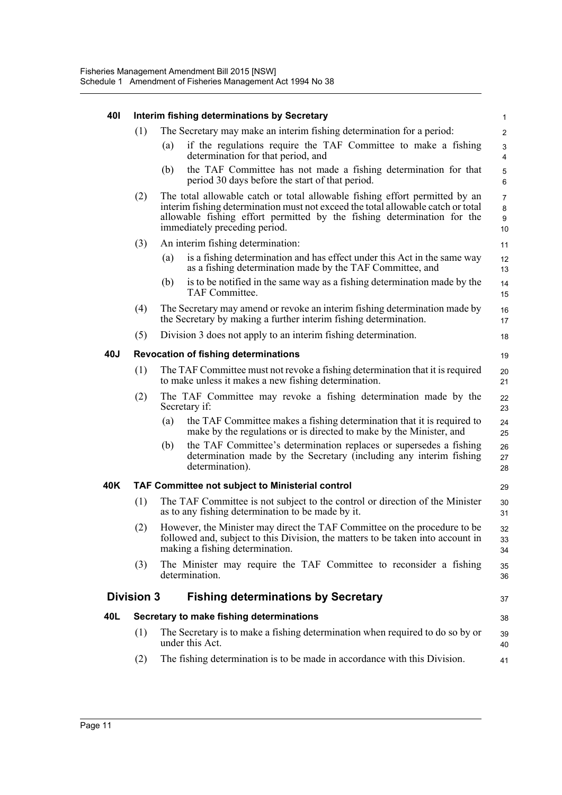| 401 | Interim fishing determinations by Secretary |                                                                                                                                                                                                                                                                             |                                |  |
|-----|---------------------------------------------|-----------------------------------------------------------------------------------------------------------------------------------------------------------------------------------------------------------------------------------------------------------------------------|--------------------------------|--|
|     | (1)                                         | The Secretary may make an interim fishing determination for a period:                                                                                                                                                                                                       | $\overline{2}$                 |  |
|     |                                             | if the regulations require the TAF Committee to make a fishing<br>(a)<br>determination for that period, and                                                                                                                                                                 | 3<br>4                         |  |
|     |                                             | the TAF Committee has not made a fishing determination for that<br>(b)<br>period 30 days before the start of that period.                                                                                                                                                   | $\sqrt{5}$<br>6                |  |
|     | (2)                                         | The total allowable catch or total allowable fishing effort permitted by an<br>interim fishing determination must not exceed the total allowable catch or total<br>allowable fishing effort permitted by the fishing determination for the<br>immediately preceding period. | $\overline{7}$<br>8<br>9<br>10 |  |
|     | (3)                                         | An interim fishing determination:                                                                                                                                                                                                                                           | 11                             |  |
|     |                                             | is a fishing determination and has effect under this Act in the same way<br>(a)<br>as a fishing determination made by the TAF Committee, and                                                                                                                                | 12<br>13                       |  |
|     |                                             | is to be notified in the same way as a fishing determination made by the<br>(b)<br>TAF Committee.                                                                                                                                                                           | 14<br>15                       |  |
|     | (4)                                         | The Secretary may amend or revoke an interim fishing determination made by<br>the Secretary by making a further interim fishing determination.                                                                                                                              | 16<br>17                       |  |
|     | (5)                                         | Division 3 does not apply to an interim fishing determination.                                                                                                                                                                                                              | 18                             |  |
| 40J |                                             | <b>Revocation of fishing determinations</b>                                                                                                                                                                                                                                 | 19                             |  |
|     | (1)                                         | The TAF Committee must not revoke a fishing determination that it is required<br>to make unless it makes a new fishing determination.                                                                                                                                       | 20<br>21                       |  |
|     | (2)                                         | The TAF Committee may revoke a fishing determination made by the<br>Secretary if:                                                                                                                                                                                           | 22<br>23                       |  |
|     |                                             | the TAF Committee makes a fishing determination that it is required to<br>(a)<br>make by the regulations or is directed to make by the Minister, and                                                                                                                        | 24<br>25                       |  |
|     |                                             | the TAF Committee's determination replaces or supersedes a fishing<br>(b)<br>determination made by the Secretary (including any interim fishing<br>determination).                                                                                                          | 26<br>27<br>28                 |  |
| 40K |                                             | <b>TAF Committee not subject to Ministerial control</b>                                                                                                                                                                                                                     | 29                             |  |
|     | (1)                                         | The TAF Committee is not subject to the control or direction of the Minister<br>as to any fishing determination to be made by it.                                                                                                                                           | 30<br>31                       |  |
|     | (2)                                         | However, the Minister may direct the TAF Committee on the procedure to be<br>followed and, subject to this Division, the matters to be taken into account in<br>making a fishing determination.                                                                             | 32<br>33<br>34                 |  |
|     | (3)                                         | The Minister may require the TAF Committee to reconsider a fishing<br>determination.                                                                                                                                                                                        | 35<br>36                       |  |
|     | <b>Division 3</b>                           | <b>Fishing determinations by Secretary</b>                                                                                                                                                                                                                                  | 37                             |  |
| 40L |                                             | Secretary to make fishing determinations                                                                                                                                                                                                                                    | 38                             |  |
|     | (1)                                         | The Secretary is to make a fishing determination when required to do so by or<br>under this Act.                                                                                                                                                                            | 39<br>40                       |  |
|     | (2)                                         | The fishing determination is to be made in accordance with this Division.                                                                                                                                                                                                   | 41                             |  |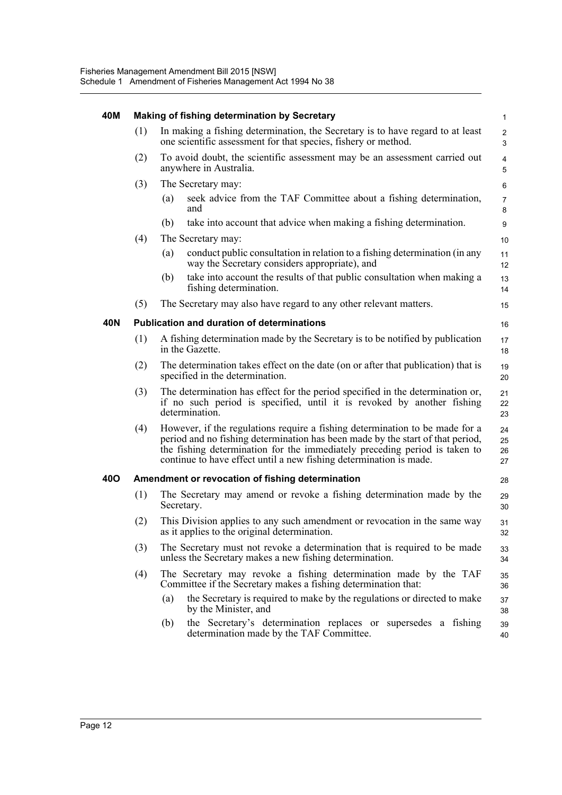| 40M        |     | <b>Making of fishing determination by Secretary</b>                                                                                                                                                                                                                                                                | $\mathbf{1}$         |
|------------|-----|--------------------------------------------------------------------------------------------------------------------------------------------------------------------------------------------------------------------------------------------------------------------------------------------------------------------|----------------------|
|            | (1) | In making a fishing determination, the Secretary is to have regard to at least<br>one scientific assessment for that species, fishery or method.                                                                                                                                                                   | $\overline{c}$<br>3  |
|            | (2) | To avoid doubt, the scientific assessment may be an assessment carried out<br>anywhere in Australia.                                                                                                                                                                                                               | $\overline{4}$<br>5  |
|            | (3) | The Secretary may:                                                                                                                                                                                                                                                                                                 | 6                    |
|            |     | seek advice from the TAF Committee about a fishing determination,<br>(a)<br>and                                                                                                                                                                                                                                    | $\overline{7}$<br>8  |
|            |     | take into account that advice when making a fishing determination.<br>(b)                                                                                                                                                                                                                                          | 9                    |
|            | (4) | The Secretary may:                                                                                                                                                                                                                                                                                                 | 10                   |
|            |     | conduct public consultation in relation to a fishing determination (in any<br>(a)<br>way the Secretary considers appropriate), and                                                                                                                                                                                 | 11<br>12             |
|            |     | take into account the results of that public consultation when making a<br>(b)<br>fishing determination.                                                                                                                                                                                                           | 13<br>14             |
|            | (5) | The Secretary may also have regard to any other relevant matters.                                                                                                                                                                                                                                                  | 15                   |
| 40N        |     | <b>Publication and duration of determinations</b>                                                                                                                                                                                                                                                                  | 16                   |
|            | (1) | A fishing determination made by the Secretary is to be notified by publication<br>in the Gazette.                                                                                                                                                                                                                  | 17<br>18             |
|            | (2) | The determination takes effect on the date (on or after that publication) that is<br>specified in the determination.                                                                                                                                                                                               | 19<br>20             |
|            | (3) | The determination has effect for the period specified in the determination or,<br>if no such period is specified, until it is revoked by another fishing<br>determination.                                                                                                                                         | 21<br>22<br>23       |
|            | (4) | However, if the regulations require a fishing determination to be made for a<br>period and no fishing determination has been made by the start of that period,<br>the fishing determination for the immediately preceding period is taken to<br>continue to have effect until a new fishing determination is made. | 24<br>25<br>26<br>27 |
| <b>40O</b> |     | Amendment or revocation of fishing determination                                                                                                                                                                                                                                                                   | 28                   |
|            | (1) | The Secretary may amend or revoke a fishing determination made by the<br>Secretary.                                                                                                                                                                                                                                | 29<br>30             |
|            | (2) | This Division applies to any such amendment or revocation in the same way<br>as it applies to the original determination.                                                                                                                                                                                          | 31<br>32             |
|            | (3) | The Secretary must not revoke a determination that is required to be made<br>unless the Secretary makes a new fishing determination.                                                                                                                                                                               | 33<br>34             |
|            | (4) | The Secretary may revoke a fishing determination made by the TAF<br>Committee if the Secretary makes a fishing determination that:                                                                                                                                                                                 | 35<br>36             |
|            |     | (a)<br>the Secretary is required to make by the regulations or directed to make<br>by the Minister, and                                                                                                                                                                                                            | 37<br>38             |
|            |     | the Secretary's determination replaces or<br>supersedes a fishing<br>(b)<br>determination made by the TAF Committee.                                                                                                                                                                                               | 39<br>40             |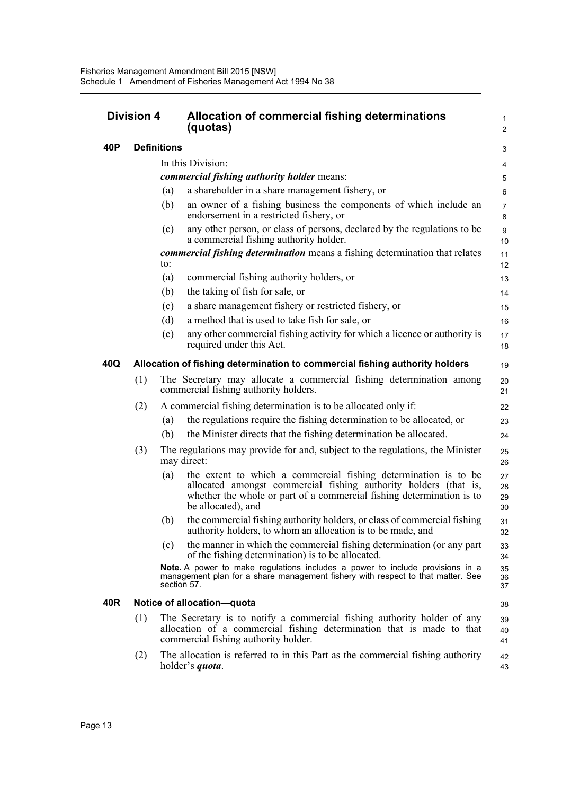| <b>Division 4</b> |     |                    | Allocation of commercial fishing determinations<br>(quotas)                                                                                                                                                                        | 1<br>$\overline{2}$  |
|-------------------|-----|--------------------|------------------------------------------------------------------------------------------------------------------------------------------------------------------------------------------------------------------------------------|----------------------|
| 40P               |     | <b>Definitions</b> |                                                                                                                                                                                                                                    | 3                    |
|                   |     |                    | In this Division:                                                                                                                                                                                                                  | 4                    |
|                   |     |                    | <i>commercial fishing authority holder means:</i>                                                                                                                                                                                  | 5                    |
|                   |     | (a)                | a shareholder in a share management fishery, or                                                                                                                                                                                    | 6                    |
|                   | (b) |                    | an owner of a fishing business the components of which include an<br>endorsement in a restricted fishery, or                                                                                                                       | $\overline{7}$<br>8  |
|                   |     | (c)                | any other person, or class of persons, declared by the regulations to be<br>a commercial fishing authority holder.                                                                                                                 | 9<br>10              |
|                   |     |                    | commercial fishing determination means a fishing determination that relates                                                                                                                                                        | 11                   |
|                   |     | to:                |                                                                                                                                                                                                                                    | 12                   |
|                   |     | (a)<br>(b)         | commercial fishing authority holders, or<br>the taking of fish for sale, or                                                                                                                                                        | 13                   |
|                   |     | (c)                | a share management fishery or restricted fishery, or                                                                                                                                                                               | 14                   |
|                   |     | (d)                | a method that is used to take fish for sale, or                                                                                                                                                                                    | 15                   |
|                   |     | (e)                | any other commercial fishing activity for which a licence or authority is                                                                                                                                                          | 16<br>17             |
|                   |     |                    | required under this Act.                                                                                                                                                                                                           | 18                   |
| 40Q               |     |                    | Allocation of fishing determination to commercial fishing authority holders                                                                                                                                                        | 19                   |
|                   | (1) |                    | The Secretary may allocate a commercial fishing determination among<br>commercial fishing authority holders.                                                                                                                       | 20<br>21             |
|                   | (2) |                    | A commercial fishing determination is to be allocated only if:                                                                                                                                                                     | 22                   |
|                   |     | (a)                | the regulations require the fishing determination to be allocated, or                                                                                                                                                              | 23                   |
|                   |     | (b)                | the Minister directs that the fishing determination be allocated.                                                                                                                                                                  | 24                   |
|                   | (3) |                    | The regulations may provide for and, subject to the regulations, the Minister<br>may direct:                                                                                                                                       | 25<br>26             |
|                   |     | (a)                | the extent to which a commercial fishing determination is to be<br>allocated amongst commercial fishing authority holders (that is,<br>whether the whole or part of a commercial fishing determination is to<br>be allocated), and | 27<br>28<br>29<br>30 |
|                   |     | (b)                | the commercial fishing authority holders, or class of commercial fishing<br>authority holders, to whom an allocation is to be made, and                                                                                            | 31<br>32             |
|                   |     | (c)                | the manner in which the commercial fishing determination (or any part<br>of the fishing determination) is to be allocated.                                                                                                         | 33<br>34             |
|                   |     |                    | Note. A power to make regulations includes a power to include provisions in a<br>management plan for a share management fishery with respect to that matter. See<br>section 57.                                                    | 35<br>36<br>37       |
| 40R               |     |                    | Notice of allocation-quota                                                                                                                                                                                                         | 38                   |
|                   | (1) |                    | The Secretary is to notify a commercial fishing authority holder of any<br>allocation of a commercial fishing determination that is made to that<br>commercial fishing authority holder.                                           | 39<br>40<br>41       |
|                   | (2) |                    | The allocation is referred to in this Part as the commercial fishing authority<br>holder's <i>quota</i> .                                                                                                                          | 42<br>43             |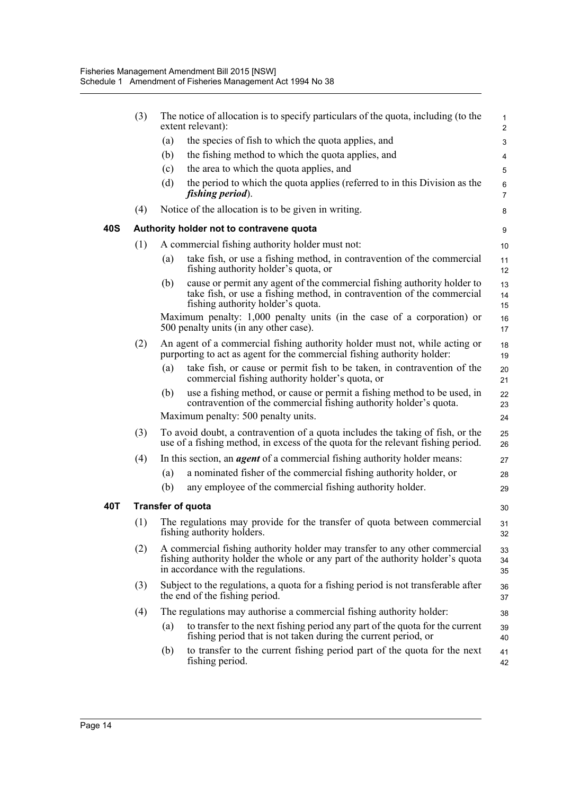|     | (3) |     | The notice of allocation is to specify particulars of the quota, including (to the<br>extent relevant):                                                                                             | $\mathbf{1}$<br>$\overline{2}$ |
|-----|-----|-----|-----------------------------------------------------------------------------------------------------------------------------------------------------------------------------------------------------|--------------------------------|
|     |     | (a) | the species of fish to which the quota applies, and                                                                                                                                                 | 3                              |
|     |     | (b) | the fishing method to which the quota applies, and                                                                                                                                                  | 4                              |
|     |     | (c) | the area to which the quota applies, and                                                                                                                                                            | 5                              |
|     |     | (d) | the period to which the quota applies (referred to in this Division as the<br>fishing period).                                                                                                      | 6<br>$\overline{7}$            |
|     | (4) |     | Notice of the allocation is to be given in writing.                                                                                                                                                 | 8                              |
| 40S |     |     | Authority holder not to contravene quota                                                                                                                                                            | 9                              |
|     | (1) |     | A commercial fishing authority holder must not:                                                                                                                                                     | 10                             |
|     |     | (a) | take fish, or use a fishing method, in contravention of the commercial<br>fishing authority holder's quota, or                                                                                      | 11<br>12                       |
|     |     | (b) | cause or permit any agent of the commercial fishing authority holder to<br>take fish, or use a fishing method, in contravention of the commercial<br>fishing authority holder's quota.              | 13<br>14<br>15                 |
|     |     |     | Maximum penalty: 1,000 penalty units (in the case of a corporation) or<br>500 penalty units (in any other case).                                                                                    | 16<br>17                       |
|     | (2) |     | An agent of a commercial fishing authority holder must not, while acting or<br>purporting to act as agent for the commercial fishing authority holder:                                              | 18<br>19                       |
|     |     | (a) | take fish, or cause or permit fish to be taken, in contravention of the<br>commercial fishing authority holder's quota, or                                                                          | 20<br>21                       |
|     |     | (b) | use a fishing method, or cause or permit a fishing method to be used, in<br>contravention of the commercial fishing authority holder's quota.                                                       | 22<br>23                       |
|     |     |     | Maximum penalty: 500 penalty units.                                                                                                                                                                 | 24                             |
|     | (3) |     | To avoid doubt, a contravention of a quota includes the taking of fish, or the<br>use of a fishing method, in excess of the quota for the relevant fishing period.                                  | 25<br>26                       |
|     | (4) |     | In this section, an <i>agent</i> of a commercial fishing authority holder means:                                                                                                                    | 27                             |
|     |     | (a) | a nominated fisher of the commercial fishing authority holder, or                                                                                                                                   | 28                             |
|     |     | (b) | any employee of the commercial fishing authority holder.                                                                                                                                            | 29                             |
| 40T |     |     | <b>Transfer of quota</b>                                                                                                                                                                            | 30                             |
|     | (1) |     | The regulations may provide for the transfer of quota between commercial<br>fishing authority holders.                                                                                              | 31<br>32                       |
|     | (2) |     | A commercial fishing authority holder may transfer to any other commercial<br>fishing authority holder the whole or any part of the authority holder's quota<br>in accordance with the regulations. | 33<br>34<br>35                 |
|     | (3) |     | Subject to the regulations, a quota for a fishing period is not transferable after<br>the end of the fishing period.                                                                                | 36<br>37                       |
|     | (4) |     | The regulations may authorise a commercial fishing authority holder:                                                                                                                                | 38                             |
|     |     | (a) | to transfer to the next fishing period any part of the quota for the current<br>fishing period that is not taken during the current period, or                                                      | 39<br>40                       |
|     |     | (b) | to transfer to the current fishing period part of the quota for the next<br>fishing period.                                                                                                         | 41<br>42                       |
|     |     |     |                                                                                                                                                                                                     |                                |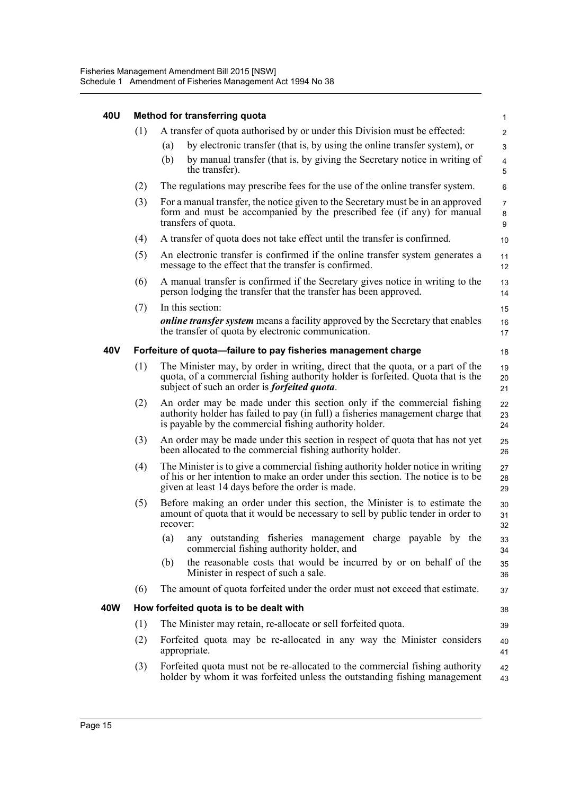| 40U | Method for transferring quota |                                                                                                                                                                                                                                                                      |                               |  |  |  |
|-----|-------------------------------|----------------------------------------------------------------------------------------------------------------------------------------------------------------------------------------------------------------------------------------------------------------------|-------------------------------|--|--|--|
|     | (1)                           | A transfer of quota authorised by or under this Division must be effected:<br>by electronic transfer (that is, by using the online transfer system), or<br>(a)<br>by manual transfer (that is, by giving the Secretary notice in writing of<br>(b)<br>the transfer). | $\overline{2}$<br>3<br>4<br>5 |  |  |  |
|     | (2)                           | The regulations may prescribe fees for the use of the online transfer system.                                                                                                                                                                                        | 6                             |  |  |  |
|     | (3)                           | For a manual transfer, the notice given to the Secretary must be in an approved<br>form and must be accompanied by the prescribed fee (if any) for manual<br>transfers of quota.                                                                                     | $\overline{7}$<br>8<br>9      |  |  |  |
|     | (4)                           | A transfer of quota does not take effect until the transfer is confirmed.                                                                                                                                                                                            | 10                            |  |  |  |
|     | (5)                           | An electronic transfer is confirmed if the online transfer system generates a<br>message to the effect that the transfer is confirmed.                                                                                                                               | 11<br>12                      |  |  |  |
|     | (6)                           | A manual transfer is confirmed if the Secretary gives notice in writing to the<br>person lodging the transfer that the transfer has been approved.                                                                                                                   | 13<br>14                      |  |  |  |
|     | (7)                           | In this section:<br><i>online transfer system</i> means a facility approved by the Secretary that enables<br>the transfer of quota by electronic communication.                                                                                                      | 15<br>16<br>17                |  |  |  |
| 40V |                               | Forfeiture of quota-failure to pay fisheries management charge                                                                                                                                                                                                       | 18                            |  |  |  |
|     | (1)                           | The Minister may, by order in writing, direct that the quota, or a part of the<br>quota, of a commercial fishing authority holder is forfeited. Quota that is the<br>subject of such an order is <i>forfeited quota</i> .                                            | 19<br>20<br>21                |  |  |  |
|     | (2)                           | An order may be made under this section only if the commercial fishing<br>authority holder has failed to pay (in full) a fisheries management charge that<br>is payable by the commercial fishing authority holder.                                                  | 22<br>23<br>24                |  |  |  |
|     | (3)                           | An order may be made under this section in respect of quota that has not yet<br>been allocated to the commercial fishing authority holder.                                                                                                                           | 25<br>26                      |  |  |  |
|     | (4)                           | The Minister is to give a commercial fishing authority holder notice in writing<br>of his or her intention to make an order under this section. The notice is to be<br>given at least 14 days before the order is made.                                              | 27<br>28<br>29                |  |  |  |
|     | (5)                           | Before making an order under this section, the Minister is to estimate the<br>amount of quota that it would be necessary to sell by public tender in order to<br>recover:                                                                                            | 30<br>31<br>32                |  |  |  |
|     |                               | any outstanding fisheries management charge payable by the<br>(a)<br>commercial fishing authority holder, and                                                                                                                                                        | 33<br>34                      |  |  |  |
|     |                               | the reasonable costs that would be incurred by or on behalf of the<br>(b)<br>Minister in respect of such a sale.                                                                                                                                                     | 35<br>36                      |  |  |  |
|     | (6)                           | The amount of quota forfeited under the order must not exceed that estimate.                                                                                                                                                                                         | 37                            |  |  |  |
| 40W |                               | How forfeited quota is to be dealt with                                                                                                                                                                                                                              | 38                            |  |  |  |
|     | (1)                           | The Minister may retain, re-allocate or sell forfeited quota.                                                                                                                                                                                                        | 39                            |  |  |  |
|     | (2)                           | Forfeited quota may be re-allocated in any way the Minister considers<br>appropriate.                                                                                                                                                                                | 40<br>41                      |  |  |  |
|     | (3)                           | Forfeited quota must not be re-allocated to the commercial fishing authority<br>holder by whom it was forfeited unless the outstanding fishing management                                                                                                            | 42<br>43                      |  |  |  |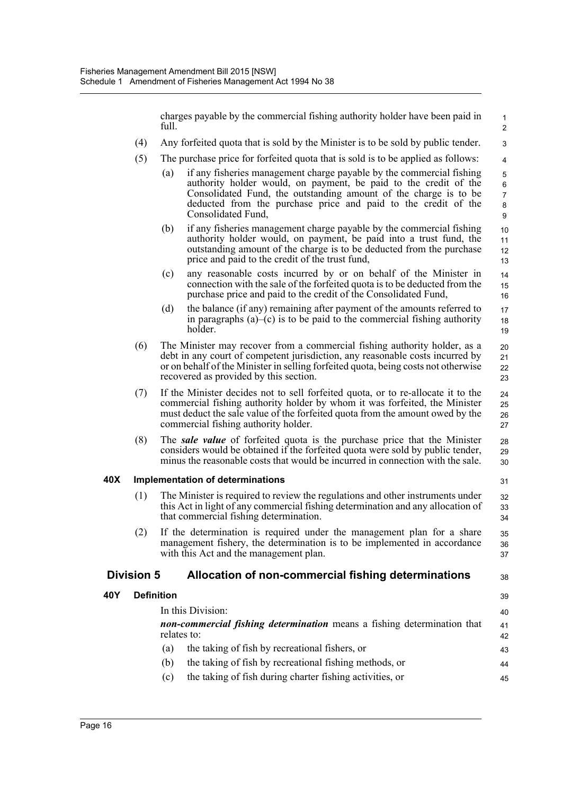charges payable by the commercial fishing authority holder have been paid in full.

38

39

- (4) Any forfeited quota that is sold by the Minister is to be sold by public tender.
- (5) The purchase price for forfeited quota that is sold is to be applied as follows:
	- (a) if any fisheries management charge payable by the commercial fishing authority holder would, on payment, be paid to the credit of the Consolidated Fund, the outstanding amount of the charge is to be deducted from the purchase price and paid to the credit of the Consolidated Fund,
	- (b) if any fisheries management charge payable by the commercial fishing authority holder would, on payment, be paid into a trust fund, the outstanding amount of the charge is to be deducted from the purchase price and paid to the credit of the trust fund,
	- (c) any reasonable costs incurred by or on behalf of the Minister in connection with the sale of the forfeited quota is to be deducted from the purchase price and paid to the credit of the Consolidated Fund,
	- (d) the balance (if any) remaining after payment of the amounts referred to in paragraphs  $(a)$ – $(c)$  is to be paid to the commercial fishing authority holder.
- (6) The Minister may recover from a commercial fishing authority holder, as a debt in any court of competent jurisdiction, any reasonable costs incurred by or on behalf of the Minister in selling forfeited quota, being costs not otherwise recovered as provided by this section. 20 21 22 23
- (7) If the Minister decides not to sell forfeited quota, or to re-allocate it to the commercial fishing authority holder by whom it was forfeited, the Minister must deduct the sale value of the forfeited quota from the amount owed by the commercial fishing authority holder.
- (8) The *sale value* of forfeited quota is the purchase price that the Minister considers would be obtained if the forfeited quota were sold by public tender, minus the reasonable costs that would be incurred in connection with the sale. 28 29 30

#### **40X Implementation of determinations**

- (1) The Minister is required to review the regulations and other instruments under this Act in light of any commercial fishing determination and any allocation of that commercial fishing determination.
- (2) If the determination is required under the management plan for a share management fishery, the determination is to be implemented in accordance with this Act and the management plan.

#### **Division 5 Allocation of non-commercial fishing determinations**

#### **40Y Definition**

| In this Division:<br>non-commercial fishing determination means a fishing determination that<br>relates to:<br>the taking of fish by recreational fishers, or<br>(a)<br>the taking of fish by recreational fishing methods, or<br>(b) |                                                          |    |  |
|---------------------------------------------------------------------------------------------------------------------------------------------------------------------------------------------------------------------------------------|----------------------------------------------------------|----|--|
|                                                                                                                                                                                                                                       |                                                          | 43 |  |
|                                                                                                                                                                                                                                       |                                                          | 44 |  |
| (c)                                                                                                                                                                                                                                   | the taking of fish during charter fishing activities, or | 45 |  |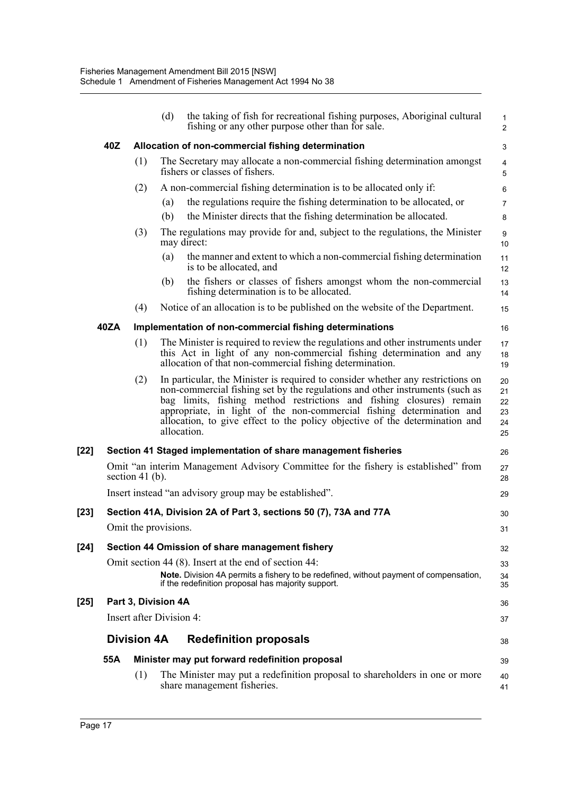|        |      |                          | (d) | the taking of fish for recreational fishing purposes, Aboriginal cultural<br>fishing or any other purpose other than for sale.                                                                                                                                                                                                                                                                                 | $\mathbf{1}$<br>$\overline{2}$   |
|--------|------|--------------------------|-----|----------------------------------------------------------------------------------------------------------------------------------------------------------------------------------------------------------------------------------------------------------------------------------------------------------------------------------------------------------------------------------------------------------------|----------------------------------|
|        | 40Z  |                          |     | Allocation of non-commercial fishing determination                                                                                                                                                                                                                                                                                                                                                             | 3                                |
|        |      | (1)                      |     | The Secretary may allocate a non-commercial fishing determination amongst<br>fishers or classes of fishers.                                                                                                                                                                                                                                                                                                    | 4<br>5                           |
|        |      | (2)                      |     | A non-commercial fishing determination is to be allocated only if:                                                                                                                                                                                                                                                                                                                                             | 6                                |
|        |      |                          | (a) | the regulations require the fishing determination to be allocated, or                                                                                                                                                                                                                                                                                                                                          | $\overline{7}$                   |
|        |      |                          | (b) | the Minister directs that the fishing determination be allocated.                                                                                                                                                                                                                                                                                                                                              | 8                                |
|        |      | (3)                      |     | The regulations may provide for and, subject to the regulations, the Minister<br>may direct:                                                                                                                                                                                                                                                                                                                   | 9<br>10                          |
|        |      |                          | (a) | the manner and extent to which a non-commercial fishing determination<br>is to be allocated, and                                                                                                                                                                                                                                                                                                               | 11<br>12                         |
|        |      |                          | (b) | the fishers or classes of fishers amongst whom the non-commercial<br>fishing determination is to be allocated.                                                                                                                                                                                                                                                                                                 | 13<br>14                         |
|        |      | (4)                      |     | Notice of an allocation is to be published on the website of the Department.                                                                                                                                                                                                                                                                                                                                   | 15                               |
|        | 40ZA |                          |     | Implementation of non-commercial fishing determinations                                                                                                                                                                                                                                                                                                                                                        | 16                               |
|        |      | (1)                      |     | The Minister is required to review the regulations and other instruments under<br>this Act in light of any non-commercial fishing determination and any<br>allocation of that non-commercial fishing determination.                                                                                                                                                                                            | 17<br>18<br>19                   |
|        |      | (2)                      |     | In particular, the Minister is required to consider whether any restrictions on<br>non-commercial fishing set by the regulations and other instruments (such as<br>bag limits, fishing method restrictions and fishing closures) remain<br>appropriate, in light of the non-commercial fishing determination and<br>allocation, to give effect to the policy objective of the determination and<br>allocation. | 20<br>21<br>22<br>23<br>24<br>25 |
| [22]   |      |                          |     | Section 41 Staged implementation of share management fisheries                                                                                                                                                                                                                                                                                                                                                 | 26                               |
|        |      | section 41 $(b)$ .       |     | Omit "an interim Management Advisory Committee for the fishery is established" from                                                                                                                                                                                                                                                                                                                            | 27<br>28                         |
|        |      |                          |     | Insert instead "an advisory group may be established".                                                                                                                                                                                                                                                                                                                                                         | 29                               |
| [23]   |      |                          |     | Section 41A, Division 2A of Part 3, sections 50 (7), 73A and 77A                                                                                                                                                                                                                                                                                                                                               | 30                               |
|        |      | Omit the provisions.     |     |                                                                                                                                                                                                                                                                                                                                                                                                                | 31                               |
| $[24]$ |      |                          |     | Section 44 Omission of share management fishery                                                                                                                                                                                                                                                                                                                                                                | 32                               |
|        |      |                          |     | Omit section 44 (8). Insert at the end of section 44:                                                                                                                                                                                                                                                                                                                                                          | 33                               |
|        |      |                          |     | Note. Division 4A permits a fishery to be redefined, without payment of compensation,<br>if the redefinition proposal has majority support.                                                                                                                                                                                                                                                                    | 34<br>35                         |
| $[25]$ |      | Part 3, Division 4A      |     |                                                                                                                                                                                                                                                                                                                                                                                                                | 36                               |
|        |      | Insert after Division 4: |     |                                                                                                                                                                                                                                                                                                                                                                                                                | 37                               |
|        |      | <b>Division 4A</b>       |     | <b>Redefinition proposals</b>                                                                                                                                                                                                                                                                                                                                                                                  | 38                               |
|        | 55A  |                          |     | Minister may put forward redefinition proposal                                                                                                                                                                                                                                                                                                                                                                 | 39                               |
|        |      | (1)                      |     | The Minister may put a redefinition proposal to shareholders in one or more<br>share management fisheries.                                                                                                                                                                                                                                                                                                     | 40<br>41                         |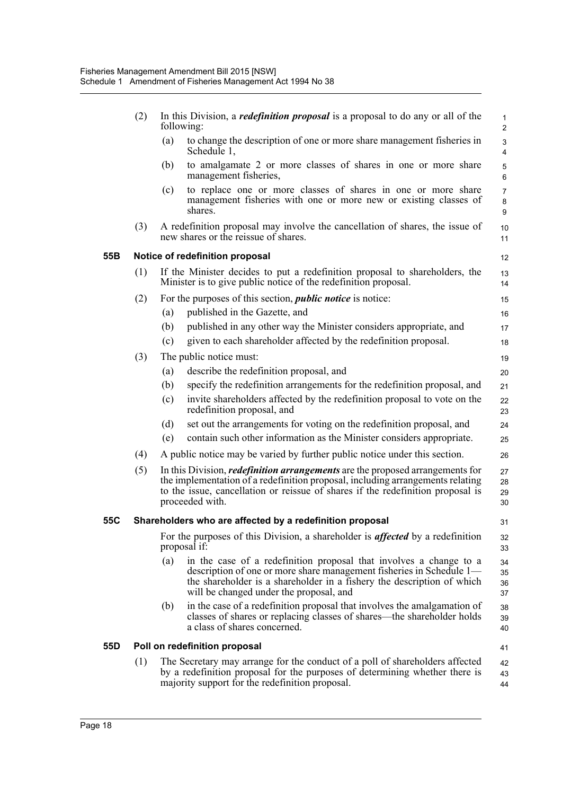|     | (2) |     | In this Division, a <i>redefinition proposal</i> is a proposal to do any or all of the<br>following:                                                                                                                                                                         | $\mathbf{1}$<br>$\overline{2}$ |
|-----|-----|-----|------------------------------------------------------------------------------------------------------------------------------------------------------------------------------------------------------------------------------------------------------------------------------|--------------------------------|
|     |     | (a) | to change the description of one or more share management fisheries in<br>Schedule 1,                                                                                                                                                                                        | $\mathsf 3$<br>$\overline{4}$  |
|     |     | (b) | to amalgamate 2 or more classes of shares in one or more share<br>management fisheries,                                                                                                                                                                                      | 5<br>6                         |
|     |     | (c) | to replace one or more classes of shares in one or more share<br>management fisheries with one or more new or existing classes of<br>shares.                                                                                                                                 | $\overline{7}$<br>8<br>9       |
|     | (3) |     | A redefinition proposal may involve the cancellation of shares, the issue of<br>new shares or the reissue of shares.                                                                                                                                                         | 10<br>11                       |
| 55B |     |     | Notice of redefinition proposal                                                                                                                                                                                                                                              | 12                             |
|     | (1) |     | If the Minister decides to put a redefinition proposal to shareholders, the<br>Minister is to give public notice of the redefinition proposal.                                                                                                                               | 13<br>14                       |
|     | (2) |     | For the purposes of this section, <i>public notice</i> is notice:                                                                                                                                                                                                            | 15                             |
|     |     | (a) | published in the Gazette, and                                                                                                                                                                                                                                                | 16                             |
|     |     | (b) | published in any other way the Minister considers appropriate, and                                                                                                                                                                                                           | 17                             |
|     |     | (c) | given to each shareholder affected by the redefinition proposal.                                                                                                                                                                                                             | 18                             |
|     | (3) |     | The public notice must:                                                                                                                                                                                                                                                      | 19                             |
|     |     | (a) | describe the redefinition proposal, and                                                                                                                                                                                                                                      | 20                             |
|     |     | (b) | specify the redefinition arrangements for the redefinition proposal, and                                                                                                                                                                                                     | 21                             |
|     |     | (c) | invite shareholders affected by the redefinition proposal to vote on the<br>redefinition proposal, and                                                                                                                                                                       | 22<br>23                       |
|     |     | (d) | set out the arrangements for voting on the redefinition proposal, and                                                                                                                                                                                                        | 24                             |
|     |     | (e) | contain such other information as the Minister considers appropriate.                                                                                                                                                                                                        | 25                             |
|     | (4) |     | A public notice may be varied by further public notice under this section.                                                                                                                                                                                                   | 26                             |
|     | (5) |     | In this Division, <i>redefinition arrangements</i> are the proposed arrangements for<br>the implementation of a redefinition proposal, including arrangements relating<br>to the issue, cancellation or reissue of shares if the redefinition proposal is<br>proceeded with. | 27<br>28<br>29<br>30           |
| 55C |     |     | Shareholders who are affected by a redefinition proposal                                                                                                                                                                                                                     | 31                             |
|     |     |     | For the purposes of this Division, a shareholder is <i>affected</i> by a redefinition<br>proposal if:                                                                                                                                                                        | 32<br>33                       |
|     |     | (a) | in the case of a redefinition proposal that involves a change to a<br>description of one or more share management fisheries in Schedule 1—<br>the shareholder is a shareholder in a fishery the description of which<br>will be changed under the proposal, and              | 34<br>35<br>36<br>37           |
|     |     | (b) | in the case of a redefinition proposal that involves the amalgamation of<br>classes of shares or replacing classes of shares—the shareholder holds<br>a class of shares concerned.                                                                                           | 38<br>39<br>40                 |
| 55D |     |     | Poll on redefinition proposal                                                                                                                                                                                                                                                | 41                             |
|     | (1) |     | The Secretary may arrange for the conduct of a poll of shareholders affected<br>by a redefinition proposal for the purposes of determining whether there is<br>majority support for the redefinition proposal.                                                               | 42<br>43<br>44                 |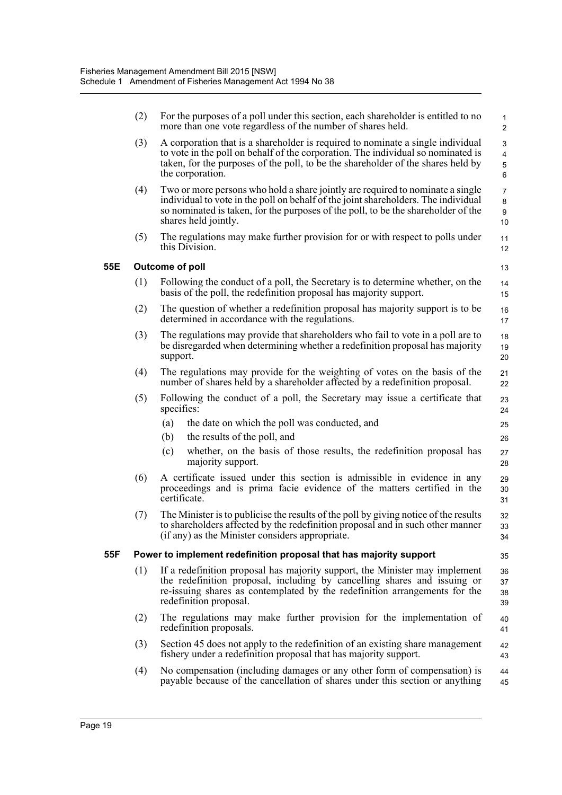|     | (2) |                 | For the purposes of a poll under this section, each shareholder is entitled to no<br>more than one vote regardless of the number of shares held.                                                                                                                                  | $\mathbf{1}$<br>$\overline{2}$ |
|-----|-----|-----------------|-----------------------------------------------------------------------------------------------------------------------------------------------------------------------------------------------------------------------------------------------------------------------------------|--------------------------------|
|     | (3) |                 | A corporation that is a shareholder is required to nominate a single individual<br>to vote in the poll on behalf of the corporation. The individual so nominated is<br>taken, for the purposes of the poll, to be the shareholder of the shares held by<br>the corporation.       | 3<br>4<br>5<br>6               |
|     | (4) |                 | Two or more persons who hold a share jointly are required to nominate a single<br>individual to vote in the poll on behalf of the joint shareholders. The individual<br>so nominated is taken, for the purposes of the poll, to be the shareholder of the<br>shares held jointly. | $\overline{7}$<br>8<br>9<br>10 |
|     | (5) |                 | The regulations may make further provision for or with respect to polls under<br>this Division.                                                                                                                                                                                   | 11<br>12                       |
| 55E |     | Outcome of poll |                                                                                                                                                                                                                                                                                   | 13                             |
|     | (1) |                 | Following the conduct of a poll, the Secretary is to determine whether, on the<br>basis of the poll, the redefinition proposal has majority support.                                                                                                                              | 14<br>15                       |
|     | (2) |                 | The question of whether a redefinition proposal has majority support is to be<br>determined in accordance with the regulations.                                                                                                                                                   | 16<br>17                       |
|     | (3) | support.        | The regulations may provide that shareholders who fail to vote in a poll are to<br>be disregarded when determining whether a redefinition proposal has majority                                                                                                                   | 18<br>19<br>20                 |
|     | (4) |                 | The regulations may provide for the weighting of votes on the basis of the<br>number of shares held by a shareholder affected by a redefinition proposal.                                                                                                                         | 21<br>22                       |
|     | (5) | specifies:      | Following the conduct of a poll, the Secretary may issue a certificate that                                                                                                                                                                                                       | 23<br>24                       |
|     |     | (a)             | the date on which the poll was conducted, and                                                                                                                                                                                                                                     | 25                             |
|     |     | (b)             | the results of the poll, and                                                                                                                                                                                                                                                      | 26                             |
|     |     | (c)             | whether, on the basis of those results, the redefinition proposal has<br>majority support.                                                                                                                                                                                        | 27<br>28                       |
|     | (6) | certificate.    | A certificate issued under this section is admissible in evidence in any<br>proceedings and is prima facie evidence of the matters certified in the                                                                                                                               | 29<br>30<br>31                 |
|     | (7) |                 | The Minister is to publicise the results of the poll by giving notice of the results<br>to shareholders affected by the redefinition proposal and in such other manner<br>(if any) as the Minister considers appropriate.                                                         | 32<br>33<br>34                 |
| 55F |     |                 | Power to implement redefinition proposal that has majority support                                                                                                                                                                                                                | 35                             |
|     | (1) |                 | If a redefinition proposal has majority support, the Minister may implement<br>the redefinition proposal, including by cancelling shares and issuing or<br>re-issuing shares as contemplated by the redefinition arrangements for the<br>redefinition proposal.                   | 36<br>37<br>38<br>39           |
|     | (2) |                 | The regulations may make further provision for the implementation of<br>redefinition proposals.                                                                                                                                                                                   | 40<br>41                       |
|     | (3) |                 | Section 45 does not apply to the redefinition of an existing share management<br>fishery under a redefinition proposal that has majority support.                                                                                                                                 | 42<br>43                       |
|     | (4) |                 | No compensation (including damages or any other form of compensation) is<br>payable because of the cancellation of shares under this section or anything                                                                                                                          | 44<br>45                       |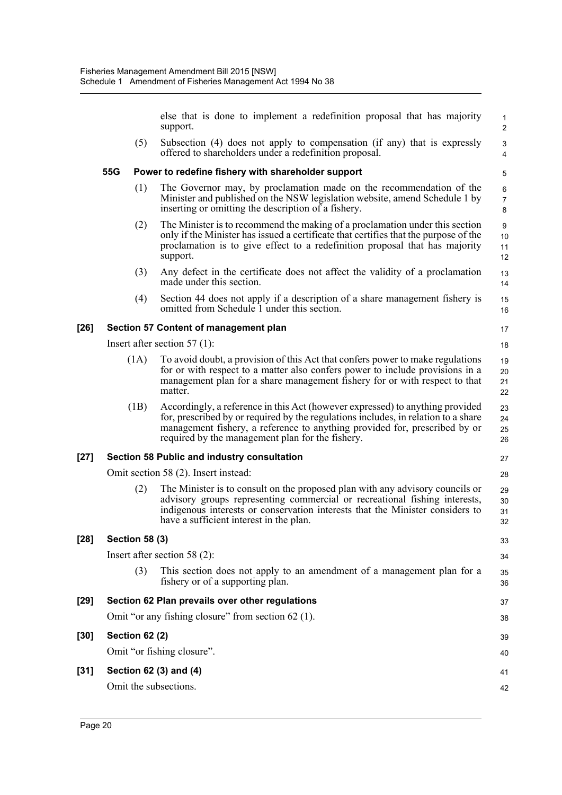else that is done to implement a redefinition proposal that has majority support.

27 28

 $40$ 

41 42

(5) Subsection (4) does not apply to compensation (if any) that is expressly offered to shareholders under a redefinition proposal.

#### **55G Power to redefine fishery with shareholder support**

- (1) The Governor may, by proclamation made on the recommendation of the Minister and published on the NSW legislation website, amend Schedule 1 by inserting or omitting the description of a fishery.
- (2) The Minister is to recommend the making of a proclamation under this section only if the Minister has issued a certificate that certifies that the purpose of the proclamation is to give effect to a redefinition proposal that has majority support.
- (3) Any defect in the certificate does not affect the validity of a proclamation made under this section.
- (4) Section 44 does not apply if a description of a share management fishery is omitted from Schedule 1 under this section.

#### **[26] Section 57 Content of management plan**

Insert after section 57 (1):

- (1A) To avoid doubt, a provision of this Act that confers power to make regulations for or with respect to a matter also confers power to include provisions in a management plan for a share management fishery for or with respect to that matter. 19 20 21 22
- (1B) Accordingly, a reference in this Act (however expressed) to anything provided for, prescribed by or required by the regulations includes, in relation to a share management fishery, a reference to anything provided for, prescribed by or required by the management plan for the fishery. 23 24 25 26

#### **[27] Section 58 Public and industry consultation**

Omit section 58 (2). Insert instead:

(2) The Minister is to consult on the proposed plan with any advisory councils or advisory groups representing commercial or recreational fishing interests, indigenous interests or conservation interests that the Minister considers to have a sufficient interest in the plan. 29 30 31 32

#### **[28] Section 58 (3)**

Insert after section 58 (2): (3) This section does not apply to an amendment of a management plan for a fishery or of a supporting plan. **[29] Section 62 Plan prevails over other regulations** Omit "or any fishing closure" from section 62 (1). **[30] Section 62 (2)** 33 34 35 36 37 38 39

Omit "or fishing closure".

#### **[31] Section 62 (3) and (4)**

Omit the subsections.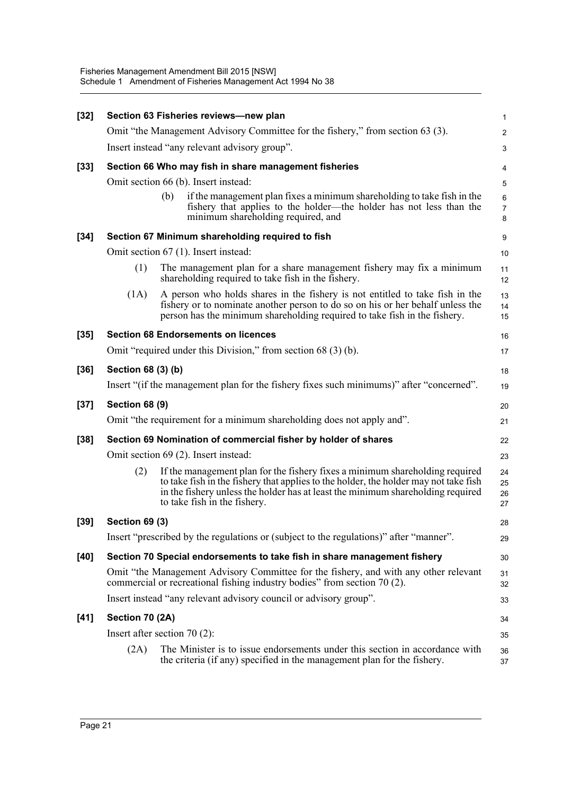| $[32]$ | Section 63 Fisheries reviews-new plan                          |                                                                                                                                                                                                                                                                                         |                          |  |  |  |  |  |
|--------|----------------------------------------------------------------|-----------------------------------------------------------------------------------------------------------------------------------------------------------------------------------------------------------------------------------------------------------------------------------------|--------------------------|--|--|--|--|--|
|        |                                                                | Omit "the Management Advisory Committee for the fishery," from section 63 (3).                                                                                                                                                                                                          | $\overline{c}$           |  |  |  |  |  |
|        | Insert instead "any relevant advisory group".                  |                                                                                                                                                                                                                                                                                         |                          |  |  |  |  |  |
| $[33]$ |                                                                | Section 66 Who may fish in share management fisheries                                                                                                                                                                                                                                   | 4                        |  |  |  |  |  |
|        | Omit section 66 (b). Insert instead:                           |                                                                                                                                                                                                                                                                                         |                          |  |  |  |  |  |
|        |                                                                | if the management plan fixes a minimum shareholding to take fish in the<br>(b)<br>fishery that applies to the holder—the holder has not less than the<br>minimum shareholding required, and                                                                                             | 6<br>$\overline{7}$<br>8 |  |  |  |  |  |
| $[34]$ |                                                                | Section 67 Minimum shareholding required to fish                                                                                                                                                                                                                                        | 9                        |  |  |  |  |  |
|        |                                                                | Omit section 67 (1). Insert instead:                                                                                                                                                                                                                                                    | 10                       |  |  |  |  |  |
|        | (1)                                                            | The management plan for a share management fishery may fix a minimum<br>shareholding required to take fish in the fishery.                                                                                                                                                              | 11<br>12                 |  |  |  |  |  |
|        | (1A)                                                           | A person who holds shares in the fishery is not entitled to take fish in the<br>fishery or to nominate another person to do so on his or her behalf unless the<br>person has the minimum shareholding required to take fish in the fishery.                                             | 13<br>14<br>15           |  |  |  |  |  |
| $[35]$ |                                                                | <b>Section 68 Endorsements on licences</b>                                                                                                                                                                                                                                              | 16                       |  |  |  |  |  |
|        |                                                                | Omit "required under this Division," from section 68 (3) (b).                                                                                                                                                                                                                           | 17                       |  |  |  |  |  |
| $[36]$ | Section 68 (3) (b)                                             |                                                                                                                                                                                                                                                                                         | 18                       |  |  |  |  |  |
|        |                                                                | Insert "(if the management plan for the fishery fixes such minimums)" after "concerned".                                                                                                                                                                                                | 19                       |  |  |  |  |  |
| $[37]$ | <b>Section 68 (9)</b>                                          |                                                                                                                                                                                                                                                                                         | 20                       |  |  |  |  |  |
|        |                                                                | Omit "the requirement for a minimum shareholding does not apply and".                                                                                                                                                                                                                   | 21                       |  |  |  |  |  |
| $[38]$ | Section 69 Nomination of commercial fisher by holder of shares |                                                                                                                                                                                                                                                                                         |                          |  |  |  |  |  |
|        |                                                                | Omit section 69 (2). Insert instead:                                                                                                                                                                                                                                                    | 23                       |  |  |  |  |  |
|        | (2)                                                            | If the management plan for the fishery fixes a minimum shareholding required<br>to take fish in the fishery that applies to the holder, the holder may not take fish<br>in the fishery unless the holder has at least the minimum shareholding required<br>to take fish in the fishery. | 24<br>25<br>26<br>27     |  |  |  |  |  |
| $[39]$ | <b>Section 69 (3)</b>                                          |                                                                                                                                                                                                                                                                                         | 28                       |  |  |  |  |  |
|        |                                                                | Insert "prescribed by the regulations or (subject to the regulations)" after "manner".                                                                                                                                                                                                  | 29                       |  |  |  |  |  |
| $[40]$ |                                                                | Section 70 Special endorsements to take fish in share management fishery                                                                                                                                                                                                                | 30                       |  |  |  |  |  |
|        |                                                                | Omit "the Management Advisory Committee for the fishery, and with any other relevant<br>commercial or recreational fishing industry bodies" from section 70 (2).                                                                                                                        | 31<br>32                 |  |  |  |  |  |
|        |                                                                | Insert instead "any relevant advisory council or advisory group".                                                                                                                                                                                                                       |                          |  |  |  |  |  |
| $[41]$ | Section 70 (2A)                                                |                                                                                                                                                                                                                                                                                         | 34                       |  |  |  |  |  |
|        |                                                                | Insert after section $70(2)$ :                                                                                                                                                                                                                                                          | 35                       |  |  |  |  |  |
|        | (2A)                                                           | The Minister is to issue endorsements under this section in accordance with<br>the criteria (if any) specified in the management plan for the fishery.                                                                                                                                  | 36<br>37                 |  |  |  |  |  |
|        |                                                                |                                                                                                                                                                                                                                                                                         |                          |  |  |  |  |  |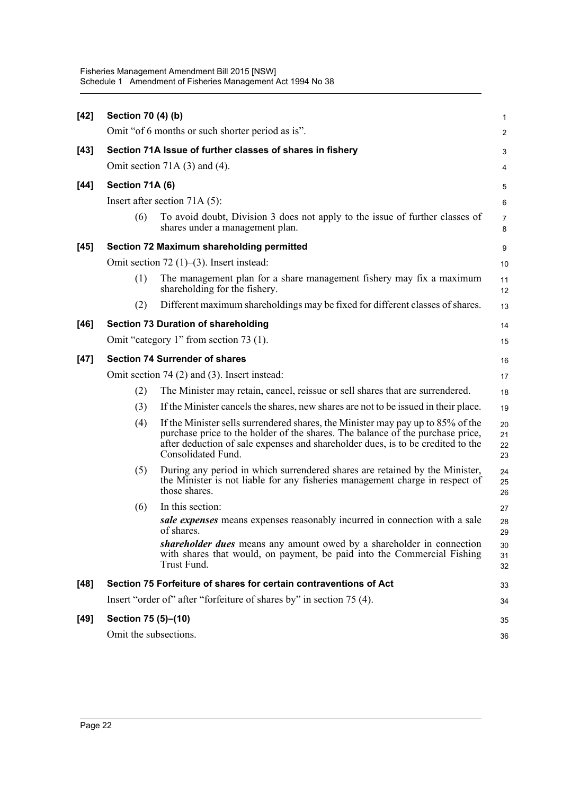| $[42]$ | Section 70 (4) (b)                               |                                                                                                                                                                                                                                                                            | $\mathbf{1}$             |  |  |  |  |  |
|--------|--------------------------------------------------|----------------------------------------------------------------------------------------------------------------------------------------------------------------------------------------------------------------------------------------------------------------------------|--------------------------|--|--|--|--|--|
|        |                                                  | Omit "of 6 months or such shorter period as is".                                                                                                                                                                                                                           | 2                        |  |  |  |  |  |
| $[43]$ |                                                  | Section 71A Issue of further classes of shares in fishery                                                                                                                                                                                                                  | 3                        |  |  |  |  |  |
|        | Omit section 71A $(3)$ and $(4)$ .               |                                                                                                                                                                                                                                                                            |                          |  |  |  |  |  |
| $[44]$ | Section 71A (6)                                  |                                                                                                                                                                                                                                                                            | 5                        |  |  |  |  |  |
|        |                                                  | Insert after section $71A(5)$ :                                                                                                                                                                                                                                            |                          |  |  |  |  |  |
|        | (6)                                              | To avoid doubt, Division 3 does not apply to the issue of further classes of<br>shares under a management plan.                                                                                                                                                            | 6<br>$\overline{7}$<br>8 |  |  |  |  |  |
| $[45]$ |                                                  | Section 72 Maximum shareholding permitted                                                                                                                                                                                                                                  | 9                        |  |  |  |  |  |
|        |                                                  | Omit section $72$ (1)–(3). Insert instead:                                                                                                                                                                                                                                 | 10                       |  |  |  |  |  |
|        | (1)                                              | The management plan for a share management fishery may fix a maximum<br>shareholding for the fishery.                                                                                                                                                                      | 11<br>12                 |  |  |  |  |  |
|        | (2)                                              | Different maximum shareholdings may be fixed for different classes of shares.                                                                                                                                                                                              | 13                       |  |  |  |  |  |
| $[46]$ | <b>Section 73 Duration of shareholding</b>       |                                                                                                                                                                                                                                                                            |                          |  |  |  |  |  |
|        | Omit "category 1" from section 73 (1).           |                                                                                                                                                                                                                                                                            |                          |  |  |  |  |  |
| $[47]$ | <b>Section 74 Surrender of shares</b>            |                                                                                                                                                                                                                                                                            |                          |  |  |  |  |  |
|        | Omit section $74(2)$ and $(3)$ . Insert instead: |                                                                                                                                                                                                                                                                            |                          |  |  |  |  |  |
|        | (2)                                              | The Minister may retain, cancel, reissue or sell shares that are surrendered.                                                                                                                                                                                              | 18                       |  |  |  |  |  |
|        | (3)                                              | If the Minister cancels the shares, new shares are not to be issued in their place.                                                                                                                                                                                        | 19                       |  |  |  |  |  |
|        | (4)                                              | If the Minister sells surrendered shares, the Minister may pay up to 85% of the<br>purchase price to the holder of the shares. The balance of the purchase price,<br>after deduction of sale expenses and shareholder dues, is to be credited to the<br>Consolidated Fund. | 20<br>21<br>22<br>23     |  |  |  |  |  |
|        | (5)                                              | During any period in which surrendered shares are retained by the Minister,<br>the Minister is not liable for any fisheries management charge in respect of<br>those shares.                                                                                               | 24<br>25<br>26           |  |  |  |  |  |
|        | (6)                                              | In this section:                                                                                                                                                                                                                                                           | 27                       |  |  |  |  |  |
|        |                                                  | sale expenses means expenses reasonably incurred in connection with a sale<br>of shares.                                                                                                                                                                                   | 28<br>29                 |  |  |  |  |  |
|        |                                                  | shareholder dues means any amount owed by a shareholder in connection<br>with shares that would, on payment, be paid into the Commercial Fishing<br>Trust Fund.                                                                                                            | 30<br>31<br>32           |  |  |  |  |  |
| $[48]$ |                                                  | Section 75 Forfeiture of shares for certain contraventions of Act                                                                                                                                                                                                          | 33                       |  |  |  |  |  |
|        |                                                  | Insert "order of" after "forfeiture of shares by" in section 75 (4).                                                                                                                                                                                                       | 34                       |  |  |  |  |  |
| $[49]$ | Section 75 (5)-(10)                              |                                                                                                                                                                                                                                                                            | 35                       |  |  |  |  |  |
|        | Omit the subsections.                            |                                                                                                                                                                                                                                                                            |                          |  |  |  |  |  |
|        | 36                                               |                                                                                                                                                                                                                                                                            |                          |  |  |  |  |  |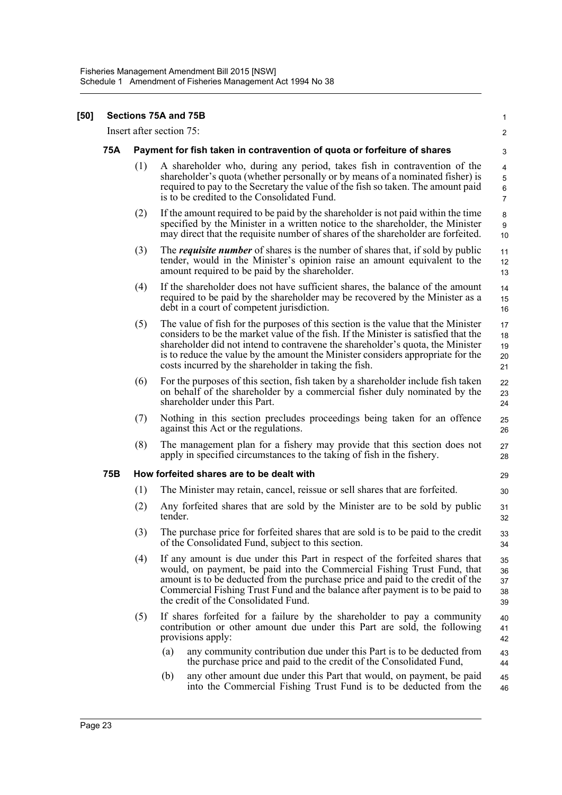| $[50]$ |     |                                                                          | Sections 75A and 75B                                                                                                                                                                                                                                                                                                                                                                                   | 1                                            |  |  |  |
|--------|-----|--------------------------------------------------------------------------|--------------------------------------------------------------------------------------------------------------------------------------------------------------------------------------------------------------------------------------------------------------------------------------------------------------------------------------------------------------------------------------------------------|----------------------------------------------|--|--|--|
|        |     |                                                                          | Insert after section 75:                                                                                                                                                                                                                                                                                                                                                                               | 2                                            |  |  |  |
|        | 75A | Payment for fish taken in contravention of quota or forfeiture of shares |                                                                                                                                                                                                                                                                                                                                                                                                        |                                              |  |  |  |
|        |     | (1)                                                                      | A shareholder who, during any period, takes fish in contravention of the<br>shareholder's quota (whether personally or by means of a nominated fisher) is<br>required to pay to the Secretary the value of the fish so taken. The amount paid<br>is to be credited to the Consolidated Fund.                                                                                                           | 4<br>$\sqrt{5}$<br>$\,6\,$<br>$\overline{7}$ |  |  |  |
|        |     | (2)                                                                      | If the amount required to be paid by the shareholder is not paid within the time<br>specified by the Minister in a written notice to the shareholder, the Minister<br>may direct that the requisite number of shares of the shareholder are forfeited.                                                                                                                                                 | 8<br>9<br>10                                 |  |  |  |
|        |     | (3)                                                                      | The <i>requisite number</i> of shares is the number of shares that, if sold by public<br>tender, would in the Minister's opinion raise an amount equivalent to the<br>amount required to be paid by the shareholder.                                                                                                                                                                                   | 11<br>12<br>13                               |  |  |  |
|        |     | (4)                                                                      | If the shareholder does not have sufficient shares, the balance of the amount<br>required to be paid by the shareholder may be recovered by the Minister as a<br>debt in a court of competent jurisdiction.                                                                                                                                                                                            | 14<br>15<br>16                               |  |  |  |
|        |     | (5)                                                                      | The value of fish for the purposes of this section is the value that the Minister<br>considers to be the market value of the fish. If the Minister is satisfied that the<br>shareholder did not intend to contravene the shareholder's quota, the Minister<br>is to reduce the value by the amount the Minister considers appropriate for the<br>costs incurred by the shareholder in taking the fish. | 17<br>18<br>19<br>20<br>21                   |  |  |  |
|        |     | (6)                                                                      | For the purposes of this section, fish taken by a shareholder include fish taken<br>on behalf of the shareholder by a commercial fisher duly nominated by the<br>shareholder under this Part.                                                                                                                                                                                                          | 22<br>23<br>24                               |  |  |  |
|        |     | (7)                                                                      | Nothing in this section precludes proceedings being taken for an offence<br>against this Act or the regulations.                                                                                                                                                                                                                                                                                       | 25<br>26                                     |  |  |  |
|        |     | (8)                                                                      | The management plan for a fishery may provide that this section does not<br>apply in specified circumstances to the taking of fish in the fishery.                                                                                                                                                                                                                                                     | 27<br>28                                     |  |  |  |
|        | 75B |                                                                          | How forfeited shares are to be dealt with                                                                                                                                                                                                                                                                                                                                                              | 29                                           |  |  |  |
|        |     | (1)                                                                      | The Minister may retain, cancel, reissue or sell shares that are forfeited.                                                                                                                                                                                                                                                                                                                            | 30                                           |  |  |  |
|        |     | (2)                                                                      | Any forfeited shares that are sold by the Minister are to be sold by public<br>tender.                                                                                                                                                                                                                                                                                                                 | 31<br>32                                     |  |  |  |
|        |     | (3)                                                                      | The purchase price for forfeited shares that are sold is to be paid to the credit<br>of the Consolidated Fund, subject to this section.                                                                                                                                                                                                                                                                | 33<br>34                                     |  |  |  |
|        |     | (4)                                                                      | If any amount is due under this Part in respect of the forfeited shares that<br>would, on payment, be paid into the Commercial Fishing Trust Fund, that<br>amount is to be deducted from the purchase price and paid to the credit of the<br>Commercial Fishing Trust Fund and the balance after payment is to be paid to<br>the credit of the Consolidated Fund.                                      | 35<br>36<br>37<br>38<br>39                   |  |  |  |
|        |     | (5)                                                                      | If shares forfeited for a failure by the shareholder to pay a community<br>contribution or other amount due under this Part are sold, the following<br>provisions apply:                                                                                                                                                                                                                               | 40<br>41<br>42                               |  |  |  |
|        |     |                                                                          | any community contribution due under this Part is to be deducted from<br>(a)<br>the purchase price and paid to the credit of the Consolidated Fund,                                                                                                                                                                                                                                                    | 43<br>44                                     |  |  |  |
|        |     |                                                                          | (b)<br>any other amount due under this Part that would, on payment, be paid<br>into the Commercial Fishing Trust Fund is to be deducted from the                                                                                                                                                                                                                                                       | 45<br>46                                     |  |  |  |
|        |     |                                                                          |                                                                                                                                                                                                                                                                                                                                                                                                        |                                              |  |  |  |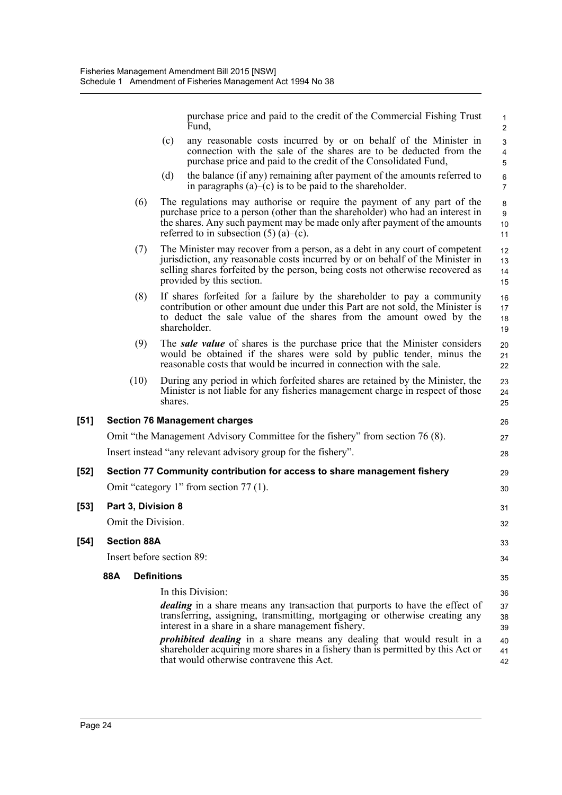purchase price and paid to the credit of the Commercial Fishing Trust Fund,

26 27 28

| (c) | any reasonable costs incurred by or on behalf of the Minister in                                                                      |
|-----|---------------------------------------------------------------------------------------------------------------------------------------|
|     | connection with the sale of the shares are to be deducted from the<br>purchase price and paid to the credit of the Consolidated Fund, |
|     |                                                                                                                                       |

- (d) the balance (if any) remaining after payment of the amounts referred to in paragraphs  $(a)$ – $(c)$  is to be paid to the shareholder.
- (6) The regulations may authorise or require the payment of any part of the purchase price to a person (other than the shareholder) who had an interest in the shares. Any such payment may be made only after payment of the amounts referred to in subsection  $(5)$  (a)–(c). 10 11
- (7) The Minister may recover from a person, as a debt in any court of competent jurisdiction, any reasonable costs incurred by or on behalf of the Minister in selling shares forfeited by the person, being costs not otherwise recovered as provided by this section. 12 13 14 15
- (8) If shares forfeited for a failure by the shareholder to pay a community contribution or other amount due under this Part are not sold, the Minister is to deduct the sale value of the shares from the amount owed by the shareholder. 16 17 18 19
- (9) The *sale value* of shares is the purchase price that the Minister considers would be obtained if the shares were sold by public tender, minus the reasonable costs that would be incurred in connection with the sale.
- (10) During any period in which forfeited shares are retained by the Minister, the Minister is not liable for any fisheries management charge in respect of those shares.

## **[51] Section 76 Management charges** Omit "the Management Advisory Committee for the fishery" from section 76 (8). Insert instead "any relevant advisory group for the fishery".

#### **[52] Section 77 Community contribution for access to share management fishery** Omit "category 1" from section 77 (1). **[53] Part 3, Division 8** Omit the Division. **[54] Section 88A** Insert before section 89: **88A Definitions**  $29$ 30 31 32 33 34 35

In this Division: *dealing* in a share means any transaction that purports to have the effect of transferring, assigning, transmitting, mortgaging or otherwise creating any interest in a share in a share management fishery. 36 37 38 39

*prohibited dealing* in a share means any dealing that would result in a shareholder acquiring more shares in a fishery than is permitted by this Act or that would otherwise contravene this Act. 40 41 42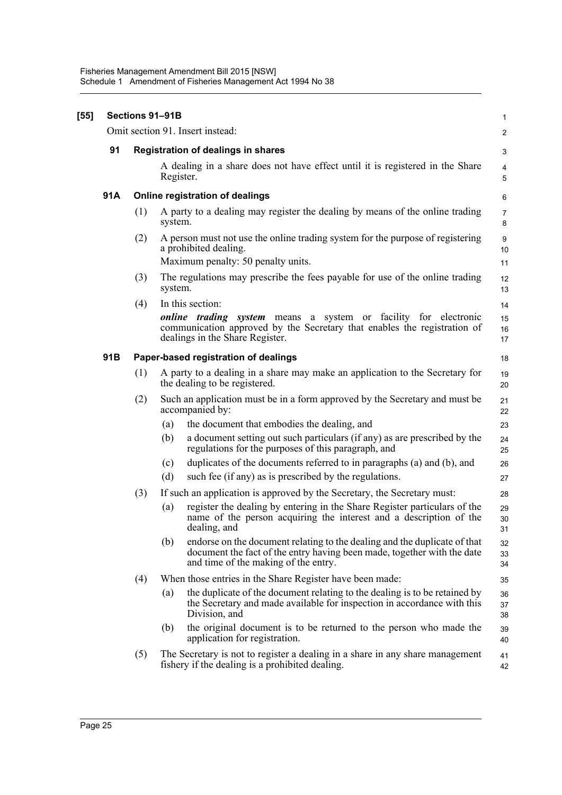| $[55]$ | Sections 91-91B |                                 |           |                                                                                                                                                                                                           |                              |  |
|--------|-----------------|---------------------------------|-----------|-----------------------------------------------------------------------------------------------------------------------------------------------------------------------------------------------------------|------------------------------|--|
|        |                 |                                 |           | Omit section 91. Insert instead:                                                                                                                                                                          | $\overline{2}$               |  |
|        | 91              |                                 |           | <b>Registration of dealings in shares</b>                                                                                                                                                                 | 3                            |  |
|        |                 |                                 | Register. | A dealing in a share does not have effect until it is registered in the Share                                                                                                                             | 4<br>5                       |  |
|        | 91A             | Online registration of dealings |           |                                                                                                                                                                                                           |                              |  |
|        |                 | (1)                             | system.   | A party to a dealing may register the dealing by means of the online trading                                                                                                                              | $\overline{7}$<br>8          |  |
|        |                 | (2)                             |           | A person must not use the online trading system for the purpose of registering<br>a prohibited dealing.<br>Maximum penalty: 50 penalty units.                                                             | $\boldsymbol{9}$<br>10<br>11 |  |
|        |                 | (3)                             | system.   | The regulations may prescribe the fees payable for use of the online trading                                                                                                                              | 12<br>13                     |  |
|        |                 | (4)                             |           | In this section:<br><i>online trading system</i> means a system or facility for electronic<br>communication approved by the Secretary that enables the registration of<br>dealings in the Share Register. | 14<br>15<br>16<br>17         |  |
|        | 91B             |                                 |           | Paper-based registration of dealings                                                                                                                                                                      | 18                           |  |
|        |                 | (1)                             |           | A party to a dealing in a share may make an application to the Secretary for<br>the dealing to be registered.                                                                                             | 19<br>20                     |  |
|        |                 | (2)                             |           | Such an application must be in a form approved by the Secretary and must be<br>accompanied by:                                                                                                            | 21<br>22                     |  |
|        |                 |                                 | (a)       | the document that embodies the dealing, and                                                                                                                                                               | 23                           |  |
|        |                 |                                 | (b)       | a document setting out such particulars (if any) as are prescribed by the<br>regulations for the purposes of this paragraph, and                                                                          | 24<br>25                     |  |
|        |                 |                                 | (c)       | duplicates of the documents referred to in paragraphs (a) and (b), and                                                                                                                                    | 26                           |  |
|        |                 |                                 | (d)       | such fee (if any) as is prescribed by the regulations.                                                                                                                                                    | 27                           |  |
|        |                 | (3)                             |           | If such an application is approved by the Secretary, the Secretary must:                                                                                                                                  | 28                           |  |
|        |                 |                                 | (a)       | register the dealing by entering in the Share Register particulars of the<br>name of the person acquiring the interest and a description of the<br>dealing, and                                           | 29<br>30<br>31               |  |
|        |                 |                                 | (b)       | endorse on the document relating to the dealing and the duplicate of that<br>document the fact of the entry having been made, together with the date<br>and time of the making of the entry.              | 32<br>33<br>34               |  |
|        |                 | (4)                             |           | When those entries in the Share Register have been made:                                                                                                                                                  | 35                           |  |
|        |                 |                                 | (a)       | the duplicate of the document relating to the dealing is to be retained by<br>the Secretary and made available for inspection in accordance with this<br>Division, and                                    | 36<br>37<br>38               |  |
|        |                 |                                 | (b)       | the original document is to be returned to the person who made the<br>application for registration.                                                                                                       | 39<br>40                     |  |
|        |                 | (5)                             |           | The Secretary is not to register a dealing in a share in any share management<br>fishery if the dealing is a prohibited dealing.                                                                          | 41<br>42                     |  |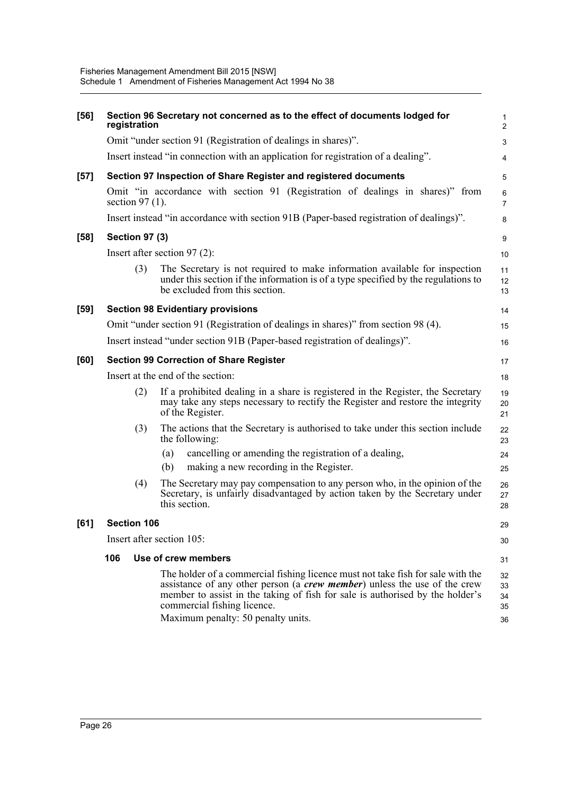| $[56]$ | registration                                   | Section 96 Secretary not concerned as to the effect of documents lodged for                                                                                                                                                                                                                                                | $\mathbf{1}$<br>$\overline{2}$ |  |  |  |
|--------|------------------------------------------------|----------------------------------------------------------------------------------------------------------------------------------------------------------------------------------------------------------------------------------------------------------------------------------------------------------------------------|--------------------------------|--|--|--|
|        |                                                | Omit "under section 91 (Registration of dealings in shares)".                                                                                                                                                                                                                                                              | 3                              |  |  |  |
|        |                                                | Insert instead "in connection with an application for registration of a dealing".                                                                                                                                                                                                                                          | 4                              |  |  |  |
| $[57]$ |                                                | Section 97 Inspection of Share Register and registered documents                                                                                                                                                                                                                                                           | 5                              |  |  |  |
|        | section $97(1)$ .                              | Omit "in accordance with section 91 (Registration of dealings in shares)" from                                                                                                                                                                                                                                             | 6<br>$\overline{7}$            |  |  |  |
|        |                                                | Insert instead "in accordance with section 91B (Paper-based registration of dealings)".                                                                                                                                                                                                                                    | 8                              |  |  |  |
| $[58]$ | <b>Section 97 (3)</b>                          |                                                                                                                                                                                                                                                                                                                            | 9                              |  |  |  |
|        |                                                | Insert after section $97(2)$ :                                                                                                                                                                                                                                                                                             | 10                             |  |  |  |
|        | (3)                                            | The Secretary is not required to make information available for inspection<br>under this section if the information is of a type specified by the regulations to<br>be excluded from this section.                                                                                                                         | 11<br>12<br>13                 |  |  |  |
| $[59]$ |                                                | <b>Section 98 Evidentiary provisions</b>                                                                                                                                                                                                                                                                                   | 14                             |  |  |  |
|        |                                                | Omit "under section 91 (Registration of dealings in shares)" from section 98 (4).                                                                                                                                                                                                                                          | 15                             |  |  |  |
|        |                                                | Insert instead "under section 91B (Paper-based registration of dealings)".                                                                                                                                                                                                                                                 | 16                             |  |  |  |
| [60]   | <b>Section 99 Correction of Share Register</b> |                                                                                                                                                                                                                                                                                                                            |                                |  |  |  |
|        | Insert at the end of the section:              |                                                                                                                                                                                                                                                                                                                            |                                |  |  |  |
|        | (2)                                            | If a prohibited dealing in a share is registered in the Register, the Secretary<br>may take any steps necessary to rectify the Register and restore the integrity<br>of the Register.                                                                                                                                      | 19<br>20<br>21                 |  |  |  |
|        | (3)                                            | The actions that the Secretary is authorised to take under this section include<br>the following:                                                                                                                                                                                                                          | 22<br>23                       |  |  |  |
|        |                                                | cancelling or amending the registration of a dealing,<br>(a)                                                                                                                                                                                                                                                               | 24                             |  |  |  |
|        |                                                | making a new recording in the Register.<br>(b)                                                                                                                                                                                                                                                                             | 25                             |  |  |  |
|        | (4)                                            | The Secretary may pay compensation to any person who, in the opinion of the<br>Secretary, is unfairly disadvantaged by action taken by the Secretary under<br>this section.                                                                                                                                                | 26<br>27<br>28                 |  |  |  |
| [61]   | <b>Section 106</b>                             |                                                                                                                                                                                                                                                                                                                            | 29                             |  |  |  |
|        |                                                | Insert after section 105:                                                                                                                                                                                                                                                                                                  | 30                             |  |  |  |
|        | 106                                            | Use of crew members                                                                                                                                                                                                                                                                                                        | 31                             |  |  |  |
|        |                                                | The holder of a commercial fishing licence must not take fish for sale with the<br>assistance of any other person (a <i>crew member</i> ) unless the use of the crew<br>member to assist in the taking of fish for sale is authorised by the holder's<br>commercial fishing licence.<br>Maximum penalty: 50 penalty units. | 32<br>33<br>34<br>35<br>36     |  |  |  |
|        |                                                |                                                                                                                                                                                                                                                                                                                            |                                |  |  |  |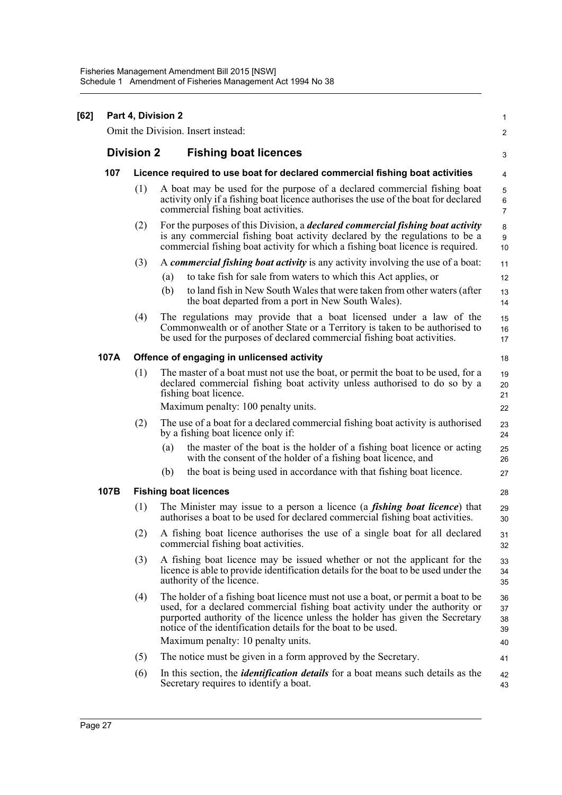| [62] |      | Part 4, Division 2                                                           |                                                                                                                                                                                                                                                                                                                   |                                    |  |  |  |  |  |
|------|------|------------------------------------------------------------------------------|-------------------------------------------------------------------------------------------------------------------------------------------------------------------------------------------------------------------------------------------------------------------------------------------------------------------|------------------------------------|--|--|--|--|--|
|      |      |                                                                              | Omit the Division. Insert instead:                                                                                                                                                                                                                                                                                | 2                                  |  |  |  |  |  |
|      |      | <b>Division 2</b>                                                            | <b>Fishing boat licences</b>                                                                                                                                                                                                                                                                                      | 3                                  |  |  |  |  |  |
|      | 107  | Licence required to use boat for declared commercial fishing boat activities |                                                                                                                                                                                                                                                                                                                   |                                    |  |  |  |  |  |
|      |      | (1)                                                                          | A boat may be used for the purpose of a declared commercial fishing boat<br>activity only if a fishing boat licence authorises the use of the boat for declared<br>commercial fishing boat activities.                                                                                                            | $\mathbf 5$<br>6<br>$\overline{7}$ |  |  |  |  |  |
|      |      | (2)                                                                          | For the purposes of this Division, a <i>declared commercial fishing boat activity</i><br>is any commercial fishing boat activity declared by the regulations to be a<br>commercial fishing boat activity for which a fishing boat licence is required.                                                            | 8<br>9<br>10                       |  |  |  |  |  |
|      |      | (3)                                                                          | A commercial fishing boat activity is any activity involving the use of a boat:                                                                                                                                                                                                                                   | 11                                 |  |  |  |  |  |
|      |      |                                                                              | to take fish for sale from waters to which this Act applies, or<br>(a)                                                                                                                                                                                                                                            | 12                                 |  |  |  |  |  |
|      |      |                                                                              | (b)<br>to land fish in New South Wales that were taken from other waters (after<br>the boat departed from a port in New South Wales).                                                                                                                                                                             | 13<br>14                           |  |  |  |  |  |
|      |      | (4)                                                                          | The regulations may provide that a boat licensed under a law of the<br>Commonwealth or of another State or a Territory is taken to be authorised to<br>be used for the purposes of declared commercial fishing boat activities.                                                                                   | 15<br>16<br>17                     |  |  |  |  |  |
|      | 107A |                                                                              | Offence of engaging in unlicensed activity                                                                                                                                                                                                                                                                        | 18                                 |  |  |  |  |  |
|      |      | (1)                                                                          | The master of a boat must not use the boat, or permit the boat to be used, for a<br>declared commercial fishing boat activity unless authorised to do so by a<br>fishing boat licence.                                                                                                                            | 19<br>20<br>21                     |  |  |  |  |  |
|      |      |                                                                              | Maximum penalty: 100 penalty units.                                                                                                                                                                                                                                                                               | 22                                 |  |  |  |  |  |
|      |      | (2)                                                                          | The use of a boat for a declared commercial fishing boat activity is authorised<br>by a fishing boat licence only if:                                                                                                                                                                                             | 23<br>24                           |  |  |  |  |  |
|      |      |                                                                              | the master of the boat is the holder of a fishing boat licence or acting<br>(a)<br>with the consent of the holder of a fishing boat licence, and                                                                                                                                                                  | 25<br>26                           |  |  |  |  |  |
|      |      |                                                                              | the boat is being used in accordance with that fishing boat licence.<br>(b)                                                                                                                                                                                                                                       | 27                                 |  |  |  |  |  |
|      | 107B |                                                                              | <b>Fishing boat licences</b>                                                                                                                                                                                                                                                                                      | 28                                 |  |  |  |  |  |
|      |      | (1)                                                                          | The Minister may issue to a person a licence (a <i>fishing boat licence</i> ) that<br>authorises a boat to be used for declared commercial fishing boat activities.                                                                                                                                               | 29<br>30                           |  |  |  |  |  |
|      |      | (2)                                                                          | A fishing boat licence authorises the use of a single boat for all declared<br>commercial fishing boat activities.                                                                                                                                                                                                | 31<br>32                           |  |  |  |  |  |
|      |      | (3)                                                                          | A fishing boat licence may be issued whether or not the applicant for the<br>licence is able to provide identification details for the boat to be used under the<br>authority of the licence.                                                                                                                     | 33<br>34<br>35                     |  |  |  |  |  |
|      |      | (4)                                                                          | The holder of a fishing boat licence must not use a boat, or permit a boat to be<br>used, for a declared commercial fishing boat activity under the authority or<br>purported authority of the licence unless the holder has given the Secretary<br>notice of the identification details for the boat to be used. | 36<br>37<br>38<br>39               |  |  |  |  |  |
|      |      |                                                                              | Maximum penalty: 10 penalty units.                                                                                                                                                                                                                                                                                | 40                                 |  |  |  |  |  |
|      |      | (5)                                                                          | The notice must be given in a form approved by the Secretary.                                                                                                                                                                                                                                                     | 41                                 |  |  |  |  |  |
|      |      | (6)                                                                          | In this section, the <i>identification details</i> for a boat means such details as the<br>Secretary requires to identify a boat.                                                                                                                                                                                 | 42<br>43                           |  |  |  |  |  |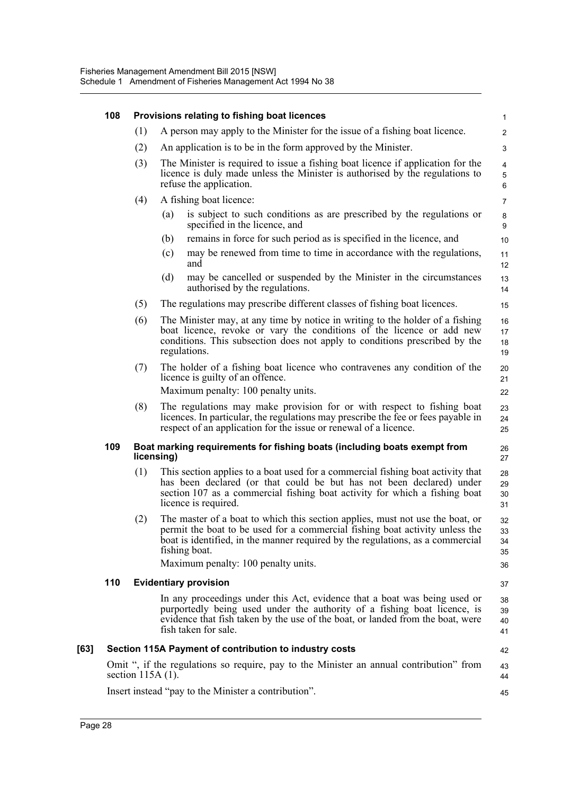|      | 108                                                  |                                                                                        |     | Provisions relating to fishing boat licences                                                                                                                                                                                                                     | $\mathbf{1}$         |  |  |
|------|------------------------------------------------------|----------------------------------------------------------------------------------------|-----|------------------------------------------------------------------------------------------------------------------------------------------------------------------------------------------------------------------------------------------------------------------|----------------------|--|--|
|      |                                                      | (1)                                                                                    |     | A person may apply to the Minister for the issue of a fishing boat licence.                                                                                                                                                                                      | $\overline{2}$       |  |  |
|      |                                                      | (2)                                                                                    |     | An application is to be in the form approved by the Minister.                                                                                                                                                                                                    | 3                    |  |  |
|      |                                                      | (3)                                                                                    |     | The Minister is required to issue a fishing boat licence if application for the<br>licence is duly made unless the Minister is authorised by the regulations to<br>refuse the application.                                                                       | 4<br>5<br>$\,6\,$    |  |  |
|      |                                                      | (4)                                                                                    |     | A fishing boat licence:                                                                                                                                                                                                                                          | 7                    |  |  |
|      |                                                      |                                                                                        | (a) | is subject to such conditions as are prescribed by the regulations or<br>specified in the licence, and                                                                                                                                                           | 8<br>9               |  |  |
|      |                                                      |                                                                                        | (b) | remains in force for such period as is specified in the licence, and                                                                                                                                                                                             | 10                   |  |  |
|      |                                                      |                                                                                        | (c) | may be renewed from time to time in accordance with the regulations,<br>and                                                                                                                                                                                      | 11<br>12             |  |  |
|      |                                                      |                                                                                        | (d) | may be cancelled or suspended by the Minister in the circumstances<br>authorised by the regulations.                                                                                                                                                             | 13<br>14             |  |  |
|      |                                                      | (5)                                                                                    |     | The regulations may prescribe different classes of fishing boat licences.                                                                                                                                                                                        | 15                   |  |  |
|      |                                                      | (6)                                                                                    |     | The Minister may, at any time by notice in writing to the holder of a fishing<br>boat licence, revoke or vary the conditions of the licence or add new<br>conditions. This subsection does not apply to conditions prescribed by the<br>regulations.             | 16<br>17<br>18<br>19 |  |  |
|      |                                                      | (7)                                                                                    |     | The holder of a fishing boat licence who contravenes any condition of the<br>licence is guilty of an offence.                                                                                                                                                    | 20<br>21             |  |  |
|      |                                                      |                                                                                        |     | Maximum penalty: 100 penalty units.                                                                                                                                                                                                                              | 22                   |  |  |
|      |                                                      | (8)                                                                                    |     | The regulations may make provision for or with respect to fishing boat<br>licences. In particular, the regulations may prescribe the fee or fees payable in<br>respect of an application for the issue or renewal of a licence.                                  | 23<br>24<br>25       |  |  |
|      | 109                                                  | Boat marking requirements for fishing boats (including boats exempt from<br>licensing) |     |                                                                                                                                                                                                                                                                  |                      |  |  |
|      |                                                      | (1)                                                                                    |     | This section applies to a boat used for a commercial fishing boat activity that<br>has been declared (or that could be but has not been declared) under<br>section 107 as a commercial fishing boat activity for which a fishing boat<br>licence is required.    | 28<br>29<br>30<br>31 |  |  |
|      |                                                      | (2)                                                                                    |     | The master of a boat to which this section applies, must not use the boat, or<br>permit the boat to be used for a commercial fishing boat activity unless the<br>boat is identified, in the manner required by the regulations, as a commercial<br>fishing boat. | 32<br>33<br>34<br>35 |  |  |
|      |                                                      |                                                                                        |     | Maximum penalty: 100 penalty units.                                                                                                                                                                                                                              | 36                   |  |  |
|      | 110                                                  |                                                                                        |     | <b>Evidentiary provision</b>                                                                                                                                                                                                                                     | 37                   |  |  |
|      |                                                      |                                                                                        |     | In any proceedings under this Act, evidence that a boat was being used or<br>purportedly being used under the authority of a fishing boat licence, is<br>evidence that fish taken by the use of the boat, or landed from the boat, were<br>fish taken for sale.  | 38<br>39<br>40<br>41 |  |  |
| [63] |                                                      |                                                                                        |     | Section 115A Payment of contribution to industry costs                                                                                                                                                                                                           | 42                   |  |  |
|      |                                                      | section $115A(1)$ .                                                                    |     | Omit ", if the regulations so require, pay to the Minister an annual contribution" from                                                                                                                                                                          | 43<br>44             |  |  |
|      | Insert instead "pay to the Minister a contribution". |                                                                                        |     |                                                                                                                                                                                                                                                                  |                      |  |  |
|      |                                                      |                                                                                        |     |                                                                                                                                                                                                                                                                  |                      |  |  |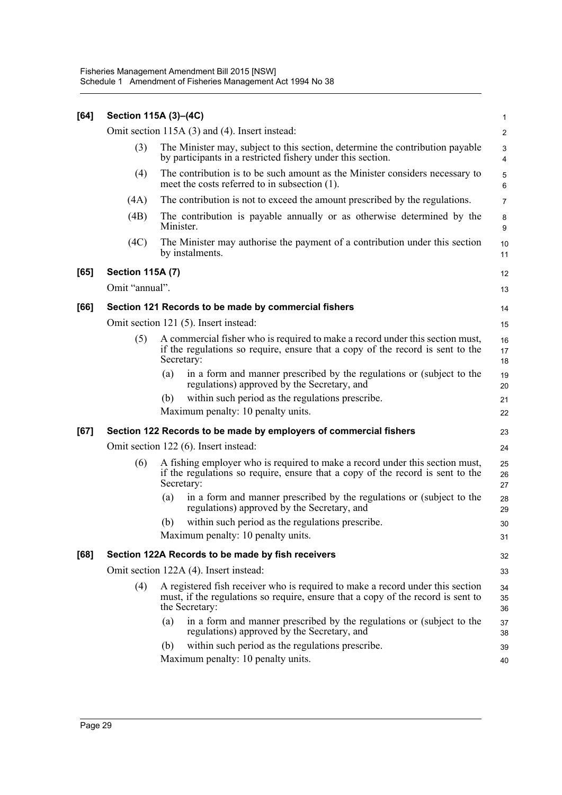| [64] |                                                                                                                                                     | Section 115A (3)-(4C)                                                                                                                                                                | $\mathbf{1}$            |  |  |  |
|------|-----------------------------------------------------------------------------------------------------------------------------------------------------|--------------------------------------------------------------------------------------------------------------------------------------------------------------------------------------|-------------------------|--|--|--|
|      |                                                                                                                                                     | Omit section 115A (3) and (4). Insert instead:                                                                                                                                       | $\overline{\mathbf{c}}$ |  |  |  |
|      | (3)<br>The Minister may, subject to this section, determine the contribution payable<br>by participants in a restricted fishery under this section. |                                                                                                                                                                                      |                         |  |  |  |
|      | (4)                                                                                                                                                 | The contribution is to be such amount as the Minister considers necessary to<br>meet the costs referred to in subsection (1).                                                        | $\mathbf 5$<br>6        |  |  |  |
|      | (4A)                                                                                                                                                | The contribution is not to exceed the amount prescribed by the regulations.                                                                                                          | $\overline{7}$          |  |  |  |
|      | (4B)                                                                                                                                                | The contribution is payable annually or as otherwise determined by the<br>Minister.                                                                                                  | 8<br>9                  |  |  |  |
|      | (4C)                                                                                                                                                | The Minister may authorise the payment of a contribution under this section<br>by instalments.                                                                                       | 10<br>11                |  |  |  |
| [65] | <b>Section 115A (7)</b>                                                                                                                             |                                                                                                                                                                                      | 12                      |  |  |  |
|      | Omit "annual".                                                                                                                                      |                                                                                                                                                                                      | 13                      |  |  |  |
| [66] |                                                                                                                                                     | Section 121 Records to be made by commercial fishers                                                                                                                                 | 14                      |  |  |  |
|      | Omit section 121 (5). Insert instead:                                                                                                               |                                                                                                                                                                                      |                         |  |  |  |
|      | (5)                                                                                                                                                 | A commercial fisher who is required to make a record under this section must,<br>if the regulations so require, ensure that a copy of the record is sent to the<br>Secretary:        | 16<br>17<br>18          |  |  |  |
|      |                                                                                                                                                     | in a form and manner prescribed by the regulations or (subject to the<br>(a)<br>regulations) approved by the Secretary, and                                                          | 19<br>20                |  |  |  |
|      |                                                                                                                                                     | within such period as the regulations prescribe.<br>(b)                                                                                                                              | 21                      |  |  |  |
|      |                                                                                                                                                     | Maximum penalty: 10 penalty units.                                                                                                                                                   | 22                      |  |  |  |
| [67] |                                                                                                                                                     | Section 122 Records to be made by employers of commercial fishers                                                                                                                    | 23                      |  |  |  |
|      |                                                                                                                                                     | Omit section 122 (6). Insert instead:                                                                                                                                                | 24                      |  |  |  |
|      | (6)                                                                                                                                                 | A fishing employer who is required to make a record under this section must,<br>if the regulations so require, ensure that a copy of the record is sent to the<br>Secretary:         | 25<br>26<br>27          |  |  |  |
|      |                                                                                                                                                     | in a form and manner prescribed by the regulations or (subject to the<br>(a)<br>regulations) approved by the Secretary, and                                                          | 28<br>29                |  |  |  |
|      |                                                                                                                                                     | within such period as the regulations prescribe.<br>(b)                                                                                                                              | 30                      |  |  |  |
|      |                                                                                                                                                     | Maximum penalty: 10 penalty units.                                                                                                                                                   | 31                      |  |  |  |
| [68] |                                                                                                                                                     | Section 122A Records to be made by fish receivers                                                                                                                                    | 32                      |  |  |  |
|      |                                                                                                                                                     | Omit section 122A (4). Insert instead:                                                                                                                                               |                         |  |  |  |
|      | (4)                                                                                                                                                 | A registered fish receiver who is required to make a record under this section<br>must, if the regulations so require, ensure that a copy of the record is sent to<br>the Secretary: | 34<br>35<br>36          |  |  |  |
|      |                                                                                                                                                     | in a form and manner prescribed by the regulations or (subject to the<br>(a)<br>regulations) approved by the Secretary, and                                                          | 37<br>38                |  |  |  |
|      |                                                                                                                                                     | within such period as the regulations prescribe.<br>(b)                                                                                                                              | 39                      |  |  |  |
|      |                                                                                                                                                     | Maximum penalty: 10 penalty units.                                                                                                                                                   | 40                      |  |  |  |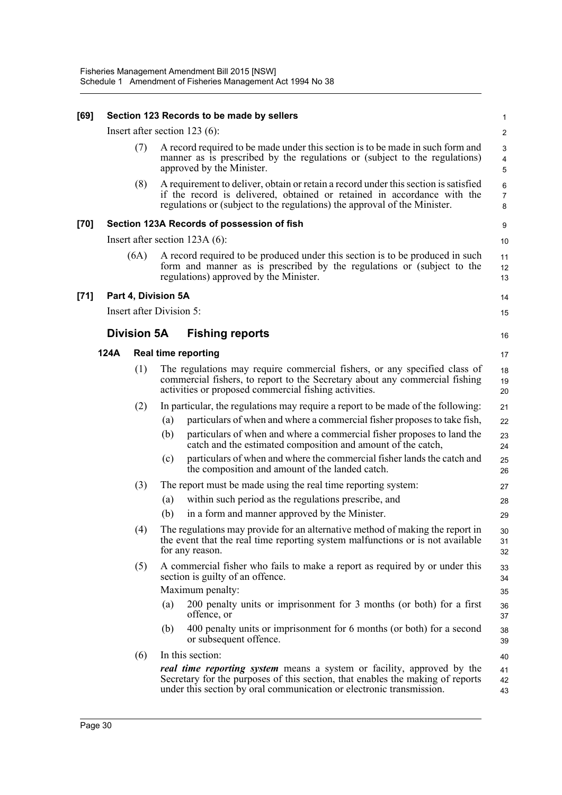| [69]   |      |                    | Section 123 Records to be made by sellers                                                                                                                                                                                                   | 1                                 |
|--------|------|--------------------|---------------------------------------------------------------------------------------------------------------------------------------------------------------------------------------------------------------------------------------------|-----------------------------------|
|        |      |                    | Insert after section 123 (6):                                                                                                                                                                                                               | $\overline{2}$                    |
|        |      | (7)                | A record required to be made under this section is to be made in such form and<br>manner as is prescribed by the regulations or (subject to the regulations)<br>approved by the Minister.                                                   | 3<br>$\overline{\mathbf{4}}$<br>5 |
|        |      | (8)                | A requirement to deliver, obtain or retain a record under this section is satisfied<br>if the record is delivered, obtained or retained in accordance with the<br>regulations or (subject to the regulations) the approval of the Minister. | 6<br>$\overline{7}$<br>8          |
| [70]   |      |                    | Section 123A Records of possession of fish                                                                                                                                                                                                  | 9                                 |
|        |      |                    | Insert after section $123A(6)$ :                                                                                                                                                                                                            | 10                                |
|        |      | (6A)               | A record required to be produced under this section is to be produced in such<br>form and manner as is prescribed by the regulations or (subject to the<br>regulations) approved by the Minister.                                           | 11<br>12<br>13                    |
| $[71]$ |      |                    | Part 4, Division 5A                                                                                                                                                                                                                         | 14                                |
|        |      |                    | Insert after Division 5:                                                                                                                                                                                                                    | 15                                |
|        |      | <b>Division 5A</b> | <b>Fishing reports</b>                                                                                                                                                                                                                      | 16                                |
|        | 124A |                    | <b>Real time reporting</b>                                                                                                                                                                                                                  | 17                                |
|        |      | (1)                | The regulations may require commercial fishers, or any specified class of<br>commercial fishers, to report to the Secretary about any commercial fishing<br>activities or proposed commercial fishing activities.                           | 18<br>19<br>20                    |
|        |      | (2)                | In particular, the regulations may require a report to be made of the following:                                                                                                                                                            | 21                                |
|        |      |                    | particulars of when and where a commercial fisher proposes to take fish,<br>(a)                                                                                                                                                             | 22                                |
|        |      |                    | (b)<br>particulars of when and where a commercial fisher proposes to land the<br>catch and the estimated composition and amount of the catch,                                                                                               | 23<br>24                          |
|        |      |                    | (c)<br>particulars of when and where the commercial fisher lands the catch and<br>the composition and amount of the landed catch.                                                                                                           | 25<br>26                          |
|        |      | (3)                | The report must be made using the real time reporting system:                                                                                                                                                                               | 27                                |
|        |      |                    | within such period as the regulations prescribe, and<br>(a)                                                                                                                                                                                 | 28                                |
|        |      |                    | (b)<br>in a form and manner approved by the Minister.                                                                                                                                                                                       | 29                                |
|        |      | (4)                | The regulations may provide for an alternative method of making the report in<br>the event that the real time reporting system malfunctions or is not available<br>for any reason.                                                          | $30\,$<br>31<br>32                |
|        |      | (5)                | A commercial fisher who fails to make a report as required by or under this<br>section is guilty of an offence.<br>Maximum penalty:                                                                                                         | 33<br>34<br>35                    |
|        |      |                    | 200 penalty units or imprisonment for 3 months (or both) for a first<br>(a)<br>offence, or                                                                                                                                                  | 36<br>37                          |
|        |      |                    | 400 penalty units or imprisonment for 6 months (or both) for a second<br>(b)<br>or subsequent offence.                                                                                                                                      | 38<br>39                          |
|        |      | (6)                | In this section:                                                                                                                                                                                                                            | 40                                |
|        |      |                    | <i>real time reporting system</i> means a system or facility, approved by the<br>Secretary for the purposes of this section, that enables the making of reports<br>under this section by oral communication or electronic transmission.     | 41<br>42<br>43                    |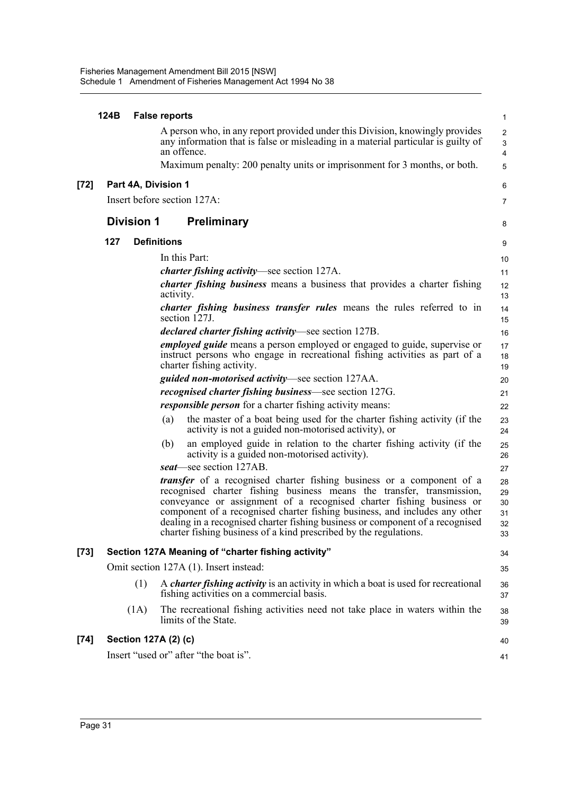|        | 124B              | <b>False reports</b>                                                                                                                                                                                                                                                                                                                                                                                                                                              | 1                                |
|--------|-------------------|-------------------------------------------------------------------------------------------------------------------------------------------------------------------------------------------------------------------------------------------------------------------------------------------------------------------------------------------------------------------------------------------------------------------------------------------------------------------|----------------------------------|
|        |                   | A person who, in any report provided under this Division, knowingly provides<br>any information that is false or misleading in a material particular is guilty of<br>an offence.                                                                                                                                                                                                                                                                                  | $\overline{2}$<br>3<br>4         |
|        |                   | Maximum penalty: 200 penalty units or imprisonment for 3 months, or both.                                                                                                                                                                                                                                                                                                                                                                                         | 5                                |
| $[72]$ |                   | Part 4A, Division 1                                                                                                                                                                                                                                                                                                                                                                                                                                               | 6                                |
|        |                   | Insert before section 127A:                                                                                                                                                                                                                                                                                                                                                                                                                                       | 7                                |
|        | <b>Division 1</b> | <b>Preliminary</b>                                                                                                                                                                                                                                                                                                                                                                                                                                                | 8                                |
|        | 127               | <b>Definitions</b>                                                                                                                                                                                                                                                                                                                                                                                                                                                | 9                                |
|        |                   | In this Part:                                                                                                                                                                                                                                                                                                                                                                                                                                                     | 10                               |
|        |                   | <i>charter fishing activity</i> —see section 127A.                                                                                                                                                                                                                                                                                                                                                                                                                | 11                               |
|        |                   | charter fishing business means a business that provides a charter fishing<br>activity.                                                                                                                                                                                                                                                                                                                                                                            | 12<br>13                         |
|        |                   | <i>charter fishing business transfer rules</i> means the rules referred to in<br>section 127J.                                                                                                                                                                                                                                                                                                                                                                    | 14<br>15                         |
|        |                   | <i>declared charter fishing activity</i> —see section 127B.                                                                                                                                                                                                                                                                                                                                                                                                       | 16                               |
|        |                   | <i>employed guide</i> means a person employed or engaged to guide, supervise or<br>instruct persons who engage in recreational fishing activities as part of a<br>charter fishing activity.                                                                                                                                                                                                                                                                       | 17<br>18<br>19                   |
|        |                   | <i>guided non-motorised activity</i> —see section 127AA.                                                                                                                                                                                                                                                                                                                                                                                                          | 20                               |
|        |                   | <i>recognised charter fishing business</i> —see section 127G.                                                                                                                                                                                                                                                                                                                                                                                                     | 21                               |
|        |                   | <i>responsible person</i> for a charter fishing activity means:                                                                                                                                                                                                                                                                                                                                                                                                   | 22                               |
|        |                   | the master of a boat being used for the charter fishing activity (if the<br>(a)<br>activity is not a guided non-motorised activity), or                                                                                                                                                                                                                                                                                                                           | 23<br>24                         |
|        |                   | an employed guide in relation to the charter fishing activity (if the<br>(b)<br>activity is a guided non-motorised activity).                                                                                                                                                                                                                                                                                                                                     | 25<br>26                         |
|        |                   | seat-see section 127AB.                                                                                                                                                                                                                                                                                                                                                                                                                                           | 27                               |
|        |                   | <i>transfer</i> of a recognised charter fishing business or a component of a<br>recognised charter fishing business means the transfer, transmission,<br>conveyance or assignment of a recognised charter fishing business or<br>component of a recognised charter fishing business, and includes any other<br>dealing in a recognised charter fishing business or component of a recognised<br>charter fishing business of a kind prescribed by the regulations. | 28<br>29<br>30<br>31<br>32<br>33 |
| $[73]$ |                   | Section 127A Meaning of "charter fishing activity"                                                                                                                                                                                                                                                                                                                                                                                                                | 34                               |
|        |                   | Omit section 127A (1). Insert instead:                                                                                                                                                                                                                                                                                                                                                                                                                            | 35                               |
|        | (1)               | A <i>charter fishing activity</i> is an activity in which a boat is used for recreational<br>fishing activities on a commercial basis.                                                                                                                                                                                                                                                                                                                            | 36<br>37                         |
|        | (1A)              | The recreational fishing activities need not take place in waters within the<br>limits of the State.                                                                                                                                                                                                                                                                                                                                                              | 38<br>39                         |
| $[74]$ |                   | Section 127A (2) (c)                                                                                                                                                                                                                                                                                                                                                                                                                                              | 40                               |
|        |                   | Insert "used or" after "the boat is".                                                                                                                                                                                                                                                                                                                                                                                                                             | 41                               |
|        |                   |                                                                                                                                                                                                                                                                                                                                                                                                                                                                   |                                  |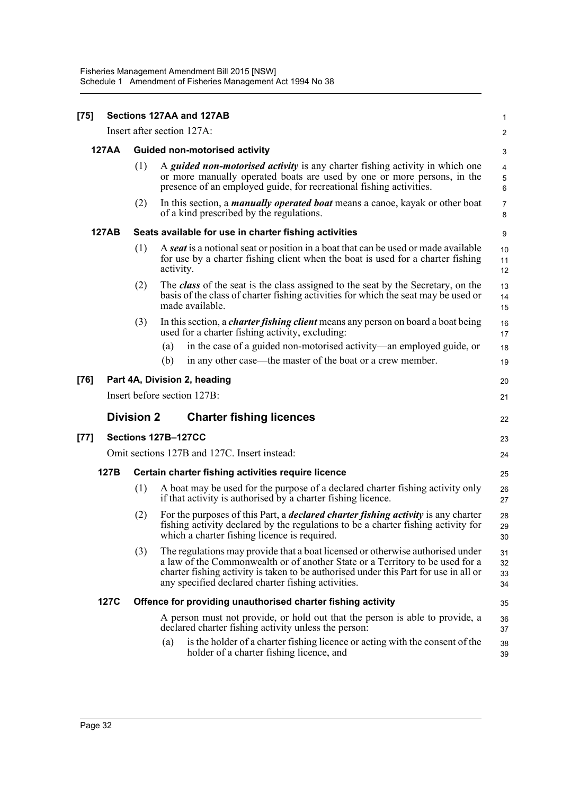| $[75]$ |              |                   | Sections 127AA and 127AB                                                                                                                                                                                                                                                                                      | 1                    |
|--------|--------------|-------------------|---------------------------------------------------------------------------------------------------------------------------------------------------------------------------------------------------------------------------------------------------------------------------------------------------------------|----------------------|
|        |              |                   | Insert after section 127A:                                                                                                                                                                                                                                                                                    | 2                    |
|        | <b>127AA</b> |                   | <b>Guided non-motorised activity</b>                                                                                                                                                                                                                                                                          | 3                    |
|        |              | (1)               | A <i>guided non-motorised activity</i> is any charter fishing activity in which one<br>or more manually operated boats are used by one or more persons, in the<br>presence of an employed guide, for recreational fishing activities.                                                                         | 4<br>5<br>6          |
|        |              | (2)               | In this section, a <i>manually operated boat</i> means a canoe, kayak or other boat<br>of a kind prescribed by the regulations.                                                                                                                                                                               | $\overline{7}$<br>8  |
|        | 127AB        |                   | Seats available for use in charter fishing activities                                                                                                                                                                                                                                                         | 9                    |
|        |              | (1)               | A <b>seat</b> is a notional seat or position in a boat that can be used or made available<br>for use by a charter fishing client when the boat is used for a charter fishing<br>activity.                                                                                                                     | 10<br>11<br>12       |
|        |              | (2)               | The <i>class</i> of the seat is the class assigned to the seat by the Secretary, on the<br>basis of the class of charter fishing activities for which the seat may be used or<br>made available.                                                                                                              | 13<br>14<br>15       |
|        |              | (3)               | In this section, a <i>charter fishing client</i> means any person on board a boat being<br>used for a charter fishing activity, excluding:                                                                                                                                                                    | 16<br>17             |
|        |              |                   | in the case of a guided non-motorised activity—an employed guide, or<br>(a)<br>(b)<br>in any other case—the master of the boat or a crew member.                                                                                                                                                              | 18<br>19             |
| $[76]$ |              |                   | Part 4A, Division 2, heading                                                                                                                                                                                                                                                                                  | 20                   |
|        |              |                   | Insert before section 127B:                                                                                                                                                                                                                                                                                   | 21                   |
|        |              | <b>Division 2</b> | <b>Charter fishing licences</b>                                                                                                                                                                                                                                                                               | 22                   |
| [77]   |              |                   | Sections 127B-127CC                                                                                                                                                                                                                                                                                           | 23                   |
|        |              |                   | Omit sections 127B and 127C. Insert instead:                                                                                                                                                                                                                                                                  | 24                   |
|        | 127B         |                   | Certain charter fishing activities require licence                                                                                                                                                                                                                                                            | 25                   |
|        |              | (1)               | A boat may be used for the purpose of a declared charter fishing activity only<br>if that activity is authorised by a charter fishing licence.                                                                                                                                                                | 26<br>27             |
|        |              | (2)               | For the purposes of this Part, a <i>declared charter fishing activity</i> is any charter<br>fishing activity declared by the regulations to be a charter fishing activity for<br>which a charter fishing licence is required.                                                                                 | 28<br>29<br>30       |
|        |              | (3)               | The regulations may provide that a boat licensed or otherwise authorised under<br>a law of the Commonwealth or of another State or a Territory to be used for a<br>charter fishing activity is taken to be authorised under this Part for use in all or<br>any specified declared charter fishing activities. | 31<br>32<br>33<br>34 |
|        | <b>127C</b>  |                   | Offence for providing unauthorised charter fishing activity                                                                                                                                                                                                                                                   | 35                   |
|        |              |                   | A person must not provide, or hold out that the person is able to provide, a<br>declared charter fishing activity unless the person:<br>is the holder of a charter fishing licence or acting with the consent of the<br>(a)<br>holder of a charter fishing licence, and                                       | 36<br>37<br>38<br>39 |
|        |              |                   |                                                                                                                                                                                                                                                                                                               |                      |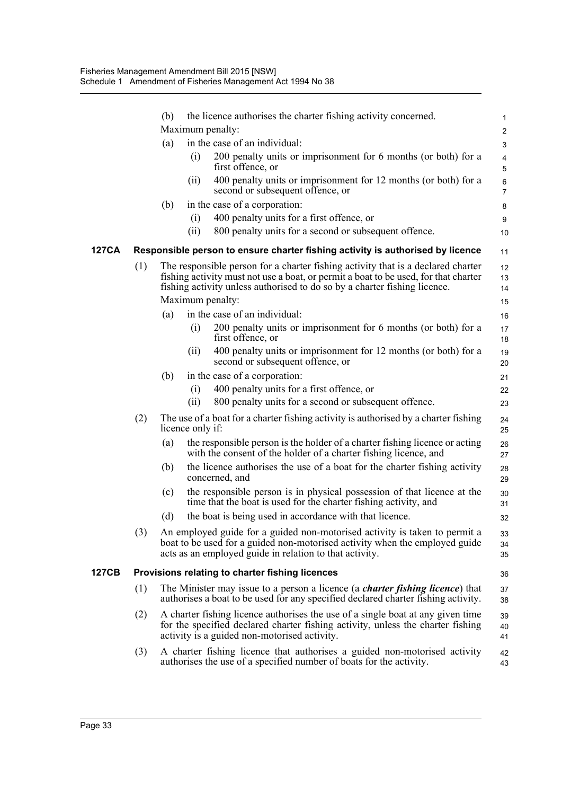|       |     | (b) |                  | the licence authorises the charter fishing activity concerned.<br>Maximum penalty:                                                                                                                                                                                       | $\mathbf{1}$<br>$\overline{c}$ |
|-------|-----|-----|------------------|--------------------------------------------------------------------------------------------------------------------------------------------------------------------------------------------------------------------------------------------------------------------------|--------------------------------|
|       |     | (a) |                  | in the case of an individual:                                                                                                                                                                                                                                            | 3                              |
|       |     |     | (i)              | 200 penalty units or imprisonment for 6 months (or both) for a<br>first offence, or                                                                                                                                                                                      | $\overline{4}$                 |
|       |     |     | (ii)             | 400 penalty units or imprisonment for 12 months (or both) for a<br>second or subsequent offence, or                                                                                                                                                                      | 5<br>$\,6\,$<br>$\overline{7}$ |
|       |     | (b) |                  | in the case of a corporation:                                                                                                                                                                                                                                            | 8                              |
|       |     |     | (i)              | 400 penalty units for a first offence, or                                                                                                                                                                                                                                | 9                              |
|       |     |     | (i)              | 800 penalty units for a second or subsequent offence.                                                                                                                                                                                                                    | 10                             |
| 127CA |     |     |                  | Responsible person to ensure charter fishing activity is authorised by licence                                                                                                                                                                                           | 11                             |
|       | (1) |     |                  | The responsible person for a charter fishing activity that is a declared charter<br>fishing activity must not use a boat, or permit a boat to be used, for that charter<br>fishing activity unless authorised to do so by a charter fishing licence.<br>Maximum penalty: | 12<br>13<br>14<br>15           |
|       |     | (a) |                  | in the case of an individual:                                                                                                                                                                                                                                            | 16                             |
|       |     |     | (i)              | 200 penalty units or imprisonment for 6 months (or both) for a<br>first offence, or                                                                                                                                                                                      | 17<br>18                       |
|       |     |     | (ii)             | 400 penalty units or imprisonment for 12 months (or both) for a<br>second or subsequent offence, or                                                                                                                                                                      | 19<br>20                       |
|       |     | (b) |                  | in the case of a corporation:                                                                                                                                                                                                                                            | 21                             |
|       |     |     | (i)              | 400 penalty units for a first offence, or                                                                                                                                                                                                                                | 22                             |
|       |     |     | (ii)             | 800 penalty units for a second or subsequent offence.                                                                                                                                                                                                                    | 23                             |
|       | (2) |     | licence only if: | The use of a boat for a charter fishing activity is authorised by a charter fishing                                                                                                                                                                                      | 24<br>25                       |
|       |     | (a) |                  | the responsible person is the holder of a charter fishing licence or acting<br>with the consent of the holder of a charter fishing licence, and                                                                                                                          | 26<br>27                       |
|       |     | (b) |                  | the licence authorises the use of a boat for the charter fishing activity<br>concerned, and                                                                                                                                                                              | 28<br>29                       |
|       |     | (c) |                  | the responsible person is in physical possession of that licence at the<br>time that the boat is used for the charter fishing activity, and                                                                                                                              | 30<br>31                       |
|       |     | (d) |                  | the boat is being used in accordance with that licence.                                                                                                                                                                                                                  | 32                             |
|       | (3) |     |                  | An employed guide for a guided non-motorised activity is taken to permit a<br>boat to be used for a guided non-motorised activity when the employed guide<br>acts as an employed guide in relation to that activity.                                                     | 33<br>34<br>35                 |
| 127CB |     |     |                  | Provisions relating to charter fishing licences                                                                                                                                                                                                                          | 36                             |
|       | (1) |     |                  | The Minister may issue to a person a licence (a <i>charter fishing licence</i> ) that<br>authorises a boat to be used for any specified declared charter fishing activity.                                                                                               | 37<br>38                       |
|       | (2) |     |                  | A charter fishing licence authorises the use of a single boat at any given time<br>for the specified declared charter fishing activity, unless the charter fishing<br>activity is a guided non-motorised activity.                                                       | 39<br>40<br>41                 |
|       | (3) |     |                  | A charter fishing licence that authorises a guided non-motorised activity<br>authorises the use of a specified number of boats for the activity.                                                                                                                         | 42<br>43                       |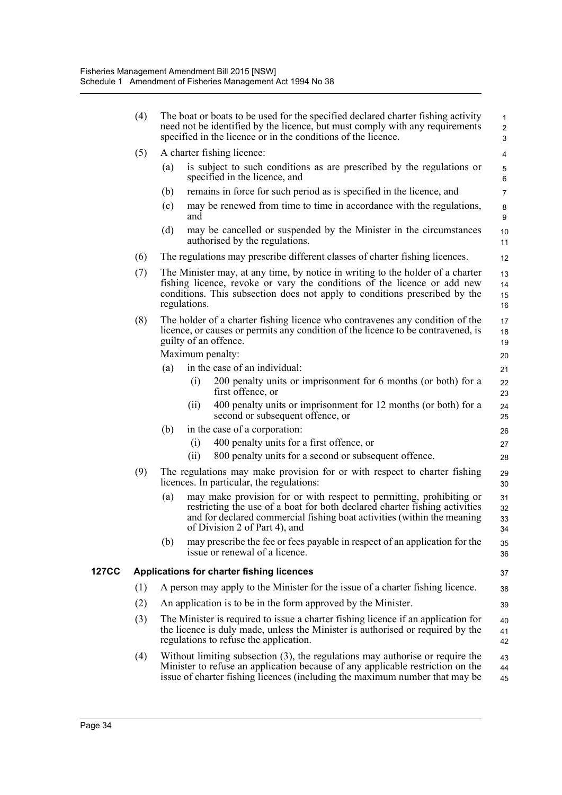|       | (4) | The boat or boats to be used for the specified declared charter fishing activity<br>need not be identified by the licence, but must comply with any requirements<br>specified in the licence or in the conditions of the licence.                                     | $\mathbf{1}$<br>$\overline{2}$<br>3 |
|-------|-----|-----------------------------------------------------------------------------------------------------------------------------------------------------------------------------------------------------------------------------------------------------------------------|-------------------------------------|
|       | (5) | A charter fishing licence:                                                                                                                                                                                                                                            | 4                                   |
|       |     | is subject to such conditions as are prescribed by the regulations or<br>(a)<br>specified in the licence, and                                                                                                                                                         | 5<br>6                              |
|       |     | remains in force for such period as is specified in the licence, and<br>(b)                                                                                                                                                                                           | $\overline{7}$                      |
|       |     | may be renewed from time to time in accordance with the regulations,<br>(c)<br>and                                                                                                                                                                                    | 8<br>9                              |
|       |     | (d)<br>may be cancelled or suspended by the Minister in the circumstances<br>authorised by the regulations.                                                                                                                                                           | 10<br>11                            |
|       | (6) | The regulations may prescribe different classes of charter fishing licences.                                                                                                                                                                                          | 12                                  |
|       | (7) | The Minister may, at any time, by notice in writing to the holder of a charter<br>fishing licence, revoke or vary the conditions of the licence or add new<br>conditions. This subsection does not apply to conditions prescribed by the<br>regulations.              | 13<br>14<br>15<br>16                |
|       | (8) | The holder of a charter fishing licence who contravenes any condition of the<br>licence, or causes or permits any condition of the licence to be contravened, is<br>guilty of an offence.<br>Maximum penalty:                                                         | 17<br>18<br>19<br>20                |
|       |     | in the case of an individual:<br>(a)                                                                                                                                                                                                                                  | 21                                  |
|       |     | 200 penalty units or imprisonment for 6 months (or both) for a<br>(i)<br>first offence, or                                                                                                                                                                            | 22<br>23                            |
|       |     | 400 penalty units or imprisonment for 12 months (or both) for a<br>(ii)<br>second or subsequent offence, or                                                                                                                                                           | 24<br>25                            |
|       |     | in the case of a corporation:<br>(b)                                                                                                                                                                                                                                  | 26                                  |
|       |     | 400 penalty units for a first offence, or<br>(i)                                                                                                                                                                                                                      | 27                                  |
|       |     | 800 penalty units for a second or subsequent offence.<br>(ii)                                                                                                                                                                                                         | 28                                  |
|       | (9) | The regulations may make provision for or with respect to charter fishing<br>licences. In particular, the regulations:                                                                                                                                                | 29<br>30                            |
|       |     | may make provision for or with respect to permitting, prohibiting or<br>(a)<br>restricting the use of a boat for both declared charter fishing activities<br>and for declared commercial fishing boat activities (within the meaning<br>of Division 2 of Part 4), and | 31<br>32<br>33<br>34                |
|       |     | may prescribe the fee or fees payable in respect of an application for the<br>(b)<br>issue or renewal of a licence.                                                                                                                                                   | 35<br>36                            |
| 127CC |     | Applications for charter fishing licences                                                                                                                                                                                                                             | 37                                  |
|       | (1) | A person may apply to the Minister for the issue of a charter fishing licence.                                                                                                                                                                                        | 38                                  |
|       | (2) | An application is to be in the form approved by the Minister.                                                                                                                                                                                                         | 39                                  |
|       | (3) | The Minister is required to issue a charter fishing licence if an application for<br>the licence is duly made, unless the Minister is authorised or required by the<br>regulations to refuse the application.                                                         | 40<br>41<br>42                      |
|       | (4) | Without limiting subsection $(3)$ , the regulations may authorise or require the<br>Minister to refuse an application because of any applicable restriction on the<br>issue of charter fishing licences (including the maximum number that may be                     | 43<br>44<br>45                      |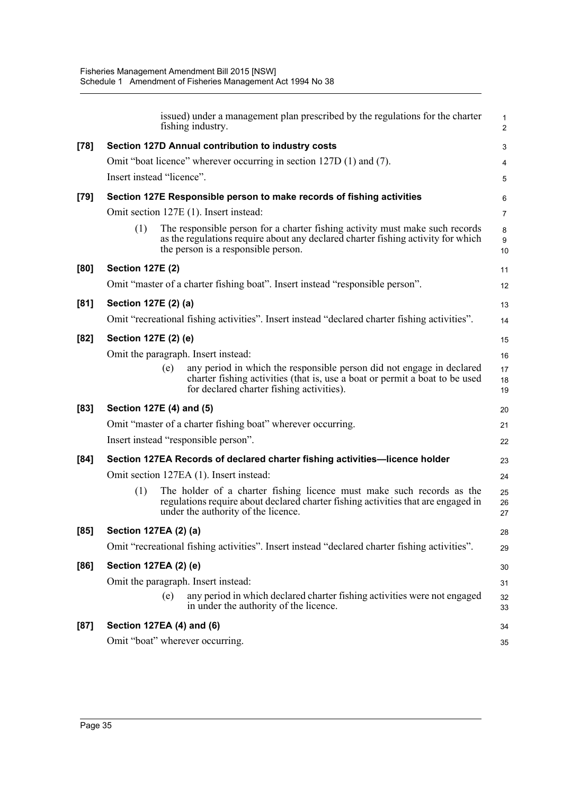|        | issued) under a management plan prescribed by the regulations for the charter<br>fishing industry.                                                                                                             | $\mathbf{1}$<br>2 |
|--------|----------------------------------------------------------------------------------------------------------------------------------------------------------------------------------------------------------------|-------------------|
| $[78]$ | Section 127D Annual contribution to industry costs                                                                                                                                                             | 3                 |
|        | Omit "boat licence" wherever occurring in section 127D (1) and (7).                                                                                                                                            | 4                 |
|        | Insert instead "licence".                                                                                                                                                                                      | 5                 |
| $[79]$ | Section 127E Responsible person to make records of fishing activities                                                                                                                                          | 6                 |
|        | Omit section 127E (1). Insert instead:                                                                                                                                                                         | $\overline{7}$    |
|        | The responsible person for a charter fishing activity must make such records<br>(1)<br>as the regulations require about any declared charter fishing activity for which<br>the person is a responsible person. | 8<br>9<br>10      |
| [80]   | <b>Section 127E (2)</b>                                                                                                                                                                                        | 11                |
|        | Omit "master of a charter fishing boat". Insert instead "responsible person".                                                                                                                                  | 12                |
| [81]   | Section 127E (2) (a)                                                                                                                                                                                           | 13                |
|        | Omit "recreational fishing activities". Insert instead "declared charter fishing activities".                                                                                                                  | 14                |
| [82]   | Section 127E (2) (e)                                                                                                                                                                                           | 15                |
|        | Omit the paragraph. Insert instead:                                                                                                                                                                            | 16                |
|        | any period in which the responsible person did not engage in declared<br>(e)<br>charter fishing activities (that is, use a boat or permit a boat to be used<br>for declared charter fishing activities).       | 17<br>18<br>19    |
| [83]   | Section 127E (4) and (5)                                                                                                                                                                                       | 20                |
|        | Omit "master of a charter fishing boat" wherever occurring.                                                                                                                                                    | 21                |
|        | Insert instead "responsible person".                                                                                                                                                                           | 22                |
| [84]   | Section 127EA Records of declared charter fishing activities-licence holder                                                                                                                                    | 23                |
|        | Omit section 127EA (1). Insert instead:                                                                                                                                                                        | 24                |
|        | The holder of a charter fishing licence must make such records as the<br>(1)<br>regulations require about declared charter fishing activities that are engaged in<br>under the authority of the licence.       | 25<br>26<br>27    |
| [85]   | <b>Section 127EA (2) (a)</b>                                                                                                                                                                                   | 28                |
|        | Omit "recreational fishing activities". Insert instead "declared charter fishing activities".                                                                                                                  | 29                |
| [86]   | Section 127EA (2) (e)                                                                                                                                                                                          | 30                |
|        | Omit the paragraph. Insert instead:                                                                                                                                                                            | 31                |
|        | any period in which declared charter fishing activities were not engaged<br>(e)<br>in under the authority of the licence.                                                                                      | 32<br>33          |
| [87]   | Section 127EA (4) and (6)                                                                                                                                                                                      | 34                |
|        | Omit "boat" wherever occurring.                                                                                                                                                                                | 35                |
|        |                                                                                                                                                                                                                |                   |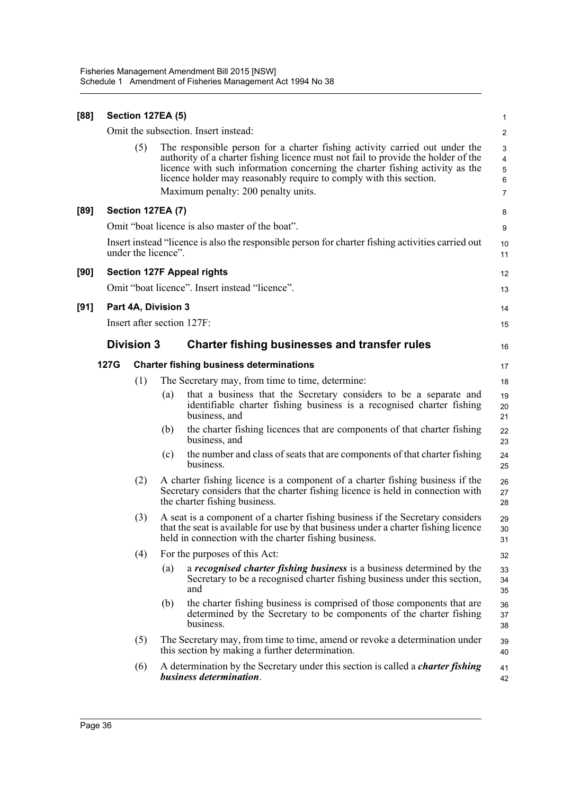| [88] |      | <b>Section 127EA (5)</b> |                                                |                                                                                                                                                                                                                                                                                                                        | $\mathbf{1}$                  |
|------|------|--------------------------|------------------------------------------------|------------------------------------------------------------------------------------------------------------------------------------------------------------------------------------------------------------------------------------------------------------------------------------------------------------------------|-------------------------------|
|      |      |                          |                                                | Omit the subsection. Insert instead:                                                                                                                                                                                                                                                                                   | $\overline{c}$                |
|      |      | (5)                      |                                                | The responsible person for a charter fishing activity carried out under the<br>authority of a charter fishing licence must not fail to provide the holder of the<br>licence with such information concerning the charter fishing activity as the<br>licence holder may reasonably require to comply with this section. | 3<br>$\overline{4}$<br>5<br>6 |
|      |      |                          |                                                | Maximum penalty: 200 penalty units.                                                                                                                                                                                                                                                                                    | $\overline{7}$                |
| [89] |      | <b>Section 127EA (7)</b> |                                                |                                                                                                                                                                                                                                                                                                                        | 8                             |
|      |      |                          |                                                | Omit "boat licence is also master of the boat".                                                                                                                                                                                                                                                                        | 9                             |
|      |      | under the licence".      |                                                | Insert instead "licence is also the responsible person for charter fishing activities carried out                                                                                                                                                                                                                      | 10<br>11                      |
| [90] |      |                          |                                                | <b>Section 127F Appeal rights</b>                                                                                                                                                                                                                                                                                      | 12                            |
|      |      |                          |                                                | Omit "boat licence". Insert instead "licence".                                                                                                                                                                                                                                                                         | 13                            |
| [91] |      | Part 4A, Division 3      |                                                |                                                                                                                                                                                                                                                                                                                        | 14                            |
|      |      |                          |                                                | Insert after section 127F:                                                                                                                                                                                                                                                                                             | 15                            |
|      |      | <b>Division 3</b>        |                                                | <b>Charter fishing businesses and transfer rules</b>                                                                                                                                                                                                                                                                   | 16                            |
|      | 127G |                          | <b>Charter fishing business determinations</b> |                                                                                                                                                                                                                                                                                                                        |                               |
|      |      | (1)                      |                                                | The Secretary may, from time to time, determine:                                                                                                                                                                                                                                                                       | 18                            |
|      |      |                          | (a)                                            | that a business that the Secretary considers to be a separate and<br>identifiable charter fishing business is a recognised charter fishing<br>business, and                                                                                                                                                            | 19<br>20<br>21                |
|      |      |                          | (b)                                            | the charter fishing licences that are components of that charter fishing<br>business, and                                                                                                                                                                                                                              | 22<br>23                      |
|      |      |                          | (c)                                            | the number and class of seats that are components of that charter fishing<br>business.                                                                                                                                                                                                                                 | 24<br>25                      |
|      |      | (2)                      |                                                | A charter fishing licence is a component of a charter fishing business if the<br>Secretary considers that the charter fishing licence is held in connection with<br>the charter fishing business.                                                                                                                      | 26<br>27<br>28                |
|      |      | (3)                      |                                                | A seat is a component of a charter fishing business if the Secretary considers<br>that the seat is available for use by that business under a charter fishing licence<br>held in connection with the charter fishing business.                                                                                         | 29<br>30<br>31                |
|      |      | (4)                      |                                                | For the purposes of this Act:                                                                                                                                                                                                                                                                                          | 32                            |
|      |      |                          | (a)                                            | a <i>recognised charter fishing business</i> is a business determined by the<br>Secretary to be a recognised charter fishing business under this section,<br>and                                                                                                                                                       | 33<br>34<br>35                |
|      |      |                          | (b)                                            | the charter fishing business is comprised of those components that are<br>determined by the Secretary to be components of the charter fishing<br>business.                                                                                                                                                             | 36<br>37<br>38                |
|      |      | (5)                      |                                                | The Secretary may, from time to time, amend or revoke a determination under<br>this section by making a further determination.                                                                                                                                                                                         | 39<br>40                      |
|      |      | (6)                      |                                                | A determination by the Secretary under this section is called a <i>charter fishing</i><br>business determination.                                                                                                                                                                                                      | 41<br>42                      |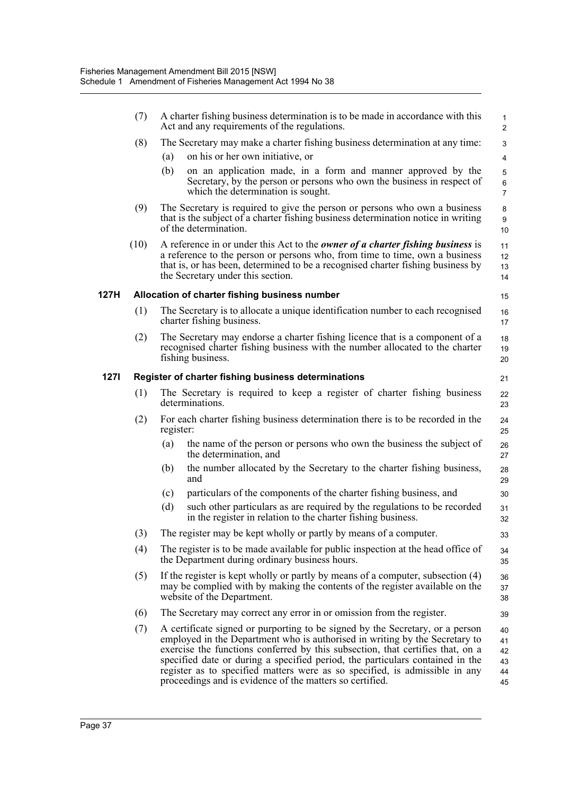|      | (7)  | A charter fishing business determination is to be made in accordance with this<br>Act and any requirements of the regulations.                                                                                                                                                                                                                                                                                                                                             | $\mathbf{1}$<br>$\overline{2}$          |
|------|------|----------------------------------------------------------------------------------------------------------------------------------------------------------------------------------------------------------------------------------------------------------------------------------------------------------------------------------------------------------------------------------------------------------------------------------------------------------------------------|-----------------------------------------|
|      | (8)  | The Secretary may make a charter fishing business determination at any time:                                                                                                                                                                                                                                                                                                                                                                                               | 3                                       |
|      |      | on his or her own initiative, or<br>(a)                                                                                                                                                                                                                                                                                                                                                                                                                                    | $\overline{4}$                          |
|      |      | on an application made, in a form and manner approved by the<br>(b)<br>Secretary, by the person or persons who own the business in respect of<br>which the determination is sought.                                                                                                                                                                                                                                                                                        | $\sqrt{5}$<br>$\,6\,$<br>$\overline{7}$ |
|      | (9)  | The Secretary is required to give the person or persons who own a business<br>that is the subject of a charter fishing business determination notice in writing<br>of the determination.                                                                                                                                                                                                                                                                                   | 8<br>9<br>10                            |
|      | (10) | A reference in or under this Act to the <i>owner of a charter fishing business</i> is<br>a reference to the person or persons who, from time to time, own a business<br>that is, or has been, determined to be a recognised charter fishing business by<br>the Secretary under this section.                                                                                                                                                                               | 11<br>12<br>13<br>14                    |
| 127H |      | Allocation of charter fishing business number                                                                                                                                                                                                                                                                                                                                                                                                                              | 15                                      |
|      | (1)  | The Secretary is to allocate a unique identification number to each recognised<br>charter fishing business.                                                                                                                                                                                                                                                                                                                                                                | 16<br>17                                |
|      | (2)  | The Secretary may endorse a charter fishing licence that is a component of a<br>recognised charter fishing business with the number allocated to the charter<br>fishing business.                                                                                                                                                                                                                                                                                          | 18<br>19<br>20                          |
| 127I |      | Register of charter fishing business determinations                                                                                                                                                                                                                                                                                                                                                                                                                        | 21                                      |
|      | (1)  | The Secretary is required to keep a register of charter fishing business<br>determinations.                                                                                                                                                                                                                                                                                                                                                                                | 22<br>23                                |
|      | (2)  | For each charter fishing business determination there is to be recorded in the<br>register:                                                                                                                                                                                                                                                                                                                                                                                | 24<br>25                                |
|      |      | the name of the person or persons who own the business the subject of<br>(a)<br>the determination, and                                                                                                                                                                                                                                                                                                                                                                     | 26<br>27                                |
|      |      | the number allocated by the Secretary to the charter fishing business,<br>(b)<br>and                                                                                                                                                                                                                                                                                                                                                                                       | 28<br>29                                |
|      |      | particulars of the components of the charter fishing business, and<br>(c)                                                                                                                                                                                                                                                                                                                                                                                                  | 30                                      |
|      |      | (d)<br>such other particulars as are required by the regulations to be recorded<br>in the register in relation to the charter fishing business.                                                                                                                                                                                                                                                                                                                            | 31<br>32                                |
|      | (3)  | The register may be kept wholly or partly by means of a computer.                                                                                                                                                                                                                                                                                                                                                                                                          | 33                                      |
|      | (4)  | The register is to be made available for public inspection at the head office of<br>the Department during ordinary business hours.                                                                                                                                                                                                                                                                                                                                         | 34<br>35                                |
|      | (5)  | If the register is kept wholly or partly by means of a computer, subsection $(4)$<br>may be complied with by making the contents of the register available on the<br>website of the Department.                                                                                                                                                                                                                                                                            | 36<br>37<br>38                          |
|      | (6)  | The Secretary may correct any error in or omission from the register.                                                                                                                                                                                                                                                                                                                                                                                                      | 39                                      |
|      | (7)  | A certificate signed or purporting to be signed by the Secretary, or a person<br>employed in the Department who is authorised in writing by the Secretary to<br>exercise the functions conferred by this subsection, that certifies that, on a<br>specified date or during a specified period, the particulars contained in the<br>register as to specified matters were as so specified, is admissible in any<br>proceedings and is evidence of the matters so certified. | 40<br>41<br>42<br>43<br>44<br>45        |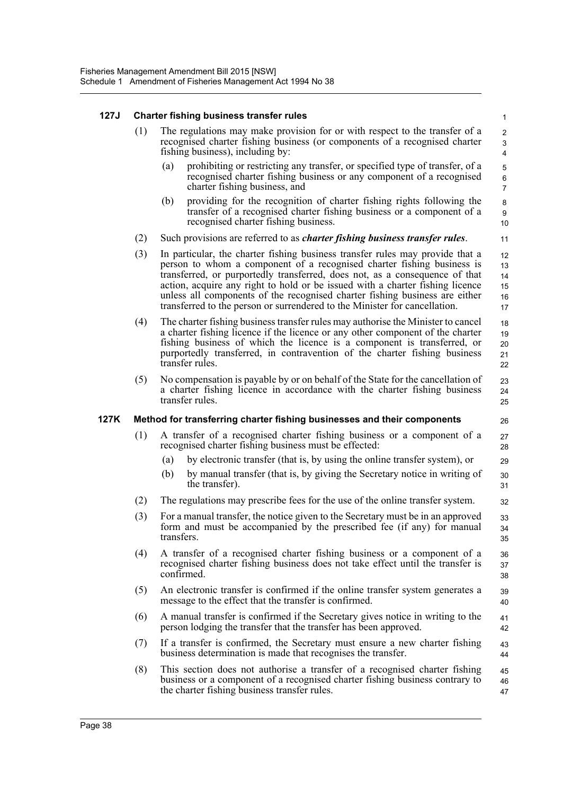#### **127J Charter fishing business transfer rules**

| The regulations may make provision for or with respect to the transfer of a |
|-----------------------------------------------------------------------------|
| recognised charter fishing business (or components of a recognised charter  |
| fishing business), including by:                                            |

(a) prohibiting or restricting any transfer, or specified type of transfer, of a recognised charter fishing business or any component of a recognised charter fishing business, and

26

- (b) providing for the recognition of charter fishing rights following the transfer of a recognised charter fishing business or a component of a recognised charter fishing business.
- (2) Such provisions are referred to as *charter fishing business transfer rules*.
- (3) In particular, the charter fishing business transfer rules may provide that a person to whom a component of a recognised charter fishing business is transferred, or purportedly transferred, does not, as a consequence of that action, acquire any right to hold or be issued with a charter fishing licence unless all components of the recognised charter fishing business are either transferred to the person or surrendered to the Minister for cancellation. 12 13 14 15 16 17
- (4) The charter fishing business transfer rules may authorise the Minister to cancel a charter fishing licence if the licence or any other component of the charter fishing business of which the licence is a component is transferred, or purportedly transferred, in contravention of the charter fishing business transfer rules. 18 19 20 21 22
- (5) No compensation is payable by or on behalf of the State for the cancellation of a charter fishing licence in accordance with the charter fishing business transfer rules. 23 24 25

#### **127K Method for transferring charter fishing businesses and their components**

- (1) A transfer of a recognised charter fishing business or a component of a recognised charter fishing business must be effected: 27 28
	- (a) by electronic transfer (that is, by using the online transfer system), or
	- (b) by manual transfer (that is, by giving the Secretary notice in writing of the transfer).
- (2) The regulations may prescribe fees for the use of the online transfer system.
- (3) For a manual transfer, the notice given to the Secretary must be in an approved form and must be accompanied by the prescribed fee (if any) for manual transfers.
- (4) A transfer of a recognised charter fishing business or a component of a recognised charter fishing business does not take effect until the transfer is confirmed. 36 37 38
- (5) An electronic transfer is confirmed if the online transfer system generates a message to the effect that the transfer is confirmed. 39 40
- (6) A manual transfer is confirmed if the Secretary gives notice in writing to the person lodging the transfer that the transfer has been approved. 41 42
- (7) If a transfer is confirmed, the Secretary must ensure a new charter fishing business determination is made that recognises the transfer. 43 44
- (8) This section does not authorise a transfer of a recognised charter fishing business or a component of a recognised charter fishing business contrary to the charter fishing business transfer rules. 45 46 47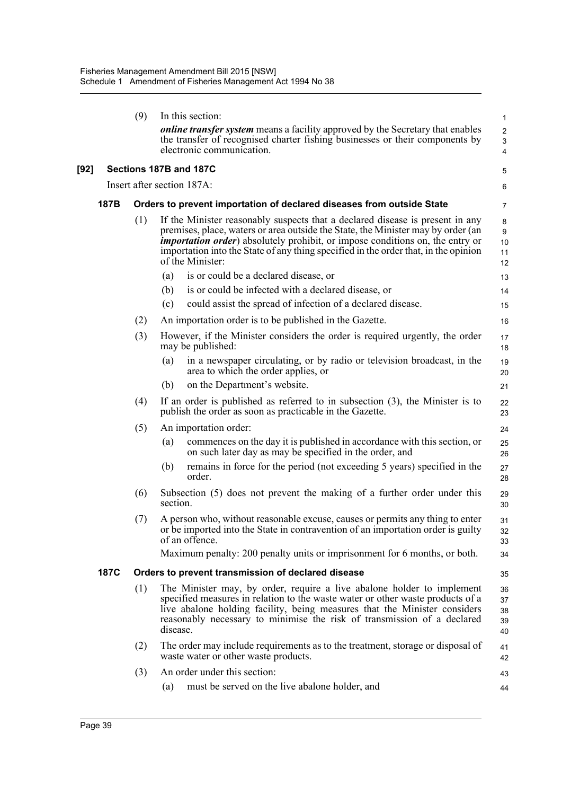|      |             | (9) | In this section:                                                                                                                                                                                                                                                                                                                                                                                                                                                                                                                                          | 1                                                |
|------|-------------|-----|-----------------------------------------------------------------------------------------------------------------------------------------------------------------------------------------------------------------------------------------------------------------------------------------------------------------------------------------------------------------------------------------------------------------------------------------------------------------------------------------------------------------------------------------------------------|--------------------------------------------------|
|      |             |     | <i>online transfer system</i> means a facility approved by the Secretary that enables<br>the transfer of recognised charter fishing businesses or their components by<br>electronic communication.                                                                                                                                                                                                                                                                                                                                                        | $\overline{c}$<br>$\ensuremath{\mathsf{3}}$<br>4 |
| [92] |             |     | Sections 187B and 187C                                                                                                                                                                                                                                                                                                                                                                                                                                                                                                                                    | 5                                                |
|      |             |     | Insert after section 187A:                                                                                                                                                                                                                                                                                                                                                                                                                                                                                                                                | 6                                                |
|      | 187B        |     | Orders to prevent importation of declared diseases from outside State                                                                                                                                                                                                                                                                                                                                                                                                                                                                                     | 7                                                |
|      |             | (1) | If the Minister reasonably suspects that a declared disease is present in any<br>premises, place, waters or area outside the State, the Minister may by order (an<br><i>importation order</i> ) absolutely prohibit, or impose conditions on, the entry or<br>importation into the State of any thing specified in the order that, in the opinion<br>of the Minister:<br>is or could be a declared disease, or<br>(a)<br>(b)<br>is or could be infected with a declared disease, or<br>could assist the spread of infection of a declared disease.<br>(c) | 8<br>9<br>10<br>11<br>12<br>13<br>14             |
|      |             | (2) | An importation order is to be published in the Gazette.                                                                                                                                                                                                                                                                                                                                                                                                                                                                                                   | 15                                               |
|      |             | (3) | However, if the Minister considers the order is required urgently, the order<br>may be published:                                                                                                                                                                                                                                                                                                                                                                                                                                                         | 16<br>17<br>18                                   |
|      |             |     | in a newspaper circulating, or by radio or television broadcast, in the<br>(a)<br>area to which the order applies, or                                                                                                                                                                                                                                                                                                                                                                                                                                     | 19<br>20                                         |
|      |             |     | on the Department's website.<br>(b)                                                                                                                                                                                                                                                                                                                                                                                                                                                                                                                       | 21                                               |
|      |             | (4) | If an order is published as referred to in subsection $(3)$ , the Minister is to<br>publish the order as soon as practicable in the Gazette.                                                                                                                                                                                                                                                                                                                                                                                                              | 22<br>23                                         |
|      |             | (5) | An importation order:                                                                                                                                                                                                                                                                                                                                                                                                                                                                                                                                     | 24                                               |
|      |             |     | commences on the day it is published in accordance with this section, or<br>(a)<br>on such later day as may be specified in the order, and                                                                                                                                                                                                                                                                                                                                                                                                                | 25<br>26                                         |
|      |             |     | remains in force for the period (not exceeding 5 years) specified in the<br>(b)<br>order.                                                                                                                                                                                                                                                                                                                                                                                                                                                                 | 27<br>28                                         |
|      |             | (6) | Subsection (5) does not prevent the making of a further order under this<br>section.                                                                                                                                                                                                                                                                                                                                                                                                                                                                      | 29<br>30                                         |
|      |             | (7) | A person who, without reasonable excuse, causes or permits any thing to enter<br>or be imported into the State in contravention of an importation order is guilty<br>of an offence.                                                                                                                                                                                                                                                                                                                                                                       | 31<br>32<br>33                                   |
|      |             |     | Maximum penalty: 200 penalty units or imprisonment for 6 months, or both.                                                                                                                                                                                                                                                                                                                                                                                                                                                                                 | 34                                               |
|      | <b>187C</b> |     | Orders to prevent transmission of declared disease                                                                                                                                                                                                                                                                                                                                                                                                                                                                                                        | 35                                               |
|      |             | (1) | The Minister may, by order, require a live abalone holder to implement<br>specified measures in relation to the waste water or other waste products of a<br>live abalone holding facility, being measures that the Minister considers<br>reasonably necessary to minimise the risk of transmission of a declared<br>disease.                                                                                                                                                                                                                              | 36<br>37<br>38<br>39<br>40                       |
|      |             | (2) | The order may include requirements as to the treatment, storage or disposal of<br>waste water or other waste products.                                                                                                                                                                                                                                                                                                                                                                                                                                    | 41<br>42                                         |
|      |             | (3) | An order under this section:                                                                                                                                                                                                                                                                                                                                                                                                                                                                                                                              | 43                                               |
|      |             |     | must be served on the live abalone holder, and<br>(a)                                                                                                                                                                                                                                                                                                                                                                                                                                                                                                     | 44                                               |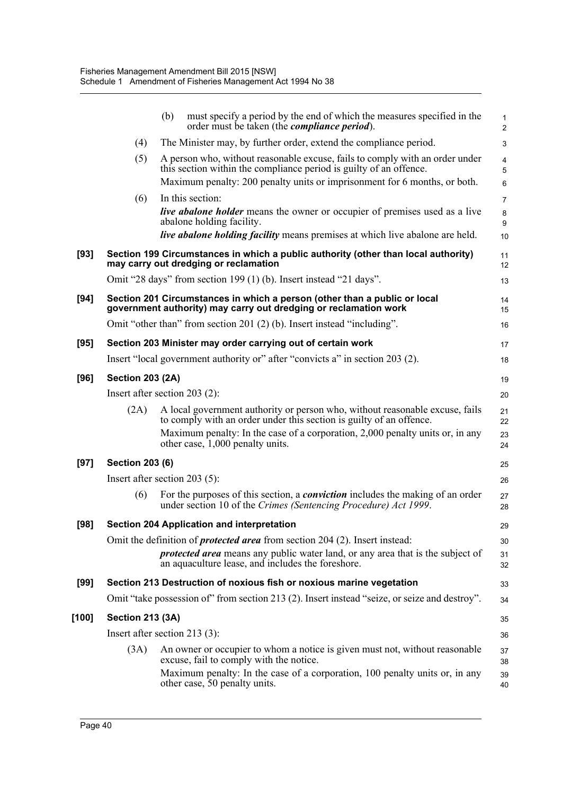|        |                         | (b)<br>must specify a period by the end of which the measures specified in the<br>order must be taken (the <i>compliance period</i> ).                                                                                                                                   | $\mathbf{1}$<br>$\overline{2}$         |
|--------|-------------------------|--------------------------------------------------------------------------------------------------------------------------------------------------------------------------------------------------------------------------------------------------------------------------|----------------------------------------|
|        | (4)                     | The Minister may, by further order, extend the compliance period.                                                                                                                                                                                                        | 3                                      |
|        | (5)                     | A person who, without reasonable excuse, fails to comply with an order under<br>this section within the compliance period is guilty of an offence.<br>Maximum penalty: 200 penalty units or imprisonment for 6 months, or both.                                          | $\overline{4}$<br>5<br>$6\phantom{1}6$ |
|        | (6)                     | In this section:                                                                                                                                                                                                                                                         | $\overline{7}$                         |
|        |                         | <b>live abalone holder</b> means the owner or occupier of premises used as a live<br>abalone holding facility.                                                                                                                                                           | 8<br>9                                 |
|        |                         | live abalone holding facility means premises at which live abalone are held.                                                                                                                                                                                             | 10                                     |
| $[93]$ |                         | Section 199 Circumstances in which a public authority (other than local authority)<br>may carry out dredging or reclamation                                                                                                                                              | 11<br>12                               |
|        |                         | Omit "28 days" from section 199 (1) (b). Insert instead "21 days".                                                                                                                                                                                                       | 13                                     |
| $[94]$ |                         | Section 201 Circumstances in which a person (other than a public or local<br>government authority) may carry out dredging or reclamation work                                                                                                                            | 14<br>15                               |
|        |                         | Omit "other than" from section 201 (2) (b). Insert instead "including".                                                                                                                                                                                                  | 16                                     |
| [95]   |                         | Section 203 Minister may order carrying out of certain work                                                                                                                                                                                                              | 17                                     |
|        |                         | Insert "local government authority or" after "convicts a" in section 203 (2).                                                                                                                                                                                            | 18                                     |
| [96]   | <b>Section 203 (2A)</b> |                                                                                                                                                                                                                                                                          | 19                                     |
|        |                         | Insert after section $203$ (2):                                                                                                                                                                                                                                          | 20                                     |
|        | (2A)                    | A local government authority or person who, without reasonable excuse, fails<br>to comply with an order under this section is guilty of an offence.<br>Maximum penalty: In the case of a corporation, 2,000 penalty units or, in any<br>other case, 1,000 penalty units. | 21<br>22<br>23<br>24                   |
| $[97]$ | <b>Section 203 (6)</b>  |                                                                                                                                                                                                                                                                          | 25                                     |
|        |                         | Insert after section $203(5)$ :                                                                                                                                                                                                                                          | 26                                     |
|        | (6)                     | For the purposes of this section, a <i>conviction</i> includes the making of an order<br>under section 10 of the Crimes (Sentencing Procedure) Act 1999.                                                                                                                 | 27<br>28                               |
| [98]   |                         | Section 204 Application and interpretation                                                                                                                                                                                                                               | 29                                     |
|        |                         | Omit the definition of <i>protected area</i> from section 204 (2). Insert instead:                                                                                                                                                                                       | 30                                     |
|        |                         | <i>protected area</i> means any public water land, or any area that is the subject of<br>an aquaculture lease, and includes the foreshore.                                                                                                                               | 31<br>32                               |
| $[99]$ |                         | Section 213 Destruction of noxious fish or noxious marine vegetation                                                                                                                                                                                                     | 33                                     |
|        |                         | Omit "take possession of" from section 213 (2). Insert instead "seize, or seize and destroy".                                                                                                                                                                            | 34                                     |
| [100]  | <b>Section 213 (3A)</b> |                                                                                                                                                                                                                                                                          | 35                                     |
|        |                         | Insert after section 213 $(3)$ :                                                                                                                                                                                                                                         | 36                                     |
|        | (3A)                    | An owner or occupier to whom a notice is given must not, without reasonable<br>excuse, fail to comply with the notice.                                                                                                                                                   | 37<br>38                               |
|        |                         | Maximum penalty: In the case of a corporation, 100 penalty units or, in any<br>other case, 50 penalty units.                                                                                                                                                             | 39<br>40                               |
|        |                         |                                                                                                                                                                                                                                                                          |                                        |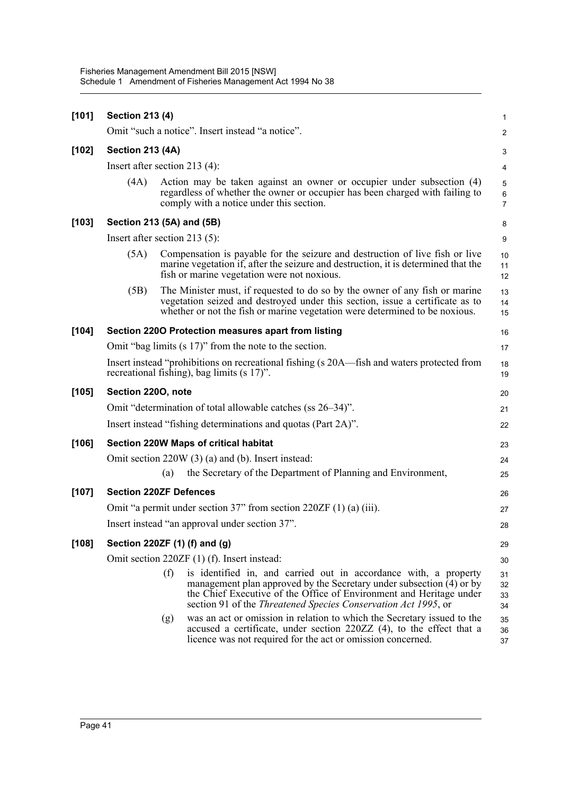| [101]   | <b>Section 213 (4)</b>           |     |                                                                                                                                                                                                                                                                                   |                                         |  |  |  |  |
|---------|----------------------------------|-----|-----------------------------------------------------------------------------------------------------------------------------------------------------------------------------------------------------------------------------------------------------------------------------------|-----------------------------------------|--|--|--|--|
|         |                                  |     | Omit "such a notice". Insert instead "a notice".                                                                                                                                                                                                                                  | $\overline{c}$                          |  |  |  |  |
| $[102]$ | <b>Section 213 (4A)</b>          |     |                                                                                                                                                                                                                                                                                   |                                         |  |  |  |  |
|         | Insert after section 213 $(4)$ : |     |                                                                                                                                                                                                                                                                                   | 4                                       |  |  |  |  |
|         | (4A)                             |     | Action may be taken against an owner or occupier under subsection (4)<br>regardless of whether the owner or occupier has been charged with failing to<br>comply with a notice under this section.                                                                                 | $\sqrt{5}$<br>$\,6\,$<br>$\overline{7}$ |  |  |  |  |
| $[103]$ | Section 213 (5A) and (5B)        |     |                                                                                                                                                                                                                                                                                   | 8                                       |  |  |  |  |
|         | Insert after section 213 $(5)$ : |     |                                                                                                                                                                                                                                                                                   | 9                                       |  |  |  |  |
|         | (5A)                             |     | Compensation is payable for the seizure and destruction of live fish or live<br>marine vegetation if, after the seizure and destruction, it is determined that the<br>fish or marine vegetation were not noxious.                                                                 | 10<br>11<br>12                          |  |  |  |  |
|         | (5B)                             |     | The Minister must, if requested to do so by the owner of any fish or marine<br>vegetation seized and destroyed under this section, issue a certificate as to<br>whether or not the fish or marine vegetation were determined to be noxious.                                       | 13<br>14<br>15                          |  |  |  |  |
| [104]   |                                  |     | Section 2200 Protection measures apart from listing                                                                                                                                                                                                                               | 16                                      |  |  |  |  |
|         |                                  |     | Omit "bag limits (s 17)" from the note to the section.                                                                                                                                                                                                                            | 17                                      |  |  |  |  |
|         |                                  |     | Insert instead "prohibitions on recreational fishing (s 20A—fish and waters protected from<br>recreational fishing), bag limits (s 17)".                                                                                                                                          | 18<br>19                                |  |  |  |  |
| $[105]$ | Section 2200, note               |     |                                                                                                                                                                                                                                                                                   | 20                                      |  |  |  |  |
|         |                                  |     | Omit "determination of total allowable catches (ss 26–34)".                                                                                                                                                                                                                       | 21                                      |  |  |  |  |
|         |                                  |     | Insert instead "fishing determinations and quotas (Part 2A)".                                                                                                                                                                                                                     | 22                                      |  |  |  |  |
| [106]   |                                  |     | Section 220W Maps of critical habitat                                                                                                                                                                                                                                             | 23                                      |  |  |  |  |
|         |                                  |     | Omit section 220W (3) (a) and (b). Insert instead:                                                                                                                                                                                                                                | 24                                      |  |  |  |  |
|         |                                  | (a) | the Secretary of the Department of Planning and Environment,                                                                                                                                                                                                                      | 25                                      |  |  |  |  |
| [107]   | <b>Section 220ZF Defences</b>    |     |                                                                                                                                                                                                                                                                                   | 26                                      |  |  |  |  |
|         |                                  |     | Omit "a permit under section $37$ " from section $220ZF(1)(a)(iii)$ .                                                                                                                                                                                                             | 27                                      |  |  |  |  |
|         |                                  |     | Insert instead "an approval under section 37".                                                                                                                                                                                                                                    | 28                                      |  |  |  |  |
| [108]   |                                  |     | Section 220ZF (1) (f) and (g)                                                                                                                                                                                                                                                     | 29                                      |  |  |  |  |
|         |                                  |     | Omit section 220ZF (1) (f). Insert instead:                                                                                                                                                                                                                                       | 30                                      |  |  |  |  |
|         |                                  | (f) | is identified in, and carried out in accordance with, a property<br>management plan approved by the Secretary under subsection (4) or by<br>the Chief Executive of the Office of Environment and Heritage under<br>section 91 of the Threatened Species Conservation Act 1995, or | 31<br>32<br>33<br>34                    |  |  |  |  |
|         |                                  | (g) | was an act or omission in relation to which the Secretary issued to the<br>accused a certificate, under section 220ZZ (4), to the effect that a<br>licence was not required for the act or omission concerned.                                                                    | 35<br>36<br>37                          |  |  |  |  |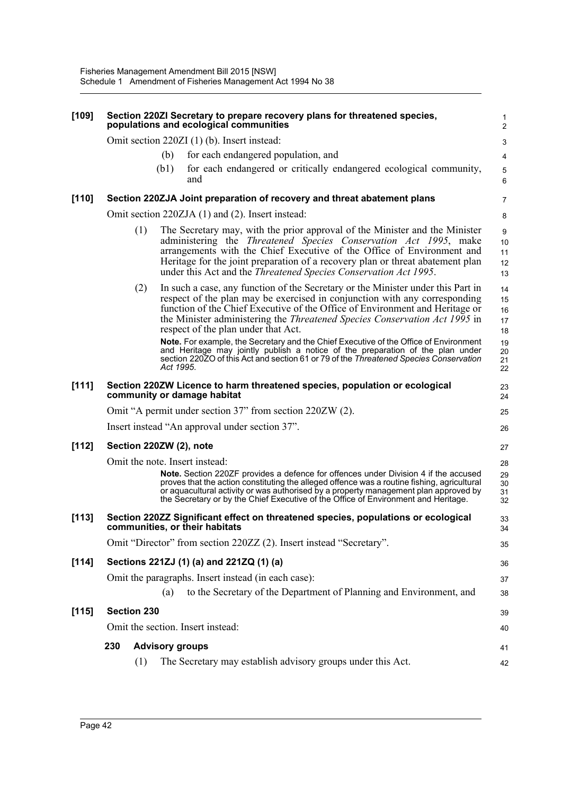| $[109]$ | Section 220ZI Secretary to prepare recovery plans for threatened species,<br>populations and ecological communities                                                                                                                                                                                                                                                                                    | 1                          |
|---------|--------------------------------------------------------------------------------------------------------------------------------------------------------------------------------------------------------------------------------------------------------------------------------------------------------------------------------------------------------------------------------------------------------|----------------------------|
|         |                                                                                                                                                                                                                                                                                                                                                                                                        | $\overline{2}$             |
|         | Omit section 220ZI (1) (b). Insert instead:<br>for each endangered population, and                                                                                                                                                                                                                                                                                                                     | 3                          |
|         | (b)<br>for each endangered or critically endangered ecological community,<br>(b1)                                                                                                                                                                                                                                                                                                                      | 4                          |
|         | and                                                                                                                                                                                                                                                                                                                                                                                                    | $\mathbf 5$<br>6           |
| [110]   | Section 220ZJA Joint preparation of recovery and threat abatement plans                                                                                                                                                                                                                                                                                                                                | 7                          |
|         | Omit section 220ZJA (1) and (2). Insert instead:                                                                                                                                                                                                                                                                                                                                                       | 8                          |
|         | The Secretary may, with the prior approval of the Minister and the Minister<br>(1)<br>administering the <i>Threatened Species Conservation Act 1995</i> , make<br>arrangements with the Chief Executive of the Office of Environment and<br>Heritage for the joint preparation of a recovery plan or threat abatement plan<br>under this Act and the <i>Threatened Species Conservation Act 1995</i> . | 9<br>10<br>11<br>12<br>13  |
|         | In such a case, any function of the Secretary or the Minister under this Part in<br>(2)<br>respect of the plan may be exercised in conjunction with any corresponding<br>function of the Chief Executive of the Office of Environment and Heritage or<br>the Minister administering the <i>Threatened Species Conservation Act 1995</i> in<br>respect of the plan under that Act.                      | 14<br>15<br>16<br>17<br>18 |
|         | Note. For example, the Secretary and the Chief Executive of the Office of Environment<br>and Heritage may jointly publish a notice of the preparation of the plan under<br>section 220ZO of this Act and section 61 or 79 of the Threatened Species Conservation<br>Act 1995.                                                                                                                          | 19<br>20<br>21<br>22       |
| [111]   | Section 220ZW Licence to harm threatened species, population or ecological<br>community or damage habitat                                                                                                                                                                                                                                                                                              | 23<br>24                   |
|         | Omit "A permit under section 37" from section 220ZW (2).                                                                                                                                                                                                                                                                                                                                               | 25                         |
|         | Insert instead "An approval under section 37".                                                                                                                                                                                                                                                                                                                                                         | 26                         |
| [112]   | Section 220ZW (2), note                                                                                                                                                                                                                                                                                                                                                                                | 27                         |
|         | Omit the note. Insert instead:                                                                                                                                                                                                                                                                                                                                                                         | 28                         |
|         | <b>Note.</b> Section 220ZF provides a defence for offences under Division 4 if the accused<br>proves that the action constituting the alleged offence was a routine fishing, agricultural<br>or aquacultural activity or was authorised by a property management plan approved by<br>the Secretary or by the Chief Executive of the Office of Environment and Heritage.                                | 29<br>30<br>31<br>32       |
| [113]   | Section 220ZZ Significant effect on threatened species, populations or ecological<br>communities, or their habitats                                                                                                                                                                                                                                                                                    | 33<br>34                   |
|         | Omit "Director" from section 220ZZ (2). Insert instead "Secretary".                                                                                                                                                                                                                                                                                                                                    | 35                         |
| [114]   | Sections 221ZJ (1) (a) and 221ZQ (1) (a)                                                                                                                                                                                                                                                                                                                                                               | 36                         |
|         | Omit the paragraphs. Insert instead (in each case):                                                                                                                                                                                                                                                                                                                                                    | 37                         |
|         | to the Secretary of the Department of Planning and Environment, and<br>(a)                                                                                                                                                                                                                                                                                                                             | 38                         |
| [115]   | Section 230                                                                                                                                                                                                                                                                                                                                                                                            | 39                         |
|         | Omit the section. Insert instead:                                                                                                                                                                                                                                                                                                                                                                      | 40                         |
|         | 230<br><b>Advisory groups</b>                                                                                                                                                                                                                                                                                                                                                                          | 41                         |
|         | The Secretary may establish advisory groups under this Act.<br>(1)                                                                                                                                                                                                                                                                                                                                     | 42                         |
|         |                                                                                                                                                                                                                                                                                                                                                                                                        |                            |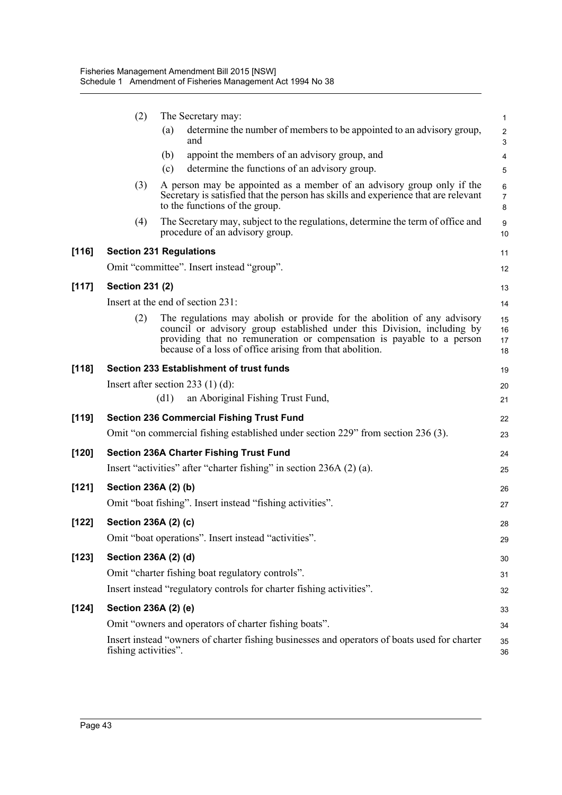|         | (2)                            |      | The Secretary may:                                                                                                                                                                                                                                                                       | $\mathbf{1}$             |
|---------|--------------------------------|------|------------------------------------------------------------------------------------------------------------------------------------------------------------------------------------------------------------------------------------------------------------------------------------------|--------------------------|
|         |                                | (a)  | determine the number of members to be appointed to an advisory group,<br>and                                                                                                                                                                                                             | $\sqrt{2}$<br>3          |
|         |                                | (b)  | appoint the members of an advisory group, and                                                                                                                                                                                                                                            | $\overline{4}$           |
|         |                                | (c)  | determine the functions of an advisory group.                                                                                                                                                                                                                                            | 5                        |
|         | (3)                            |      | A person may be appointed as a member of an advisory group only if the<br>Secretary is satisfied that the person has skills and experience that are relevant<br>to the functions of the group.                                                                                           | 6<br>$\overline{7}$<br>8 |
|         | (4)                            |      | The Secretary may, subject to the regulations, determine the term of office and<br>procedure of an advisory group.                                                                                                                                                                       | 9<br>10                  |
| $[116]$ | <b>Section 231 Regulations</b> |      |                                                                                                                                                                                                                                                                                          | 11                       |
|         |                                |      | Omit "committee". Insert instead "group".                                                                                                                                                                                                                                                | 12                       |
| $[117]$ | <b>Section 231 (2)</b>         |      |                                                                                                                                                                                                                                                                                          | 13                       |
|         |                                |      | Insert at the end of section 231:                                                                                                                                                                                                                                                        | 14                       |
|         | (2)                            |      | The regulations may abolish or provide for the abolition of any advisory<br>council or advisory group established under this Division, including by<br>providing that no remuneration or compensation is payable to a person<br>because of a loss of office arising from that abolition. | 15<br>16<br>17<br>18     |
| [118]   |                                |      | Section 233 Establishment of trust funds                                                                                                                                                                                                                                                 | 19                       |
|         |                                |      | Insert after section 233 $(1)$ (d):                                                                                                                                                                                                                                                      | 20                       |
|         |                                | (d1) | an Aboriginal Fishing Trust Fund,                                                                                                                                                                                                                                                        | 21                       |
| [119]   |                                |      | <b>Section 236 Commercial Fishing Trust Fund</b>                                                                                                                                                                                                                                         | 22                       |
|         |                                |      | Omit "on commercial fishing established under section 229" from section 236 (3).                                                                                                                                                                                                         | 23                       |
| [120]   |                                |      | <b>Section 236A Charter Fishing Trust Fund</b>                                                                                                                                                                                                                                           | 24                       |
|         |                                |      | Insert "activities" after "charter fishing" in section 236A (2) (a).                                                                                                                                                                                                                     | 25                       |
| $[121]$ | Section 236A (2) (b)           |      |                                                                                                                                                                                                                                                                                          | 26                       |
|         |                                |      | Omit "boat fishing". Insert instead "fishing activities".                                                                                                                                                                                                                                | 27                       |
| [122]   | Section 236A (2) (c)           |      |                                                                                                                                                                                                                                                                                          | 28                       |
|         |                                |      | Omit "boat operations". Insert instead "activities".                                                                                                                                                                                                                                     | 29                       |
| [123]   | Section 236A (2) (d)           |      |                                                                                                                                                                                                                                                                                          | 30                       |
|         |                                |      | Omit "charter fishing boat regulatory controls".                                                                                                                                                                                                                                         | 31                       |
|         |                                |      | Insert instead "regulatory controls for charter fishing activities".                                                                                                                                                                                                                     | 32                       |
| [124]   | Section 236A (2) (e)           |      |                                                                                                                                                                                                                                                                                          | 33                       |
|         |                                |      | Omit "owners and operators of charter fishing boats".                                                                                                                                                                                                                                    | 34                       |
|         | fishing activities".           |      | Insert instead "owners of charter fishing businesses and operators of boats used for charter                                                                                                                                                                                             | 35<br>36                 |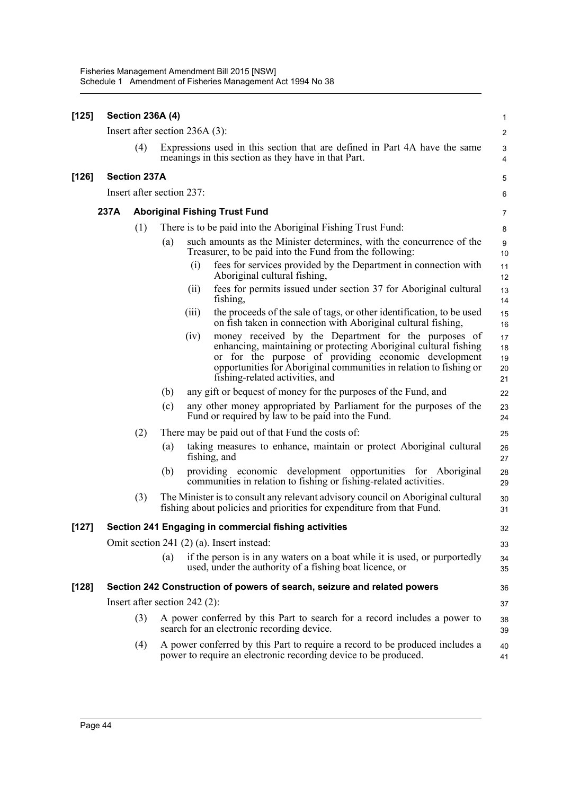| [125]   |      | <b>Section 236A (4)</b>   |     |                                                                                                                                                                                                                                                                                                   | 1                          |
|---------|------|---------------------------|-----|---------------------------------------------------------------------------------------------------------------------------------------------------------------------------------------------------------------------------------------------------------------------------------------------------|----------------------------|
|         |      |                           |     | Insert after section $236A(3)$ :                                                                                                                                                                                                                                                                  | $\overline{2}$             |
|         |      | (4)                       |     | Expressions used in this section that are defined in Part 4A have the same<br>meanings in this section as they have in that Part.                                                                                                                                                                 | 3<br>4                     |
| $[126]$ |      | <b>Section 237A</b>       |     |                                                                                                                                                                                                                                                                                                   | 5                          |
|         |      | Insert after section 237: |     |                                                                                                                                                                                                                                                                                                   | 6                          |
|         | 237A |                           |     | <b>Aboriginal Fishing Trust Fund</b>                                                                                                                                                                                                                                                              | 7                          |
|         |      | (1)                       |     | There is to be paid into the Aboriginal Fishing Trust Fund:                                                                                                                                                                                                                                       | 8                          |
|         |      |                           | (a) | such amounts as the Minister determines, with the concurrence of the<br>Treasurer, to be paid into the Fund from the following:                                                                                                                                                                   | 9<br>10                    |
|         |      |                           |     | fees for services provided by the Department in connection with<br>(i)<br>Aboriginal cultural fishing,                                                                                                                                                                                            | 11<br>12                   |
|         |      |                           |     | fees for permits issued under section 37 for Aboriginal cultural<br>(ii)<br>fishing,                                                                                                                                                                                                              | 13<br>14                   |
|         |      |                           |     | the proceeds of the sale of tags, or other identification, to be used<br>(iii)<br>on fish taken in connection with Aboriginal cultural fishing,                                                                                                                                                   | 15<br>16                   |
|         |      |                           |     | money received by the Department for the purposes of<br>(iv)<br>enhancing, maintaining or protecting Aboriginal cultural fishing<br>or for the purpose of providing economic development<br>opportunities for Aboriginal communities in relation to fishing or<br>fishing-related activities, and | 17<br>18<br>19<br>20<br>21 |
|         |      |                           | (b) | any gift or bequest of money for the purposes of the Fund, and                                                                                                                                                                                                                                    | 22                         |
|         |      |                           | (c) | any other money appropriated by Parliament for the purposes of the<br>Fund or required by law to be paid into the Fund.                                                                                                                                                                           | 23<br>24                   |
|         |      | (2)                       |     | There may be paid out of that Fund the costs of:                                                                                                                                                                                                                                                  | 25                         |
|         |      |                           | (a) | taking measures to enhance, maintain or protect Aboriginal cultural<br>fishing, and                                                                                                                                                                                                               | 26<br>27                   |
|         |      |                           | (b) | providing economic development opportunities for Aboriginal<br>communities in relation to fishing or fishing-related activities.                                                                                                                                                                  | 28<br>29                   |
|         |      | (3)                       |     | The Minister is to consult any relevant advisory council on Aboriginal cultural<br>fishing about policies and priorities for expenditure from that Fund.                                                                                                                                          | 30<br>31                   |
| [127]   |      |                           |     | Section 241 Engaging in commercial fishing activities                                                                                                                                                                                                                                             | 32                         |
|         |      |                           |     | Omit section 241 (2) (a). Insert instead:                                                                                                                                                                                                                                                         | 33                         |
|         |      |                           | (a) | if the person is in any waters on a boat while it is used, or purportedly<br>used, under the authority of a fishing boat licence, or                                                                                                                                                              | 34<br>35                   |
| $[128]$ |      |                           |     | Section 242 Construction of powers of search, seizure and related powers                                                                                                                                                                                                                          | 36                         |
|         |      |                           |     | Insert after section 242 $(2)$ :                                                                                                                                                                                                                                                                  | 37                         |
|         |      | (3)                       |     | A power conferred by this Part to search for a record includes a power to<br>search for an electronic recording device.                                                                                                                                                                           | 38<br>39                   |
|         |      | (4)                       |     | A power conferred by this Part to require a record to be produced includes a<br>power to require an electronic recording device to be produced.                                                                                                                                                   | 40<br>41                   |
|         |      |                           |     |                                                                                                                                                                                                                                                                                                   |                            |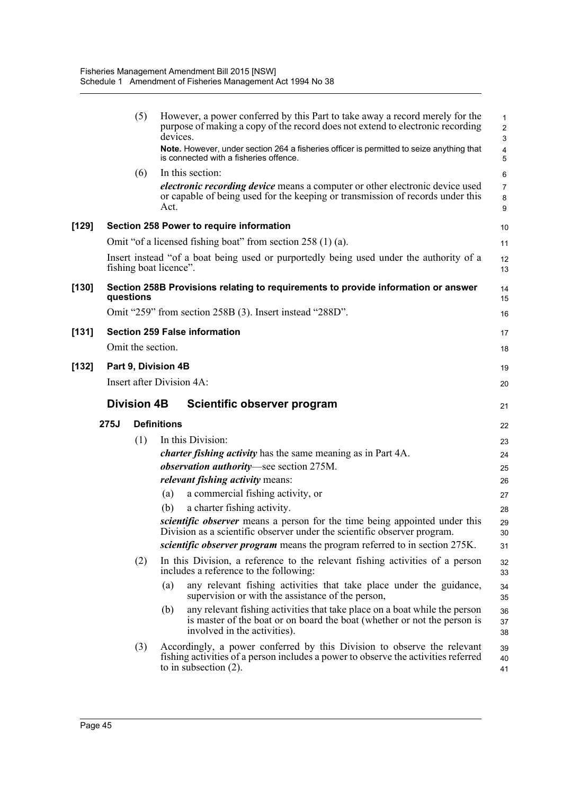|         |      | (5)                | However, a power conferred by this Part to take away a record merely for the<br>purpose of making a copy of the record does not extend to electronic recording<br>devices.<br>Note. However, under section 264 a fisheries officer is permitted to seize anything that<br>is connected with a fisheries offence. | 1<br>$\overline{c}$<br>3<br>4<br>5 |
|---------|------|--------------------|------------------------------------------------------------------------------------------------------------------------------------------------------------------------------------------------------------------------------------------------------------------------------------------------------------------|------------------------------------|
|         |      | (6)                | In this section:<br><i>electronic recording device</i> means a computer or other electronic device used<br>or capable of being used for the keeping or transmission of records under this<br>Act.                                                                                                                | 6<br>$\overline{7}$<br>8<br>9      |
| $[129]$ |      |                    | Section 258 Power to require information                                                                                                                                                                                                                                                                         | 10                                 |
|         |      |                    | Omit "of a licensed fishing boat" from section 258 (1) (a).                                                                                                                                                                                                                                                      | 11                                 |
|         |      |                    | Insert instead "of a boat being used or purportedly being used under the authority of a<br>fishing boat licence".                                                                                                                                                                                                | 12<br>13                           |
| $[130]$ |      | questions          | Section 258B Provisions relating to requirements to provide information or answer                                                                                                                                                                                                                                | 14<br>15                           |
|         |      |                    | Omit "259" from section 258B (3). Insert instead "288D".                                                                                                                                                                                                                                                         | 16                                 |
| [131]   |      |                    | <b>Section 259 False information</b>                                                                                                                                                                                                                                                                             | 17                                 |
|         |      | Omit the section.  |                                                                                                                                                                                                                                                                                                                  | 18                                 |
| $[132]$ |      |                    | Part 9, Division 4B                                                                                                                                                                                                                                                                                              | 19                                 |
|         |      |                    | Insert after Division 4A:                                                                                                                                                                                                                                                                                        | 20                                 |
|         |      |                    |                                                                                                                                                                                                                                                                                                                  |                                    |
|         |      | <b>Division 4B</b> | Scientific observer program                                                                                                                                                                                                                                                                                      | 21                                 |
|         | 275J |                    | <b>Definitions</b>                                                                                                                                                                                                                                                                                               | 22                                 |
|         |      | (1)                | In this Division:                                                                                                                                                                                                                                                                                                | 23                                 |
|         |      |                    | <i>charter fishing activity</i> has the same meaning as in Part 4A.                                                                                                                                                                                                                                              | 24                                 |
|         |      |                    | <i>observation authority</i> —see section 275M.                                                                                                                                                                                                                                                                  | 25                                 |
|         |      |                    | <i>relevant fishing activity means:</i>                                                                                                                                                                                                                                                                          | 26                                 |
|         |      |                    | a commercial fishing activity, or<br>(a)<br>a charter fishing activity.<br>(b)                                                                                                                                                                                                                                   | 27<br>28                           |
|         |      |                    | scientific observer means a person for the time being appointed under this<br>Division as a scientific observer under the scientific observer program.                                                                                                                                                           | 29<br>30                           |
|         |      |                    | <i>scientific observer program</i> means the program referred to in section 275K.                                                                                                                                                                                                                                | 31                                 |
|         |      | (2)                | In this Division, a reference to the relevant fishing activities of a person<br>includes a reference to the following:                                                                                                                                                                                           | 32<br>33                           |
|         |      |                    | any relevant fishing activities that take place under the guidance,<br>(a)<br>supervision or with the assistance of the person,                                                                                                                                                                                  | 34<br>35                           |
|         |      |                    | any relevant fishing activities that take place on a boat while the person<br>(b)<br>is master of the boat or on board the boat (whether or not the person is<br>involved in the activities).                                                                                                                    | 36<br>37<br>38                     |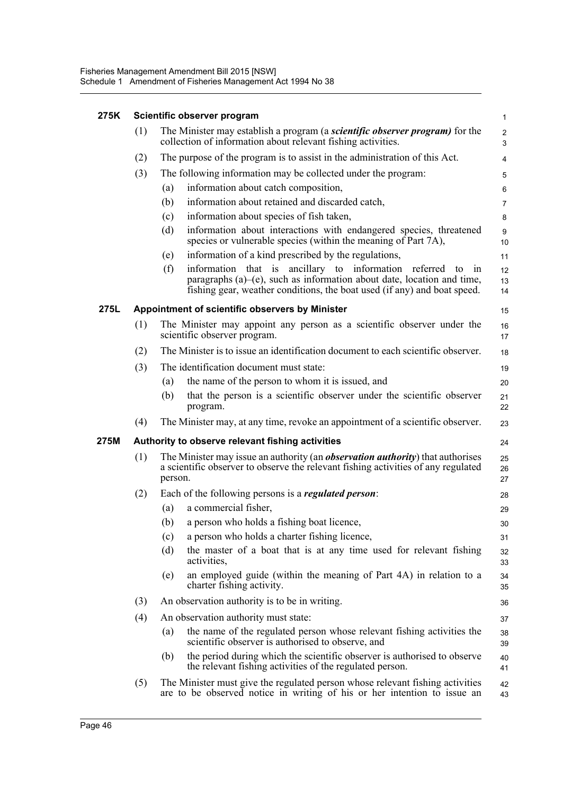#### **275K Scientific observer program**

|      | (1) | The Minister may establish a program (a <i>scientific observer program</i> ) for the<br>collection of information about relevant fishing activities.                                                                            | $\overline{2}$<br>3 |
|------|-----|---------------------------------------------------------------------------------------------------------------------------------------------------------------------------------------------------------------------------------|---------------------|
|      | (2) | The purpose of the program is to assist in the administration of this Act.                                                                                                                                                      | 4                   |
|      | (3) | The following information may be collected under the program:                                                                                                                                                                   | 5                   |
|      |     | information about catch composition,<br>(a)                                                                                                                                                                                     | 6                   |
|      |     | information about retained and discarded catch,<br>(b)                                                                                                                                                                          | 7                   |
|      |     | information about species of fish taken,<br>(c)                                                                                                                                                                                 | 8                   |
|      |     | information about interactions with endangered species, threatened<br>(d)<br>species or vulnerable species (within the meaning of Part 7A),                                                                                     | 9<br>10             |
|      |     | information of a kind prescribed by the regulations,<br>(e)                                                                                                                                                                     | 11                  |
|      |     | information that is ancillary to information referred to in<br>(f)<br>paragraphs $(a)$ – $(e)$ , such as information about date, location and time,<br>fishing gear, weather conditions, the boat used (if any) and boat speed. | 12<br>13<br>14      |
| 275L |     | Appointment of scientific observers by Minister                                                                                                                                                                                 | 15                  |
|      | (1) | The Minister may appoint any person as a scientific observer under the<br>scientific observer program.                                                                                                                          | 16<br>17            |
|      | (2) | The Minister is to issue an identification document to each scientific observer.                                                                                                                                                | 18                  |
|      | (3) | The identification document must state:                                                                                                                                                                                         | 19                  |
|      |     | the name of the person to whom it is issued, and<br>(a)                                                                                                                                                                         | 20                  |
|      |     | (b)<br>that the person is a scientific observer under the scientific observer<br>program.                                                                                                                                       | 21<br>22            |
|      | (4) | The Minister may, at any time, revoke an appointment of a scientific observer.                                                                                                                                                  | 23                  |
| 275M |     | Authority to observe relevant fishing activities                                                                                                                                                                                | 24                  |
|      | (1) | The Minister may issue an authority (an <i>observation authority</i> ) that authorises<br>a scientific observer to observe the relevant fishing activities of any regulated<br>person.                                          | 25<br>26<br>27      |
|      | (2) | Each of the following persons is a <i>regulated person</i> :                                                                                                                                                                    | 28                  |
|      |     | a commercial fisher,<br>(a)                                                                                                                                                                                                     | 29                  |
|      |     | a person who holds a fishing boat licence,<br>(b)                                                                                                                                                                               | 30                  |
|      |     | a person who holds a charter fishing licence,<br>(c)                                                                                                                                                                            | 31                  |
|      |     | the master of a boat that is at any time used for relevant fishing<br>(d)<br>activities,                                                                                                                                        | 32<br>33            |
|      |     | an employed guide (within the meaning of Part 4A) in relation to a<br>(e)<br>charter fishing activity.                                                                                                                          | 34<br>35            |
|      | (3) | An observation authority is to be in writing.                                                                                                                                                                                   | 36                  |
|      | (4) | An observation authority must state:                                                                                                                                                                                            | 37                  |
|      |     | the name of the regulated person whose relevant fishing activities the<br>(a)<br>scientific observer is authorised to observe, and                                                                                              | 38<br>39            |
|      |     | (b)<br>the period during which the scientific observer is authorised to observe<br>the relevant fishing activities of the regulated person.                                                                                     | 40<br>41            |
|      | (5) | The Minister must give the regulated person whose relevant fishing activities                                                                                                                                                   | 42                  |

1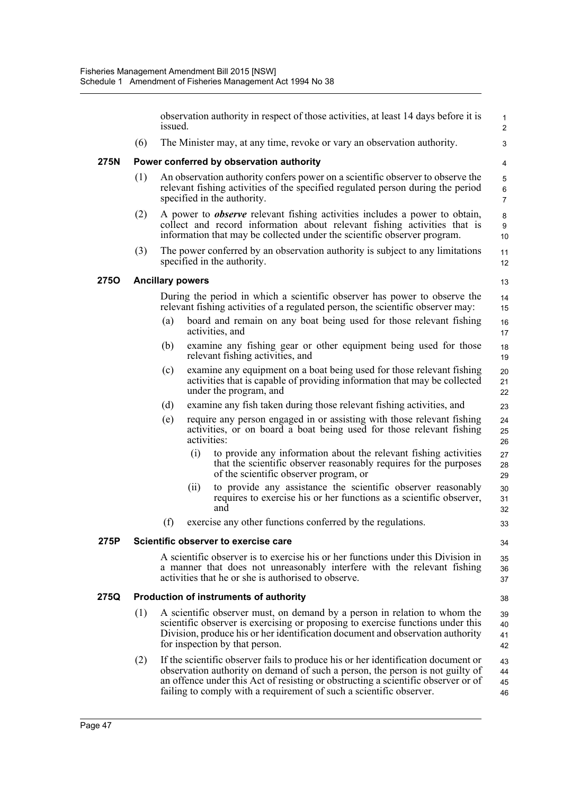observation authority in respect of those activities, at least 14 days before it is issued. (6) The Minister may, at any time, revoke or vary an observation authority. **275N Power conferred by observation authority** (1) An observation authority confers power on a scientific observer to observe the relevant fishing activities of the specified regulated person during the period specified in the authority. (2) A power to *observe* relevant fishing activities includes a power to obtain, collect and record information about relevant fishing activities that is information that may be collected under the scientific observer program. (3) The power conferred by an observation authority is subject to any limitations specified in the authority. **275O Ancillary powers** During the period in which a scientific observer has power to observe the relevant fishing activities of a regulated person, the scientific observer may: (a) board and remain on any boat being used for those relevant fishing activities, and (b) examine any fishing gear or other equipment being used for those relevant fishing activities, and (c) examine any equipment on a boat being used for those relevant fishing activities that is capable of providing information that may be collected under the program, and (d) examine any fish taken during those relevant fishing activities, and (e) require any person engaged in or assisting with those relevant fishing activities, or on board a boat being used for those relevant fishing activities: (i) to provide any information about the relevant fishing activities that the scientific observer reasonably requires for the purposes of the scientific observer program, or (ii) to provide any assistance the scientific observer reasonably requires to exercise his or her functions as a scientific observer, and (f) exercise any other functions conferred by the regulations. **275P Scientific observer to exercise care** A scientific observer is to exercise his or her functions under this Division in a manner that does not unreasonably interfere with the relevant fishing activities that he or she is authorised to observe. **275Q Production of instruments of authority** (1) A scientific observer must, on demand by a person in relation to whom the scientific observer is exercising or proposing to exercise functions under this Division, produce his or her identification document and observation authority for inspection by that person. (2) If the scientific observer fails to produce his or her identification document or observation authority on demand of such a person, the person is not guilty of an offence under this Act of resisting or obstructing a scientific observer or of failing to comply with a requirement of such a scientific observer. 1  $\overline{2}$  3 4 5 6 7 8 **9** 10 11 12 13 14 15 16 17 18 19 20 21 22 23 24 25 26 27 28 29 30 31 32 33 34 35 36 37 38 39 40 41 42 43 44 45 46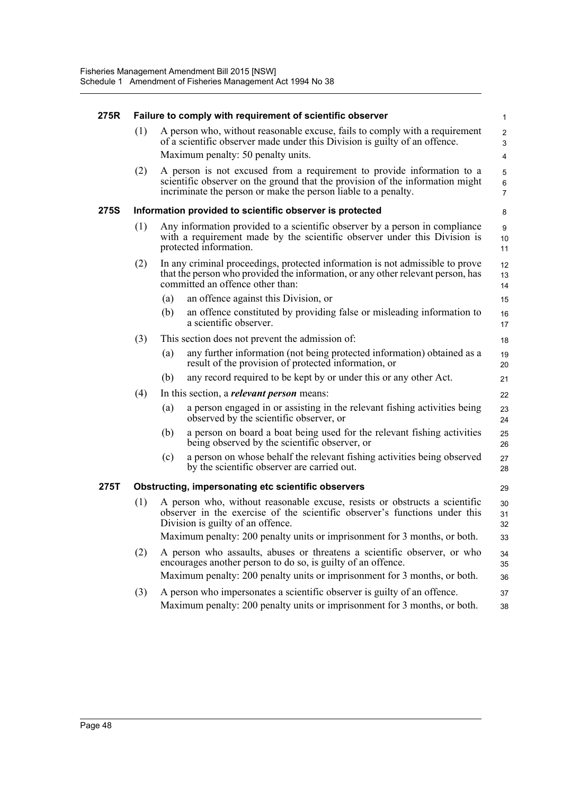| 275R        | Failure to comply with requirement of scientific observer |                                                                                                                                                                                                                           |  |                                       |  |  |
|-------------|-----------------------------------------------------------|---------------------------------------------------------------------------------------------------------------------------------------------------------------------------------------------------------------------------|--|---------------------------------------|--|--|
|             | (1)                                                       | A person who, without reasonable excuse, fails to comply with a requirement<br>of a scientific observer made under this Division is guilty of an offence.<br>Maximum penalty: 50 penalty units.                           |  | $\overline{2}$<br>3<br>$\overline{4}$ |  |  |
|             | (2)                                                       | A person is not excused from a requirement to provide information to a<br>scientific observer on the ground that the provision of the information might<br>incriminate the person or make the person liable to a penalty. |  | 5<br>6<br>$\overline{7}$              |  |  |
| <b>275S</b> |                                                           | Information provided to scientific observer is protected                                                                                                                                                                  |  | 8                                     |  |  |
|             | (1)                                                       | Any information provided to a scientific observer by a person in compliance<br>with a requirement made by the scientific observer under this Division is<br>protected information.                                        |  | 9<br>10<br>11                         |  |  |
|             | (2)                                                       | In any criminal proceedings, protected information is not admissible to prove<br>that the person who provided the information, or any other relevant person, has<br>committed an offence other than:                      |  | 12<br>13<br>14                        |  |  |
|             |                                                           | an offence against this Division, or<br>(a)                                                                                                                                                                               |  | 15                                    |  |  |
|             |                                                           | an offence constituted by providing false or misleading information to<br>(b)<br>a scientific observer.                                                                                                                   |  | 16<br>17                              |  |  |
|             | (3)                                                       | This section does not prevent the admission of:                                                                                                                                                                           |  | 18                                    |  |  |
|             |                                                           | any further information (not being protected information) obtained as a<br>(a)<br>result of the provision of protected information, or                                                                                    |  | 19<br>20                              |  |  |
|             |                                                           | any record required to be kept by or under this or any other Act.<br>(b)                                                                                                                                                  |  | 21                                    |  |  |
|             | (4)                                                       | In this section, a <i>relevant person</i> means:                                                                                                                                                                          |  | 22                                    |  |  |
|             |                                                           | (a)<br>a person engaged in or assisting in the relevant fishing activities being<br>observed by the scientific observer, or                                                                                               |  | 23<br>24                              |  |  |
|             |                                                           | a person on board a boat being used for the relevant fishing activities<br>(b)<br>being observed by the scientific observer, or                                                                                           |  | 25<br>26                              |  |  |
|             |                                                           | a person on whose behalf the relevant fishing activities being observed<br>(c)<br>by the scientific observer are carried out.                                                                                             |  | 27<br>28                              |  |  |
| 275T        |                                                           | <b>Obstructing, impersonating etc scientific observers</b>                                                                                                                                                                |  | 29                                    |  |  |
|             | (1)                                                       | A person who, without reasonable excuse, resists or obstructs a scientific<br>observer in the exercise of the scientific observer's functions under this<br>Division is guilty of an offence.                             |  | 30<br>31<br>32                        |  |  |
|             |                                                           | Maximum penalty: 200 penalty units or imprisonment for 3 months, or both.                                                                                                                                                 |  | 33                                    |  |  |
|             | (2)                                                       | A person who assaults, abuses or threatens a scientific observer, or who<br>encourages another person to do so, is guilty of an offence.                                                                                  |  | 34<br>35                              |  |  |
|             |                                                           | Maximum penalty: 200 penalty units or imprisonment for 3 months, or both.                                                                                                                                                 |  | 36                                    |  |  |
|             | (3)                                                       | A person who impersonates a scientific observer is guilty of an offence.<br>Maximum penalty: 200 penalty units or imprisonment for 3 months, or both.                                                                     |  | 37<br>38                              |  |  |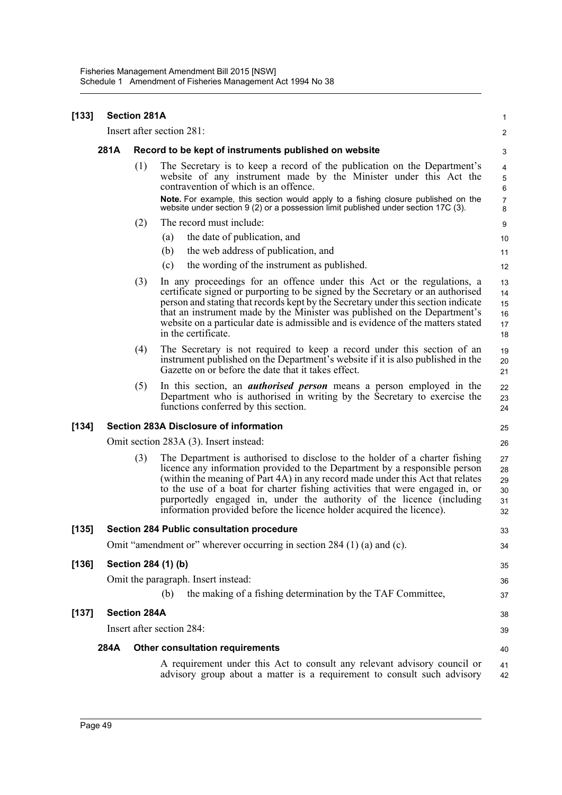| [133]   |      | <b>Section 281A</b> |                                                                                                                                                                                                                                                                                                                                                                                                                                                                               | 1                                |
|---------|------|---------------------|-------------------------------------------------------------------------------------------------------------------------------------------------------------------------------------------------------------------------------------------------------------------------------------------------------------------------------------------------------------------------------------------------------------------------------------------------------------------------------|----------------------------------|
|         |      |                     | Insert after section 281:                                                                                                                                                                                                                                                                                                                                                                                                                                                     | 2                                |
|         | 281A |                     | Record to be kept of instruments published on website                                                                                                                                                                                                                                                                                                                                                                                                                         | 3                                |
|         |      | (1)                 | The Secretary is to keep a record of the publication on the Department's<br>website of any instrument made by the Minister under this Act the<br>contravention of which is an offence.                                                                                                                                                                                                                                                                                        | 4<br>5<br>$\,6\,$                |
|         |      |                     | Note. For example, this section would apply to a fishing closure published on the<br>website under section $9(2)$ or a possession limit published under section 17C (3).                                                                                                                                                                                                                                                                                                      | $\overline{7}$<br>8              |
|         |      | (2)                 | The record must include:                                                                                                                                                                                                                                                                                                                                                                                                                                                      | 9                                |
|         |      |                     | the date of publication, and<br>(a)                                                                                                                                                                                                                                                                                                                                                                                                                                           | 10                               |
|         |      |                     | the web address of publication, and<br>(b)                                                                                                                                                                                                                                                                                                                                                                                                                                    | 11                               |
|         |      |                     | the wording of the instrument as published.<br>(c)                                                                                                                                                                                                                                                                                                                                                                                                                            | 12                               |
|         |      | (3)                 | In any proceedings for an offence under this Act or the regulations, a<br>certificate signed or purporting to be signed by the Secretary or an authorised<br>person and stating that records kept by the Secretary under this section indicate<br>that an instrument made by the Minister was published on the Department's<br>website on a particular date is admissible and is evidence of the matters stated<br>in the certificate.                                        | 13<br>14<br>15<br>16<br>17<br>18 |
|         |      | (4)                 | The Secretary is not required to keep a record under this section of an<br>instrument published on the Department's website if it is also published in the<br>Gazette on or before the date that it takes effect.                                                                                                                                                                                                                                                             | 19<br>20<br>21                   |
|         |      | (5)                 | In this section, an <i>authorised person</i> means a person employed in the<br>Department who is authorised in writing by the Secretary to exercise the<br>functions conferred by this section.                                                                                                                                                                                                                                                                               | 22<br>23<br>24                   |
| [134]   |      |                     | <b>Section 283A Disclosure of information</b>                                                                                                                                                                                                                                                                                                                                                                                                                                 | 25                               |
|         |      |                     | Omit section 283A (3). Insert instead:                                                                                                                                                                                                                                                                                                                                                                                                                                        | 26                               |
|         |      | (3)                 | The Department is authorised to disclose to the holder of a charter fishing<br>licence any information provided to the Department by a responsible person<br>(within the meaning of Part 4A) in any record made under this Act that relates<br>to the use of a boat for charter fishing activities that were engaged in, or<br>purportedly engaged in, under the authority of the licence (including<br>information provided before the licence holder acquired the licence). | 27<br>28<br>29<br>30<br>31<br>32 |
| $[135]$ |      |                     | Section 284 Public consultation procedure                                                                                                                                                                                                                                                                                                                                                                                                                                     | 33                               |
|         |      |                     | Omit "amendment or" wherever occurring in section 284 (1) (a) and (c).                                                                                                                                                                                                                                                                                                                                                                                                        | 34                               |
| $[136]$ |      |                     | Section 284 (1) (b)                                                                                                                                                                                                                                                                                                                                                                                                                                                           | 35                               |
|         |      |                     | Omit the paragraph. Insert instead:                                                                                                                                                                                                                                                                                                                                                                                                                                           | 36                               |
|         |      |                     | the making of a fishing determination by the TAF Committee,<br>(b)                                                                                                                                                                                                                                                                                                                                                                                                            | 37                               |
| $[137]$ |      | <b>Section 284A</b> |                                                                                                                                                                                                                                                                                                                                                                                                                                                                               | 38                               |
|         |      |                     | Insert after section 284:                                                                                                                                                                                                                                                                                                                                                                                                                                                     | 39                               |
|         | 284A |                     | <b>Other consultation requirements</b>                                                                                                                                                                                                                                                                                                                                                                                                                                        | 40                               |
|         |      |                     | A requirement under this Act to consult any relevant advisory council or<br>advisory group about a matter is a requirement to consult such advisory                                                                                                                                                                                                                                                                                                                           | 41<br>42                         |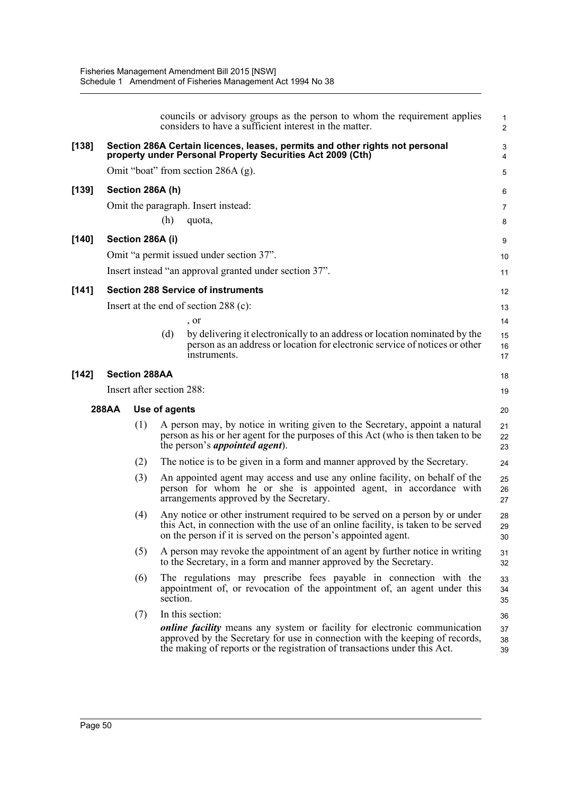|         |       |                      | councils or advisory groups as the person to whom the requirement applies<br>considers to have a sufficient interest in the matter.                                                                                                           | $\mathbf{1}$<br>$\overline{2}$ |
|---------|-------|----------------------|-----------------------------------------------------------------------------------------------------------------------------------------------------------------------------------------------------------------------------------------------|--------------------------------|
| [138]   |       |                      | Section 286A Certain licences, leases, permits and other rights not personal<br>property under Personal Property Securities Act 2009 (Cth)                                                                                                    | 3<br>4                         |
|         |       |                      | Omit "boat" from section 286A (g).                                                                                                                                                                                                            | 5                              |
| [139]   |       | Section 286A (h)     |                                                                                                                                                                                                                                               | 6                              |
|         |       |                      | Omit the paragraph. Insert instead:                                                                                                                                                                                                           | $\overline{7}$                 |
|         |       |                      | (h)<br>quota,                                                                                                                                                                                                                                 | 8                              |
| $[140]$ |       | Section 286A (i)     |                                                                                                                                                                                                                                               | 9                              |
|         |       |                      | Omit "a permit issued under section 37".                                                                                                                                                                                                      | 10                             |
|         |       |                      | Insert instead "an approval granted under section 37".                                                                                                                                                                                        | 11                             |
| [141]   |       |                      | <b>Section 288 Service of instruments</b>                                                                                                                                                                                                     | 12                             |
|         |       |                      | Insert at the end of section 288 (c):                                                                                                                                                                                                         | 13                             |
|         |       |                      | , or                                                                                                                                                                                                                                          | 14                             |
|         |       |                      | by delivering it electronically to an address or location nominated by the<br>(d)<br>person as an address or location for electronic service of notices or other<br>instruments.                                                              | 15<br>16<br>17                 |
| [142]   |       | <b>Section 288AA</b> |                                                                                                                                                                                                                                               | 18                             |
|         |       |                      | Insert after section 288:                                                                                                                                                                                                                     | 19                             |
|         | 288AA |                      | Use of agents                                                                                                                                                                                                                                 | 20                             |
|         |       | (1)                  | A person may, by notice in writing given to the Secretary, appoint a natural<br>person as his or her agent for the purposes of this Act (who is then taken to be<br>the person's <i>appointed agent</i> ).                                    | 21<br>22<br>23                 |
|         |       | (2)                  | The notice is to be given in a form and manner approved by the Secretary.                                                                                                                                                                     | 24                             |
|         |       | (3)                  | An appointed agent may access and use any online facility, on behalf of the<br>person for whom he or she is appointed agent, in accordance with<br>arrangements approved by the Secretary.                                                    | 25<br>26<br>27                 |
|         |       | (4)                  | Any notice or other instrument required to be served on a person by or under<br>this Act, in connection with the use of an online facility, is taken to be served<br>on the person if it is served on the person's appointed agent.           | 28<br>29<br>30                 |
|         |       | (5)                  | A person may revoke the appointment of an agent by further notice in writing<br>to the Secretary, in a form and manner approved by the Secretary.                                                                                             | 31<br>32                       |
|         |       | (6)                  | The regulations may prescribe fees payable in connection with the<br>appointment of, or revocation of the appointment of, an agent under this<br>section.                                                                                     | 33<br>34<br>35                 |
|         |       | (7)                  | In this section:                                                                                                                                                                                                                              | 36                             |
|         |       |                      | <i>online facility</i> means any system or facility for electronic communication<br>approved by the Secretary for use in connection with the keeping of records,<br>the making of reports or the registration of transactions under this Act. | 37<br>38<br>39                 |
|         |       |                      |                                                                                                                                                                                                                                               |                                |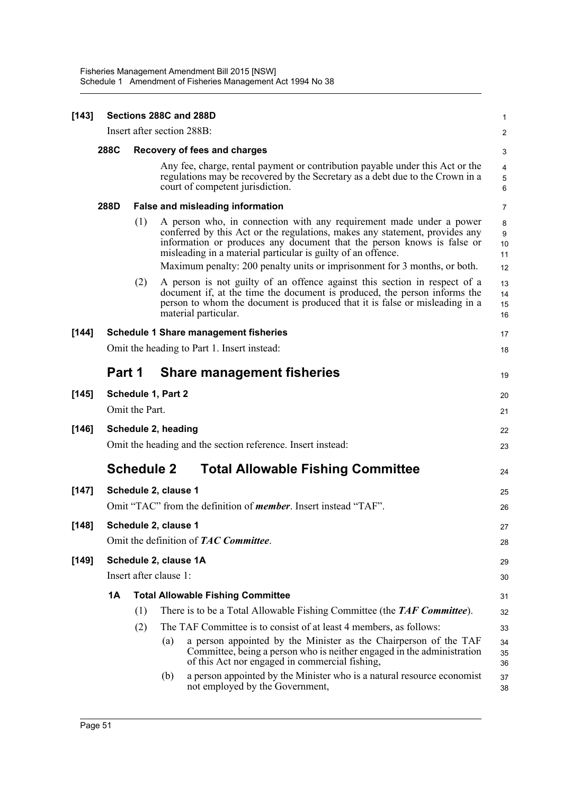| $[143]$ |                            |                                                                         | Sections 288C and 288D                                                                                                                                                                                                                                                                                                                                                    | 1                        |  |  |
|---------|----------------------------|-------------------------------------------------------------------------|---------------------------------------------------------------------------------------------------------------------------------------------------------------------------------------------------------------------------------------------------------------------------------------------------------------------------------------------------------------------------|--------------------------|--|--|
|         | Insert after section 288B: |                                                                         |                                                                                                                                                                                                                                                                                                                                                                           | $\overline{c}$           |  |  |
|         | 288C                       |                                                                         | <b>Recovery of fees and charges</b>                                                                                                                                                                                                                                                                                                                                       |                          |  |  |
|         |                            |                                                                         | Any fee, charge, rental payment or contribution payable under this Act or the<br>regulations may be recovered by the Secretary as a debt due to the Crown in a<br>court of competent jurisdiction.                                                                                                                                                                        | 4<br>5<br>6              |  |  |
|         | 288D                       |                                                                         | <b>False and misleading information</b>                                                                                                                                                                                                                                                                                                                                   | 7                        |  |  |
|         |                            | (1)                                                                     | A person who, in connection with any requirement made under a power<br>conferred by this Act or the regulations, makes any statement, provides any<br>information or produces any document that the person knows is false or<br>misleading in a material particular is guilty of an offence.<br>Maximum penalty: 200 penalty units or imprisonment for 3 months, or both. | 8<br>9<br>10<br>11<br>12 |  |  |
|         |                            | (2)                                                                     | A person is not guilty of an offence against this section in respect of a<br>document if, at the time the document is produced, the person informs the<br>person to whom the document is produced that it is false or misleading in a<br>material particular.                                                                                                             | 13<br>14<br>15<br>16     |  |  |
| [144]   |                            | <b>Schedule 1 Share management fisheries</b>                            |                                                                                                                                                                                                                                                                                                                                                                           |                          |  |  |
|         |                            |                                                                         | Omit the heading to Part 1. Insert instead:                                                                                                                                                                                                                                                                                                                               | 18                       |  |  |
|         | Part 1                     |                                                                         | <b>Share management fisheries</b>                                                                                                                                                                                                                                                                                                                                         | 19                       |  |  |
| [145]   | Schedule 1, Part 2         |                                                                         |                                                                                                                                                                                                                                                                                                                                                                           | 20                       |  |  |
|         | Omit the Part.             |                                                                         |                                                                                                                                                                                                                                                                                                                                                                           |                          |  |  |
| [146]   |                            | Schedule 2, heading                                                     |                                                                                                                                                                                                                                                                                                                                                                           |                          |  |  |
|         |                            | Omit the heading and the section reference. Insert instead:             |                                                                                                                                                                                                                                                                                                                                                                           |                          |  |  |
|         |                            |                                                                         | <b>Schedule 2</b><br><b>Total Allowable Fishing Committee</b>                                                                                                                                                                                                                                                                                                             | 24                       |  |  |
| [147]   | Schedule 2, clause 1       |                                                                         |                                                                                                                                                                                                                                                                                                                                                                           |                          |  |  |
|         |                            | Omit "TAC" from the definition of <i>member</i> . Insert instead "TAF". |                                                                                                                                                                                                                                                                                                                                                                           |                          |  |  |
| [148]   |                            | Schedule 2, clause 1                                                    |                                                                                                                                                                                                                                                                                                                                                                           |                          |  |  |
|         |                            | Omit the definition of <b>TAC Committee</b> .                           |                                                                                                                                                                                                                                                                                                                                                                           |                          |  |  |
| [149]   |                            | Schedule 2, clause 1A                                                   |                                                                                                                                                                                                                                                                                                                                                                           |                          |  |  |
|         |                            |                                                                         | Insert after clause 1:                                                                                                                                                                                                                                                                                                                                                    | 30                       |  |  |
|         | 1A                         |                                                                         | <b>Total Allowable Fishing Committee</b>                                                                                                                                                                                                                                                                                                                                  | 31                       |  |  |
|         |                            | (1)                                                                     | There is to be a Total Allowable Fishing Committee (the TAF Committee).                                                                                                                                                                                                                                                                                                   | 32                       |  |  |
|         |                            | (2)                                                                     | The TAF Committee is to consist of at least 4 members, as follows:                                                                                                                                                                                                                                                                                                        | 33                       |  |  |
|         |                            |                                                                         | a person appointed by the Minister as the Chairperson of the TAF<br>(a)<br>Committee, being a person who is neither engaged in the administration<br>of this Act nor engaged in commercial fishing,                                                                                                                                                                       | 34<br>35<br>36           |  |  |
|         |                            |                                                                         | a person appointed by the Minister who is a natural resource economist<br>(b)<br>not employed by the Government,                                                                                                                                                                                                                                                          | 37<br>38                 |  |  |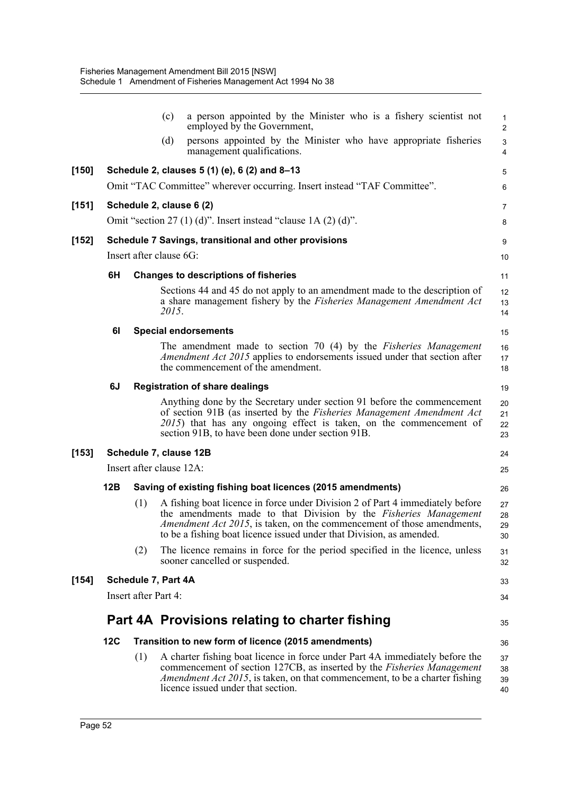|         |                                                                 |     | (c)<br>a person appointed by the Minister who is a fishery scientist not<br>employed by the Government,                                                                                                                                                                                                     | $\mathbf{1}$<br>2                      |
|---------|-----------------------------------------------------------------|-----|-------------------------------------------------------------------------------------------------------------------------------------------------------------------------------------------------------------------------------------------------------------------------------------------------------------|----------------------------------------|
|         |                                                                 |     | (d)<br>persons appointed by the Minister who have appropriate fisheries<br>management qualifications.                                                                                                                                                                                                       | $\mathsf 3$<br>$\overline{\mathbf{4}}$ |
| $[150]$ | Schedule 2, clauses 5 (1) (e), 6 (2) and 8-13                   |     |                                                                                                                                                                                                                                                                                                             |                                        |
|         |                                                                 |     | Omit "TAC Committee" wherever occurring. Insert instead "TAF Committee".                                                                                                                                                                                                                                    | 6                                      |
| $[151]$ | Schedule 2, clause 6 (2)                                        |     |                                                                                                                                                                                                                                                                                                             | $\overline{7}$                         |
|         | Omit "section 27 (1) (d)". Insert instead "clause $1A(2)(d)$ ". |     |                                                                                                                                                                                                                                                                                                             |                                        |
| [152]   | Schedule 7 Savings, transitional and other provisions           |     |                                                                                                                                                                                                                                                                                                             |                                        |
|         | Insert after clause 6G:                                         |     |                                                                                                                                                                                                                                                                                                             | 10                                     |
|         | 6H                                                              |     | <b>Changes to descriptions of fisheries</b>                                                                                                                                                                                                                                                                 | 11                                     |
|         |                                                                 |     | Sections 44 and 45 do not apply to an amendment made to the description of<br>a share management fishery by the Fisheries Management Amendment Act<br>2015.                                                                                                                                                 | 12<br>13<br>14                         |
|         | 61                                                              |     | <b>Special endorsements</b>                                                                                                                                                                                                                                                                                 | 15                                     |
|         |                                                                 |     | The amendment made to section 70 (4) by the Fisheries Management<br>Amendment Act 2015 applies to endorsements issued under that section after<br>the commencement of the amendment.                                                                                                                        | 16<br>17<br>18                         |
|         | 6J                                                              |     | <b>Registration of share dealings</b>                                                                                                                                                                                                                                                                       | 19                                     |
|         |                                                                 |     | Anything done by the Secretary under section 91 before the commencement<br>of section 91B (as inserted by the Fisheries Management Amendment Act<br>2015) that has any ongoing effect is taken, on the commencement of<br>section 91B, to have been done under section 91B.                                 | 20<br>21<br>22<br>23                   |
| $[153]$ | Schedule 7, clause 12B                                          |     |                                                                                                                                                                                                                                                                                                             | 24                                     |
|         | Insert after clause 12A:                                        |     |                                                                                                                                                                                                                                                                                                             | 25                                     |
|         | 12B                                                             |     | Saving of existing fishing boat licences (2015 amendments)                                                                                                                                                                                                                                                  | 26                                     |
|         |                                                                 | (1) | A fishing boat licence in force under Division 2 of Part 4 immediately before<br>the amendments made to that Division by the Fisheries Management<br><i>Amendment Act 2015</i> , is taken, on the commencement of those amendments,<br>to be a fishing boat licence issued under that Division, as amended. | 27<br>28<br>29<br>30                   |
|         |                                                                 | (2) | The licence remains in force for the period specified in the licence, unless<br>sooner cancelled or suspended.                                                                                                                                                                                              | 31<br>32                               |
| $[154]$ | Schedule 7, Part 4A                                             |     |                                                                                                                                                                                                                                                                                                             |                                        |
|         | Insert after Part 4:                                            |     |                                                                                                                                                                                                                                                                                                             | 34                                     |
|         |                                                                 |     | Part 4A Provisions relating to charter fishing                                                                                                                                                                                                                                                              | 35                                     |
|         | 12C                                                             |     | Transition to new form of licence (2015 amendments)                                                                                                                                                                                                                                                         | 36                                     |
|         |                                                                 | (1) | A charter fishing boat licence in force under Part 4A immediately before the<br>commencement of section 127CB, as inserted by the Fisheries Management<br><i>Amendment Act 2015</i> , is taken, on that commencement, to be a charter fishing<br>licence issued under that section.                         | 37<br>38<br>39<br>40                   |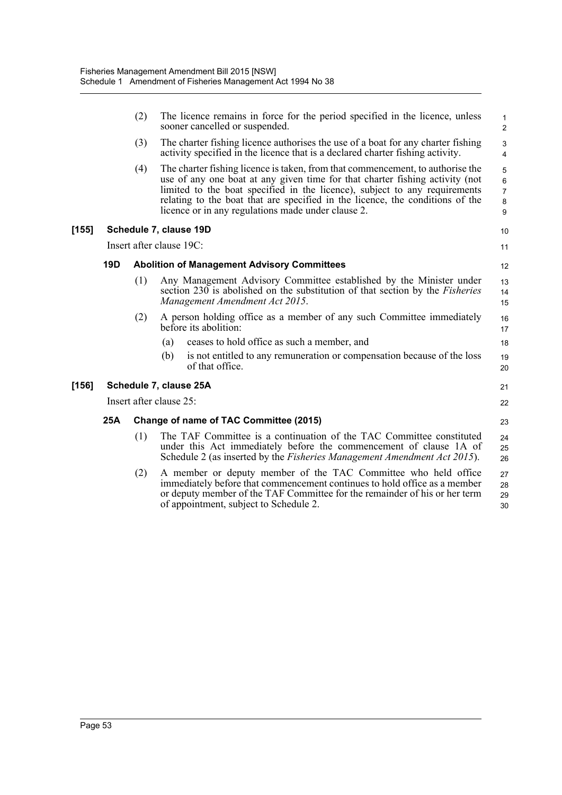|     | (2)                                                                                                                                                                                                                                                                                                                                                                                        | The licence remains in force for the period specified in the licence, unless<br>sooner cancelled or suspended.                                                                                                                                                      |                                    |  |
|-----|--------------------------------------------------------------------------------------------------------------------------------------------------------------------------------------------------------------------------------------------------------------------------------------------------------------------------------------------------------------------------------------------|---------------------------------------------------------------------------------------------------------------------------------------------------------------------------------------------------------------------------------------------------------------------|------------------------------------|--|
|     | (3)                                                                                                                                                                                                                                                                                                                                                                                        | The charter fishing licence authorises the use of a boat for any charter fishing<br>activity specified in the licence that is a declared charter fishing activity.                                                                                                  | 3<br>4                             |  |
|     | (4)<br>The charter fishing licence is taken, from that commencement, to authorise the<br>use of any one boat at any given time for that charter fishing activity (not<br>limited to the boat specified in the licence), subject to any requirements<br>relating to the boat that are specified in the licence, the conditions of the<br>licence or in any regulations made under clause 2. |                                                                                                                                                                                                                                                                     | 5<br>6<br>$\overline{7}$<br>8<br>9 |  |
|     |                                                                                                                                                                                                                                                                                                                                                                                            | Schedule 7, clause 19D                                                                                                                                                                                                                                              | 10                                 |  |
|     |                                                                                                                                                                                                                                                                                                                                                                                            | Insert after clause 19C:                                                                                                                                                                                                                                            | 11                                 |  |
| 19D | <b>Abolition of Management Advisory Committees</b>                                                                                                                                                                                                                                                                                                                                         |                                                                                                                                                                                                                                                                     |                                    |  |
|     | (1)                                                                                                                                                                                                                                                                                                                                                                                        | Any Management Advisory Committee established by the Minister under<br>section 230 is abolished on the substitution of that section by the <i>Fisheries</i><br>Management Amendment Act 2015.                                                                       | 13<br>14<br>15                     |  |
|     | (2)                                                                                                                                                                                                                                                                                                                                                                                        | A person holding office as a member of any such Committee immediately<br>before its abolition:                                                                                                                                                                      | 16<br>17                           |  |
|     |                                                                                                                                                                                                                                                                                                                                                                                            | ceases to hold office as such a member, and<br>(a)                                                                                                                                                                                                                  | 18                                 |  |
|     |                                                                                                                                                                                                                                                                                                                                                                                            | is not entitled to any remuneration or compensation because of the loss<br>(b)<br>of that office.                                                                                                                                                                   | 19<br>20                           |  |
|     |                                                                                                                                                                                                                                                                                                                                                                                            | Schedule 7, clause 25A                                                                                                                                                                                                                                              | 21                                 |  |
|     |                                                                                                                                                                                                                                                                                                                                                                                            | Insert after clause 25:                                                                                                                                                                                                                                             | 22                                 |  |
| 25A | Change of name of TAC Committee (2015)                                                                                                                                                                                                                                                                                                                                                     |                                                                                                                                                                                                                                                                     |                                    |  |
|     | (1)                                                                                                                                                                                                                                                                                                                                                                                        | The TAF Committee is a continuation of the TAC Committee constituted<br>under this Act immediately before the commencement of clause 1A of<br>Schedule 2 (as inserted by the <i>Fisheries Management Amendment Act 2015</i> ).                                      |                                    |  |
|     | (2)                                                                                                                                                                                                                                                                                                                                                                                        | A member or deputy member of the TAC Committee who held office<br>immediately before that commencement continues to hold office as a member<br>or deputy member of the TAF Committee for the remainder of his or her term<br>of appointment, subject to Schedule 2. | 27<br>28<br>29<br>30               |  |
|     |                                                                                                                                                                                                                                                                                                                                                                                            |                                                                                                                                                                                                                                                                     |                                    |  |

[155]

[156]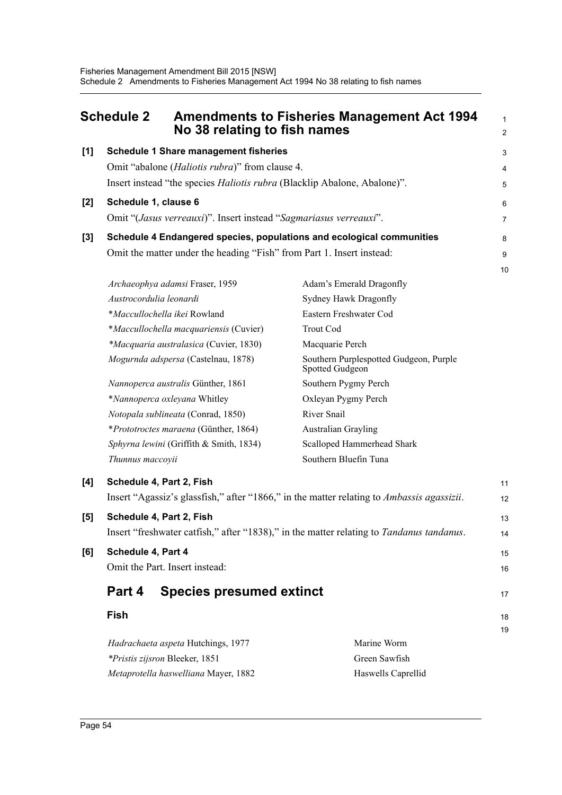<span id="page-64-0"></span>

|       | <b>Schedule 2</b>                                                                         | No 38 relating to fish names                                                    | <b>Amendments to Fisheries Management Act 1994</b>        | $\mathbf{1}$<br>$\overline{2}$ |  |
|-------|-------------------------------------------------------------------------------------------|---------------------------------------------------------------------------------|-----------------------------------------------------------|--------------------------------|--|
| [1]   |                                                                                           | <b>Schedule 1 Share management fisheries</b>                                    |                                                           |                                |  |
|       | Omit "abalone ( <i>Haliotis rubra</i> )" from clause 4.                                   |                                                                                 |                                                           |                                |  |
|       |                                                                                           | Insert instead "the species <i>Haliotis rubra</i> (Blacklip Abalone, Abalone)". |                                                           |                                |  |
| [2]   |                                                                                           | Schedule 1, clause 6                                                            |                                                           |                                |  |
|       |                                                                                           | Omit "(Jasus verreauxi)". Insert instead "Sagmariasus verreauxi".               |                                                           |                                |  |
| $[3]$ |                                                                                           | Schedule 4 Endangered species, populations and ecological communities           |                                                           |                                |  |
|       |                                                                                           | Omit the matter under the heading "Fish" from Part 1. Insert instead:           |                                                           |                                |  |
|       |                                                                                           |                                                                                 | Adam's Emerald Dragonfly                                  | 10                             |  |
|       | Archaeophya adamsi Fraser, 1959<br>Austrocordulia leonardi                                |                                                                                 | Sydney Hawk Dragonfly                                     |                                |  |
|       |                                                                                           | *Maccullochella ikei Rowland                                                    | Eastern Freshwater Cod                                    |                                |  |
|       |                                                                                           | *Maccullochella macquariensis (Cuvier)                                          | <b>Trout Cod</b>                                          |                                |  |
|       |                                                                                           | *Macquaria australasica (Cuvier, 1830)                                          | Macquarie Perch                                           |                                |  |
|       |                                                                                           | Mogurnda adspersa (Castelnau, 1878)                                             | Southern Purplespotted Gudgeon, Purple<br>Spotted Gudgeon |                                |  |
|       |                                                                                           | Nannoperca australis Günther, 1861                                              | Southern Pygmy Perch                                      |                                |  |
|       |                                                                                           | *Nannoperca oxleyana Whitley                                                    | Oxleyan Pygmy Perch                                       |                                |  |
|       |                                                                                           | Notopala sublineata (Conrad, 1850)                                              | River Snail                                               |                                |  |
|       |                                                                                           | *Prototroctes maraena (Günther, 1864)                                           | <b>Australian Grayling</b>                                |                                |  |
|       | Sphyrna lewini (Griffith & Smith, 1834)                                                   |                                                                                 | Scalloped Hammerhead Shark                                |                                |  |
|       | Southern Bluefin Tuna<br>Thunnus maccoyii                                                 |                                                                                 |                                                           |                                |  |
| [4]   | Schedule 4, Part 2, Fish                                                                  |                                                                                 |                                                           |                                |  |
|       | Insert "Agassiz's glassfish," after "1866," in the matter relating to Ambassis agassizii. |                                                                                 |                                                           |                                |  |
| [5]   | Schedule 4, Part 2, Fish                                                                  |                                                                                 |                                                           | 13                             |  |
|       | Insert "freshwater catfish," after "1838)," in the matter relating to Tandanus tandanus.  |                                                                                 |                                                           |                                |  |
| [6]   | Schedule 4, Part 4                                                                        |                                                                                 |                                                           |                                |  |
|       |                                                                                           | Omit the Part. Insert instead:                                                  |                                                           | 16                             |  |
|       | <b>Species presumed extinct</b><br>Part 4                                                 |                                                                                 |                                                           | 17                             |  |
|       | <b>Fish</b>                                                                               |                                                                                 |                                                           | 18                             |  |
|       |                                                                                           | Hadrachaeta aspeta Hutchings, 1977                                              | Marine Worm                                               | 19                             |  |
|       | *Pristis zijsron Bleeker, 1851                                                            |                                                                                 | Green Sawfish                                             |                                |  |
|       | Metaprotella haswelliana Mayer, 1882<br>Haswells Caprellid                                |                                                                                 |                                                           |                                |  |